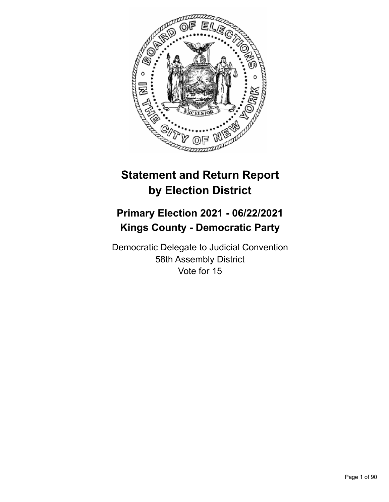

# **Statement and Return Report by Election District**

## **Primary Election 2021 - 06/22/2021 Kings County - Democratic Party**

Democratic Delegate to Judicial Convention 58th Assembly District Vote for 15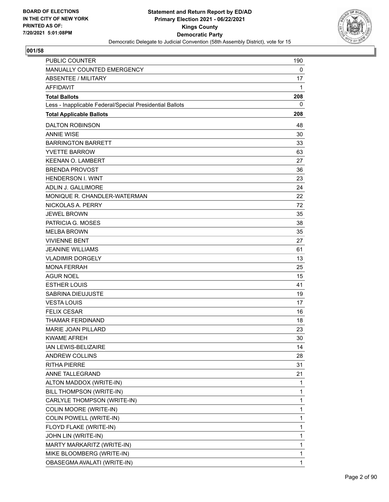

| <b>PUBLIC COUNTER</b>                                    | 190          |
|----------------------------------------------------------|--------------|
| MANUALLY COUNTED EMERGENCY                               | 0            |
| ABSENTEE / MILITARY                                      | 17           |
| <b>AFFIDAVIT</b>                                         | 1            |
| <b>Total Ballots</b>                                     | 208          |
| Less - Inapplicable Federal/Special Presidential Ballots | 0            |
| <b>Total Applicable Ballots</b>                          | 208          |
| <b>DALTON ROBINSON</b>                                   | 48           |
| <b>ANNIF WISF</b>                                        | 30           |
| <b>BARRINGTON BARRETT</b>                                | 33           |
| <b>YVETTE BARROW</b>                                     | 63           |
| <b>KEENAN O. LAMBERT</b>                                 | 27           |
| <b>BRENDA PROVOST</b>                                    | 36           |
| <b>HENDERSON I. WINT</b>                                 | 23           |
| ADLIN J. GALLIMORE                                       | 24           |
| MONIQUE R. CHANDLER-WATERMAN                             | 22           |
| NICKOLAS A. PERRY                                        | 72           |
| <b>JEWEL BROWN</b>                                       | 35           |
| PATRICIA G. MOSES                                        | 38           |
| <b>MELBA BROWN</b>                                       | 35           |
| <b>VIVIENNE BENT</b>                                     | 27           |
| <b>JEANINE WILLIAMS</b>                                  | 61           |
| <b>VLADIMIR DORGELY</b>                                  | 13           |
| <b>MONA FERRAH</b>                                       | 25           |
| <b>AGUR NOEL</b>                                         | 15           |
| <b>ESTHER LOUIS</b>                                      | 41           |
| SABRINA DIEUJUSTE                                        | 19           |
| <b>VESTA LOUIS</b>                                       | 17           |
| <b>FELIX CESAR</b>                                       | 16           |
| <b>THAMAR FERDINAND</b>                                  | 18           |
| <b>MARIE JOAN PILLARD</b>                                | 23           |
| <b>KWAME AFREH</b>                                       | 30           |
| IAN LEWIS-BELIZAIRE                                      | 14           |
| <b>ANDREW COLLINS</b>                                    | 28           |
| <b>RITHA PIERRE</b>                                      | 31           |
| ANNE TALLEGRAND                                          | 21           |
| ALTON MADDOX (WRITE-IN)                                  | 1            |
| BILL THOMPSON (WRITE-IN)                                 | 1            |
| CARLYLE THOMPSON (WRITE-IN)                              | 1            |
| COLIN MOORE (WRITE-IN)                                   | 1            |
| COLIN POWELL (WRITE-IN)                                  | 1            |
| FLOYD FLAKE (WRITE-IN)                                   | 1            |
| JOHN LIN (WRITE-IN)                                      | 1            |
| MARTY MARKARITZ (WRITE-IN)                               | 1            |
| MIKE BLOOMBERG (WRITE-IN)                                | 1            |
| OBASEGMA AVALATI (WRITE-IN)                              | $\mathbf{1}$ |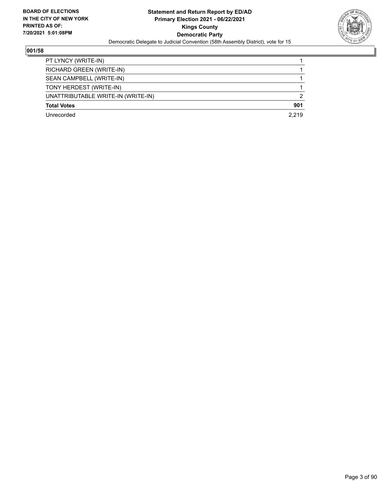

| PT LYNCY (WRITE-IN)                |               |
|------------------------------------|---------------|
| RICHARD GREEN (WRITE-IN)           |               |
| SEAN CAMPBELL (WRITE-IN)           |               |
| TONY HERDEST (WRITE-IN)            |               |
| UNATTRIBUTABLE WRITE-IN (WRITE-IN) | $\mathcal{P}$ |
| <b>Total Votes</b>                 | 901           |
| Unrecorded                         | 2.219         |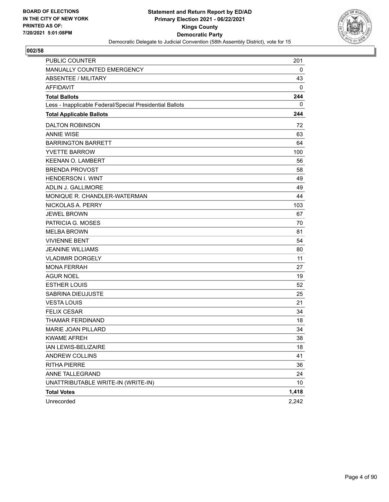

| <b>PUBLIC COUNTER</b>                                    | 201   |
|----------------------------------------------------------|-------|
| MANUALLY COUNTED EMERGENCY                               | 0     |
| ABSENTEE / MILITARY                                      | 43    |
| <b>AFFIDAVIT</b>                                         | 0     |
| <b>Total Ballots</b>                                     | 244   |
| Less - Inapplicable Federal/Special Presidential Ballots | 0     |
| <b>Total Applicable Ballots</b>                          | 244   |
| <b>DALTON ROBINSON</b>                                   | 72    |
| <b>ANNIE WISE</b>                                        | 63    |
| <b>BARRINGTON BARRETT</b>                                | 64    |
| <b>YVETTE BARROW</b>                                     | 100   |
| <b>KEENAN O. LAMBERT</b>                                 | 56    |
| <b>BRENDA PROVOST</b>                                    | 58    |
| <b>HENDERSON I. WINT</b>                                 | 49    |
| <b>ADLIN J. GALLIMORE</b>                                | 49    |
| MONIQUE R. CHANDLER-WATERMAN                             | 44    |
| NICKOLAS A. PERRY                                        | 103   |
| <b>JEWEL BROWN</b>                                       | 67    |
| PATRICIA G. MOSES                                        | 70    |
| <b>MELBA BROWN</b>                                       | 81    |
| <b>VIVIENNE BENT</b>                                     | 54    |
| <b>JEANINE WILLIAMS</b>                                  | 80    |
| <b>VLADIMIR DORGELY</b>                                  | 11    |
| <b>MONA FERRAH</b>                                       | 27    |
| <b>AGUR NOEL</b>                                         | 19    |
| <b>ESTHER LOUIS</b>                                      | 52    |
| SABRINA DIEUJUSTE                                        | 25    |
| <b>VESTA LOUIS</b>                                       | 21    |
| <b>FELIX CESAR</b>                                       | 34    |
| THAMAR FERDINAND                                         | 18    |
| MARIE JOAN PILLARD                                       | 34    |
| <b>KWAME AFREH</b>                                       | 38    |
| IAN LEWIS-BELIZAIRE                                      | 18    |
| <b>ANDREW COLLINS</b>                                    | 41    |
| <b>RITHA PIERRE</b>                                      | 36    |
| ANNE TALLEGRAND                                          | 24    |
| UNATTRIBUTABLE WRITE-IN (WRITE-IN)                       | 10    |
| <b>Total Votes</b>                                       | 1,418 |
| Unrecorded                                               | 2,242 |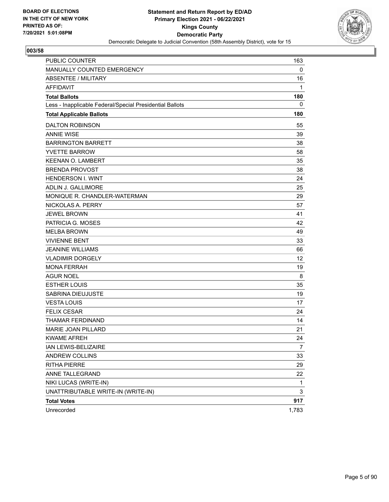

| <b>PUBLIC COUNTER</b>                                    | 163            |
|----------------------------------------------------------|----------------|
| MANUALLY COUNTED EMERGENCY                               | 0              |
| ABSENTEE / MILITARY                                      | 16             |
| <b>AFFIDAVIT</b>                                         | 1              |
| <b>Total Ballots</b>                                     | 180            |
| Less - Inapplicable Federal/Special Presidential Ballots | 0              |
| <b>Total Applicable Ballots</b>                          | 180            |
| <b>DALTON ROBINSON</b>                                   | 55             |
| <b>ANNIE WISE</b>                                        | 39             |
| <b>BARRINGTON BARRETT</b>                                | 38             |
| <b>YVETTE BARROW</b>                                     | 58             |
| <b>KEENAN O. LAMBERT</b>                                 | 35             |
| <b>BRENDA PROVOST</b>                                    | 38             |
| <b>HENDERSON I. WINT</b>                                 | 24             |
| ADLIN J. GALLIMORE                                       | 25             |
| MONIQUE R. CHANDLER-WATERMAN                             | 29             |
| NICKOLAS A. PERRY                                        | 57             |
| <b>JEWEL BROWN</b>                                       | 41             |
| PATRICIA G. MOSES                                        | 42             |
| <b>MELBA BROWN</b>                                       | 49             |
| <b>VIVIENNE BENT</b>                                     | 33             |
| <b>JEANINE WILLIAMS</b>                                  | 66             |
| <b>VLADIMIR DORGELY</b>                                  | 12             |
| <b>MONA FERRAH</b>                                       | 19             |
| <b>AGUR NOEL</b>                                         | 8              |
| <b>ESTHER LOUIS</b>                                      | 35             |
| SABRINA DIEUJUSTE                                        | 19             |
| <b>VESTA LOUIS</b>                                       | 17             |
| <b>FELIX CESAR</b>                                       | 24             |
| THAMAR FERDINAND                                         | 14             |
| MARIE JOAN PILLARD                                       | 21             |
| <b>KWAME AFREH</b>                                       | 24             |
| IAN LEWIS-BELIZAIRE                                      | $\overline{7}$ |
| ANDREW COLLINS                                           | 33             |
| <b>RITHA PIERRE</b>                                      | 29             |
| ANNE TALLEGRAND                                          | 22             |
| NIKI LUCAS (WRITE-IN)                                    | $\mathbf{1}$   |
| UNATTRIBUTABLE WRITE-IN (WRITE-IN)                       | 3              |
| <b>Total Votes</b>                                       | 917            |
| Unrecorded                                               | 1,783          |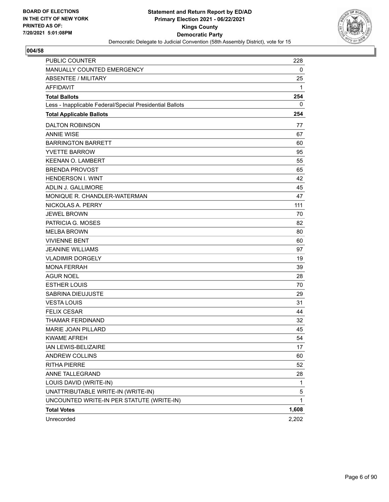

| PUBLIC COUNTER                                           | 228         |
|----------------------------------------------------------|-------------|
| MANUALLY COUNTED EMERGENCY                               | 0           |
| <b>ABSENTEE / MILITARY</b>                               | 25          |
| <b>AFFIDAVIT</b>                                         | 1           |
| <b>Total Ballots</b>                                     | 254         |
| Less - Inapplicable Federal/Special Presidential Ballots | 0           |
| <b>Total Applicable Ballots</b>                          | 254         |
| <b>DALTON ROBINSON</b>                                   | 77          |
| <b>ANNIE WISE</b>                                        | 67          |
| <b>BARRINGTON BARRETT</b>                                | 60          |
| <b>YVETTE BARROW</b>                                     | 95          |
| <b>KEENAN O. LAMBERT</b>                                 | 55          |
| <b>BRENDA PROVOST</b>                                    | 65          |
| <b>HENDERSON I. WINT</b>                                 | 42          |
| ADLIN J. GALLIMORE                                       | 45          |
| MONIQUE R. CHANDLER-WATERMAN                             | 47          |
| NICKOLAS A. PERRY                                        | 111         |
| <b>JEWEL BROWN</b>                                       | 70          |
| PATRICIA G. MOSES                                        | 82          |
| <b>MELBA BROWN</b>                                       | 80          |
| <b>VIVIENNE BENT</b>                                     | 60          |
| <b>JEANINE WILLIAMS</b>                                  | 97          |
| <b>VLADIMIR DORGELY</b>                                  | 19          |
| <b>MONA FERRAH</b>                                       | 39          |
| <b>AGUR NOEL</b>                                         | 28          |
| <b>ESTHER LOUIS</b>                                      | 70          |
| SABRINA DIEUJUSTE                                        | 29          |
| <b>VESTA LOUIS</b>                                       | 31          |
| <b>FELIX CESAR</b>                                       | 44          |
| <b>THAMAR FERDINAND</b>                                  | 32          |
| MARIE JOAN PILLARD                                       | 45          |
| <b>KWAME AFREH</b>                                       | 54          |
| IAN LEWIS-BELIZAIRE                                      | 17          |
| ANDREW COLLINS                                           | 60          |
| <b>RITHA PIERRE</b>                                      | 52          |
| ANNE TALLEGRAND                                          | 28          |
| LOUIS DAVID (WRITE-IN)                                   | $\mathbf 1$ |
| UNATTRIBUTABLE WRITE-IN (WRITE-IN)                       | 5           |
| UNCOUNTED WRITE-IN PER STATUTE (WRITE-IN)                | 1           |
| <b>Total Votes</b>                                       | 1,608       |
| Unrecorded                                               | 2,202       |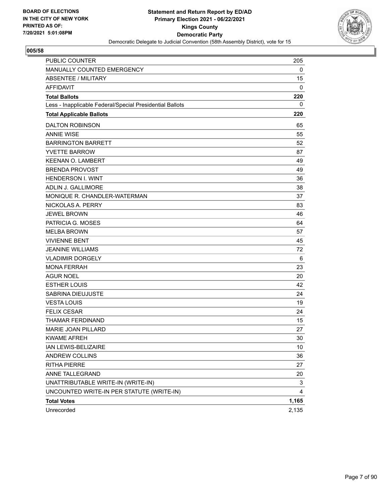

| PUBLIC COUNTER                                           | 205             |
|----------------------------------------------------------|-----------------|
| MANUALLY COUNTED EMERGENCY                               | 0               |
| ABSENTEE / MILITARY                                      | 15              |
| <b>AFFIDAVIT</b>                                         | 0               |
| <b>Total Ballots</b>                                     | 220             |
| Less - Inapplicable Federal/Special Presidential Ballots | 0               |
| <b>Total Applicable Ballots</b>                          | 220             |
| <b>DALTON ROBINSON</b>                                   | 65              |
| <b>ANNIE WISE</b>                                        | 55              |
| <b>BARRINGTON BARRETT</b>                                | 52              |
| <b>YVETTE BARROW</b>                                     | 87              |
| <b>KEENAN O. LAMBERT</b>                                 | 49              |
| <b>BRENDA PROVOST</b>                                    | 49              |
| <b>HENDERSON I. WINT</b>                                 | 36              |
| ADLIN J. GALLIMORE                                       | 38              |
| MONIQUE R. CHANDLER-WATERMAN                             | 37              |
| NICKOLAS A. PERRY                                        | 83              |
| <b>JEWEL BROWN</b>                                       | 46              |
| PATRICIA G. MOSES                                        | 64              |
| <b>MELBA BROWN</b>                                       | 57              |
| <b>VIVIENNE BENT</b>                                     | 45              |
| <b>JEANINE WILLIAMS</b>                                  | 72              |
| <b>VLADIMIR DORGELY</b>                                  | 6               |
| <b>MONA FERRAH</b>                                       | 23              |
| <b>AGUR NOEL</b>                                         | 20              |
| <b>ESTHER LOUIS</b>                                      | 42              |
| SABRINA DIEUJUSTE                                        | 24              |
| <b>VESTA LOUIS</b>                                       | 19              |
| <b>FELIX CESAR</b>                                       | 24              |
| THAMAR FERDINAND                                         | 15              |
| <b>MARIE JOAN PILLARD</b>                                | 27              |
| <b>KWAME AFREH</b>                                       | 30              |
| IAN LEWIS-BELIZAIRE                                      | 10 <sup>°</sup> |
| <b>ANDREW COLLINS</b>                                    | 36              |
| <b>RITHA PIERRE</b>                                      | 27              |
| ANNE TALLEGRAND                                          | 20              |
| UNATTRIBUTABLE WRITE-IN (WRITE-IN)                       | 3               |
| UNCOUNTED WRITE-IN PER STATUTE (WRITE-IN)                | 4               |
| <b>Total Votes</b>                                       | 1,165           |
| Unrecorded                                               | 2,135           |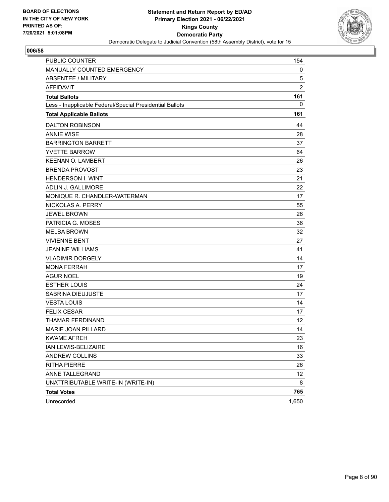

| <b>PUBLIC COUNTER</b>                                    | 154            |
|----------------------------------------------------------|----------------|
| MANUALLY COUNTED EMERGENCY                               | 0              |
| ABSENTEE / MILITARY                                      | 5              |
| <b>AFFIDAVIT</b>                                         | $\overline{c}$ |
| <b>Total Ballots</b>                                     | 161            |
| Less - Inapplicable Federal/Special Presidential Ballots | 0              |
| <b>Total Applicable Ballots</b>                          | 161            |
| <b>DALTON ROBINSON</b>                                   | 44             |
| <b>ANNIE WISE</b>                                        | 28             |
| <b>BARRINGTON BARRETT</b>                                | 37             |
| <b>YVETTE BARROW</b>                                     | 64             |
| <b>KEENAN O. LAMBERT</b>                                 | 26             |
| <b>BRENDA PROVOST</b>                                    | 23             |
| <b>HENDERSON I. WINT</b>                                 | 21             |
| <b>ADLIN J. GALLIMORE</b>                                | 22             |
| MONIQUE R. CHANDLER-WATERMAN                             | 17             |
| NICKOLAS A. PERRY                                        | 55             |
| <b>JEWEL BROWN</b>                                       | 26             |
| PATRICIA G. MOSES                                        | 36             |
| <b>MELBA BROWN</b>                                       | 32             |
| <b>VIVIENNE BENT</b>                                     | 27             |
| <b>JEANINE WILLIAMS</b>                                  | 41             |
| <b>VLADIMIR DORGELY</b>                                  | 14             |
| <b>MONA FERRAH</b>                                       | 17             |
| <b>AGUR NOEL</b>                                         | 19             |
| <b>ESTHER LOUIS</b>                                      | 24             |
| SABRINA DIEUJUSTE                                        | 17             |
| <b>VESTA LOUIS</b>                                       | 14             |
| <b>FELIX CESAR</b>                                       | 17             |
| THAMAR FERDINAND                                         | 12             |
| MARIE JOAN PILLARD                                       | 14             |
| <b>KWAME AFREH</b>                                       | 23             |
| IAN LEWIS-BELIZAIRE                                      | 16             |
| ANDREW COLLINS                                           | 33             |
| <b>RITHA PIERRE</b>                                      | 26             |
| ANNE TALLEGRAND                                          | 12             |
| UNATTRIBUTABLE WRITE-IN (WRITE-IN)                       | 8              |
| <b>Total Votes</b>                                       | 765            |
| Unrecorded                                               | 1,650          |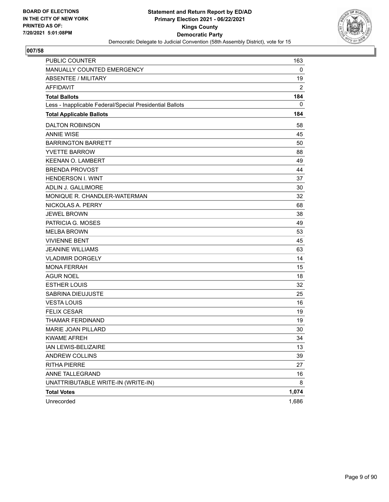

| <b>PUBLIC COUNTER</b>                                    | 163            |
|----------------------------------------------------------|----------------|
| MANUALLY COUNTED EMERGENCY                               | 0              |
| ABSENTEE / MILITARY                                      | 19             |
| <b>AFFIDAVIT</b>                                         | $\overline{2}$ |
| <b>Total Ballots</b>                                     | 184            |
| Less - Inapplicable Federal/Special Presidential Ballots | 0              |
| <b>Total Applicable Ballots</b>                          | 184            |
| <b>DALTON ROBINSON</b>                                   | 58             |
| <b>ANNIE WISE</b>                                        | 45             |
| <b>BARRINGTON BARRETT</b>                                | 50             |
| <b>YVETTE BARROW</b>                                     | 88             |
| <b>KEENAN O. LAMBERT</b>                                 | 49             |
| <b>BRENDA PROVOST</b>                                    | 44             |
| <b>HENDERSON I. WINT</b>                                 | 37             |
| <b>ADLIN J. GALLIMORE</b>                                | 30             |
| MONIQUE R. CHANDLER-WATERMAN                             | 32             |
| NICKOLAS A. PERRY                                        | 68             |
| <b>JEWEL BROWN</b>                                       | 38             |
| PATRICIA G. MOSES                                        | 49             |
| <b>MELBA BROWN</b>                                       | 53             |
| <b>VIVIENNE BENT</b>                                     | 45             |
| <b>JEANINE WILLIAMS</b>                                  | 63             |
| <b>VLADIMIR DORGELY</b>                                  | 14             |
| <b>MONA FERRAH</b>                                       | 15             |
| <b>AGUR NOEL</b>                                         | 18             |
| <b>ESTHER LOUIS</b>                                      | 32             |
| SABRINA DIEUJUSTE                                        | 25             |
| <b>VESTA LOUIS</b>                                       | 16             |
| <b>FELIX CESAR</b>                                       | 19             |
| THAMAR FERDINAND                                         | 19             |
| MARIE JOAN PILLARD                                       | 30             |
| <b>KWAME AFREH</b>                                       | 34             |
| IAN LEWIS-BELIZAIRE                                      | 13             |
| ANDREW COLLINS                                           | 39             |
| <b>RITHA PIERRE</b>                                      | 27             |
| ANNE TALLEGRAND                                          | 16             |
| UNATTRIBUTABLE WRITE-IN (WRITE-IN)                       | 8              |
| <b>Total Votes</b>                                       | 1,074          |
| Unrecorded                                               | 1,686          |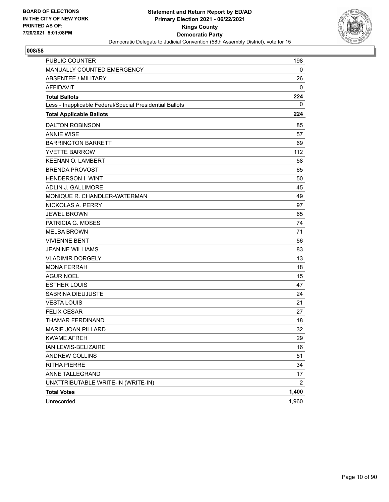

| <b>PUBLIC COUNTER</b>                                    | 198            |
|----------------------------------------------------------|----------------|
| MANUALLY COUNTED EMERGENCY                               | 0              |
| ABSENTEE / MILITARY                                      | 26             |
| <b>AFFIDAVIT</b>                                         | 0              |
| <b>Total Ballots</b>                                     | 224            |
| Less - Inapplicable Federal/Special Presidential Ballots | 0              |
| <b>Total Applicable Ballots</b>                          | 224            |
| <b>DALTON ROBINSON</b>                                   | 85             |
| <b>ANNIE WISE</b>                                        | 57             |
| <b>BARRINGTON BARRETT</b>                                | 69             |
| <b>YVETTE BARROW</b>                                     | 112            |
| <b>KEENAN O. LAMBERT</b>                                 | 58             |
| <b>BRENDA PROVOST</b>                                    | 65             |
| <b>HENDERSON I. WINT</b>                                 | 50             |
| <b>ADLIN J. GALLIMORE</b>                                | 45             |
| MONIQUE R. CHANDLER-WATERMAN                             | 49             |
| NICKOLAS A. PERRY                                        | 97             |
| <b>JEWEL BROWN</b>                                       | 65             |
| PATRICIA G. MOSES                                        | 74             |
| <b>MELBA BROWN</b>                                       | 71             |
| <b>VIVIENNE BENT</b>                                     | 56             |
| <b>JEANINE WILLIAMS</b>                                  | 83             |
| <b>VLADIMIR DORGELY</b>                                  | 13             |
| <b>MONA FERRAH</b>                                       | 18             |
| <b>AGUR NOEL</b>                                         | 15             |
| <b>ESTHER LOUIS</b>                                      | 47             |
| SABRINA DIEUJUSTE                                        | 24             |
| <b>VESTA LOUIS</b>                                       | 21             |
| <b>FELIX CESAR</b>                                       | 27             |
| THAMAR FERDINAND                                         | 18             |
| MARIE JOAN PILLARD                                       | 32             |
| <b>KWAME AFREH</b>                                       | 29             |
| IAN LEWIS-BELIZAIRE                                      | 16             |
| ANDREW COLLINS                                           | 51             |
| <b>RITHA PIERRE</b>                                      | 34             |
| ANNE TALLEGRAND                                          | 17             |
| UNATTRIBUTABLE WRITE-IN (WRITE-IN)                       | $\overline{2}$ |
| <b>Total Votes</b>                                       | 1,400          |
| Unrecorded                                               | 1,960          |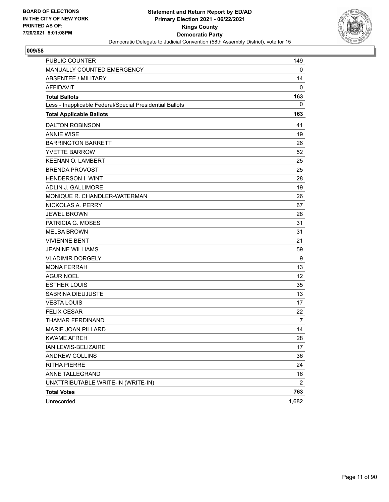

| <b>PUBLIC COUNTER</b>                                    | 149            |
|----------------------------------------------------------|----------------|
| MANUALLY COUNTED EMERGENCY                               | 0              |
| <b>ABSENTEE / MILITARY</b>                               | 14             |
| <b>AFFIDAVIT</b>                                         | 0              |
| <b>Total Ballots</b>                                     | 163            |
| Less - Inapplicable Federal/Special Presidential Ballots | 0              |
| <b>Total Applicable Ballots</b>                          | 163            |
| <b>DALTON ROBINSON</b>                                   | 41             |
| <b>ANNIE WISE</b>                                        | 19             |
| <b>BARRINGTON BARRETT</b>                                | 26             |
| <b>YVETTE BARROW</b>                                     | 52             |
| <b>KEENAN O. LAMBERT</b>                                 | 25             |
| <b>BRENDA PROVOST</b>                                    | 25             |
| <b>HENDERSON I. WINT</b>                                 | 28             |
| ADLIN J. GALLIMORE                                       | 19             |
| MONIQUE R. CHANDLER-WATERMAN                             | 26             |
| NICKOLAS A. PERRY                                        | 67             |
| <b>JEWEL BROWN</b>                                       | 28             |
| PATRICIA G. MOSES                                        | 31             |
| <b>MELBA BROWN</b>                                       | 31             |
| <b>VIVIENNE BENT</b>                                     | 21             |
| <b>JEANINE WILLIAMS</b>                                  | 59             |
| <b>VLADIMIR DORGELY</b>                                  | 9              |
| <b>MONA FERRAH</b>                                       | 13             |
| AGUR NOEL                                                | 12             |
| <b>ESTHER LOUIS</b>                                      | 35             |
| SABRINA DIEUJUSTE                                        | 13             |
| <b>VESTA LOUIS</b>                                       | 17             |
| <b>FELIX CESAR</b>                                       | 22             |
| THAMAR FERDINAND                                         | 7              |
| <b>MARIE JOAN PILLARD</b>                                | 14             |
| <b>KWAME AFREH</b>                                       | 28             |
| IAN LEWIS-BELIZAIRE                                      | 17             |
| ANDREW COLLINS                                           | 36             |
| <b>RITHA PIERRE</b>                                      | 24             |
| ANNE TALLEGRAND                                          | 16             |
| UNATTRIBUTABLE WRITE-IN (WRITE-IN)                       | $\overline{2}$ |
| <b>Total Votes</b>                                       | 763            |
| Unrecorded                                               | 1,682          |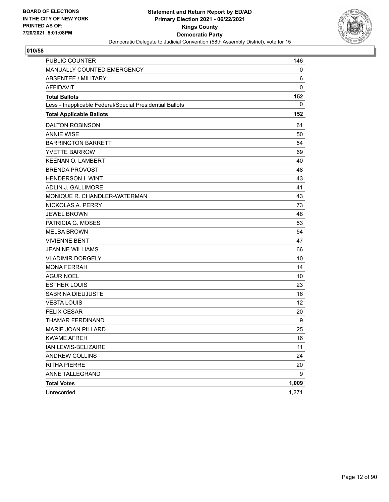

| <b>PUBLIC COUNTER</b>                                    | 146   |
|----------------------------------------------------------|-------|
| MANUALLY COUNTED EMERGENCY                               | 0     |
| <b>ABSENTEE / MILITARY</b>                               | 6     |
| <b>AFFIDAVIT</b>                                         | 0     |
| <b>Total Ballots</b>                                     | 152   |
| Less - Inapplicable Federal/Special Presidential Ballots | 0     |
| <b>Total Applicable Ballots</b>                          | 152   |
| <b>DALTON ROBINSON</b>                                   | 61    |
| <b>ANNIE WISE</b>                                        | 50    |
| <b>BARRINGTON BARRETT</b>                                | 54    |
| <b>YVETTE BARROW</b>                                     | 69    |
| <b>KEENAN O. LAMBERT</b>                                 | 40    |
| <b>BRENDA PROVOST</b>                                    | 48    |
| <b>HENDERSON I. WINT</b>                                 | 43    |
| ADLIN J. GALLIMORE                                       | 41    |
| MONIQUE R. CHANDLER-WATERMAN                             | 43    |
| NICKOLAS A. PERRY                                        | 73    |
| <b>JEWEL BROWN</b>                                       | 48    |
| PATRICIA G. MOSES                                        | 53    |
| <b>MELBA BROWN</b>                                       | 54    |
| <b>VIVIENNE BENT</b>                                     | 47    |
| <b>JEANINE WILLIAMS</b>                                  | 66    |
| <b>VLADIMIR DORGELY</b>                                  | 10    |
| <b>MONA FERRAH</b>                                       | 14    |
| <b>AGUR NOEL</b>                                         | 10    |
| <b>ESTHER LOUIS</b>                                      | 23    |
| SABRINA DIEUJUSTE                                        | 16    |
| <b>VESTA LOUIS</b>                                       | 12    |
| <b>FELIX CESAR</b>                                       | 20    |
| THAMAR FERDINAND                                         | 9     |
| MARIE JOAN PILLARD                                       | 25    |
| <b>KWAME AFREH</b>                                       | 16    |
| IAN LEWIS-BELIZAIRE                                      | 11    |
| ANDREW COLLINS                                           | 24    |
| <b>RITHA PIERRE</b>                                      | 20    |
| ANNE TALLEGRAND                                          | 9     |
| <b>Total Votes</b>                                       | 1,009 |
| Unrecorded                                               | 1,271 |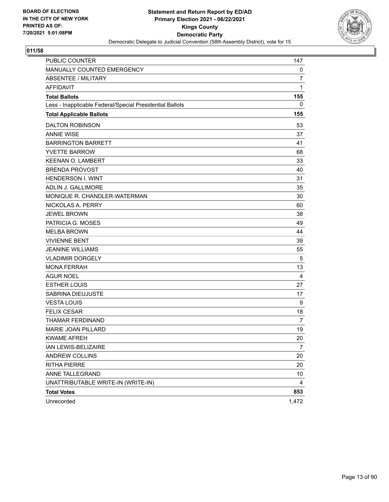

| <b>PUBLIC COUNTER</b>                                    | 147            |
|----------------------------------------------------------|----------------|
| MANUALLY COUNTED EMERGENCY                               | 0              |
| <b>ABSENTEE / MILITARY</b>                               | 7              |
| <b>AFFIDAVIT</b>                                         | 1              |
| <b>Total Ballots</b>                                     | 155            |
| Less - Inapplicable Federal/Special Presidential Ballots | 0              |
| <b>Total Applicable Ballots</b>                          | 155            |
| <b>DALTON ROBINSON</b>                                   | 53             |
| <b>ANNIE WISE</b>                                        | 37             |
| <b>BARRINGTON BARRETT</b>                                | 41             |
| <b>YVETTE BARROW</b>                                     | 68             |
| <b>KEENAN O. LAMBERT</b>                                 | 33             |
| <b>BRENDA PROVOST</b>                                    | 40             |
| <b>HENDERSON I. WINT</b>                                 | 31             |
| <b>ADLIN J. GALLIMORE</b>                                | 35             |
| MONIQUE R. CHANDLER-WATERMAN                             | 30             |
| NICKOLAS A. PERRY                                        | 60             |
| <b>JEWEL BROWN</b>                                       | 38             |
| PATRICIA G. MOSES                                        | 49             |
| <b>MELBA BROWN</b>                                       | 44             |
| <b>VIVIENNE BENT</b>                                     | 39             |
| <b>JEANINE WILLIAMS</b>                                  | 55             |
| <b>VLADIMIR DORGELY</b>                                  | 5              |
| <b>MONA FERRAH</b>                                       | 13             |
| <b>AGUR NOEL</b>                                         | 4              |
| <b>ESTHER LOUIS</b>                                      | 27             |
| <b>SABRINA DIEUJUSTE</b>                                 | 17             |
| <b>VESTA LOUIS</b>                                       | 9              |
| <b>FELIX CESAR</b>                                       | 18             |
| THAMAR FERDINAND                                         | $\overline{7}$ |
| MARIE JOAN PILLARD                                       | 19             |
| <b>KWAME AFREH</b>                                       | 20             |
| IAN LEWIS-BELIZAIRE                                      | $\overline{7}$ |
| ANDREW COLLINS                                           | 20             |
| <b>RITHA PIERRE</b>                                      | 20             |
| ANNE TALLEGRAND                                          | 10             |
| UNATTRIBUTABLE WRITE-IN (WRITE-IN)                       | 4              |
| <b>Total Votes</b>                                       | 853            |
| Unrecorded                                               | 1,472          |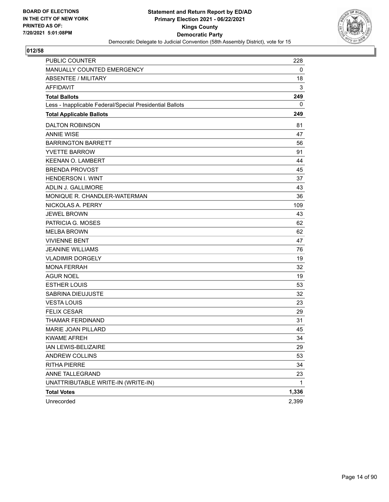

| <b>PUBLIC COUNTER</b>                                    | 228   |
|----------------------------------------------------------|-------|
| MANUALLY COUNTED EMERGENCY                               | 0     |
| ABSENTEE / MILITARY                                      | 18    |
| <b>AFFIDAVIT</b>                                         | 3     |
| <b>Total Ballots</b>                                     | 249   |
| Less - Inapplicable Federal/Special Presidential Ballots | 0     |
| <b>Total Applicable Ballots</b>                          | 249   |
| <b>DALTON ROBINSON</b>                                   | 81    |
| <b>ANNIE WISE</b>                                        | 47    |
| <b>BARRINGTON BARRETT</b>                                | 56    |
| <b>YVETTE BARROW</b>                                     | 91    |
| <b>KEENAN O. LAMBERT</b>                                 | 44    |
| <b>BRENDA PROVOST</b>                                    | 45    |
| <b>HENDERSON I. WINT</b>                                 | 37    |
| ADLIN J. GALLIMORE                                       | 43    |
| MONIQUE R. CHANDLER-WATERMAN                             | 36    |
| NICKOLAS A. PERRY                                        | 109   |
| <b>JEWEL BROWN</b>                                       | 43    |
| PATRICIA G. MOSES                                        | 62    |
| <b>MELBA BROWN</b>                                       | 62    |
| <b>VIVIENNE BENT</b>                                     | 47    |
| <b>JEANINE WILLIAMS</b>                                  | 76    |
| <b>VLADIMIR DORGELY</b>                                  | 19    |
| <b>MONA FERRAH</b>                                       | 32    |
| <b>AGUR NOEL</b>                                         | 19    |
| <b>ESTHER LOUIS</b>                                      | 53    |
| SABRINA DIEUJUSTE                                        | 32    |
| <b>VESTA LOUIS</b>                                       | 23    |
| <b>FELIX CESAR</b>                                       | 29    |
| THAMAR FERDINAND                                         | 31    |
| MARIE JOAN PILLARD                                       | 45    |
| <b>KWAME AFREH</b>                                       | 34    |
| IAN LEWIS-BELIZAIRE                                      | 29    |
| ANDREW COLLINS                                           | 53    |
| <b>RITHA PIERRE</b>                                      | 34    |
| ANNE TALLEGRAND                                          | 23    |
| UNATTRIBUTABLE WRITE-IN (WRITE-IN)                       | 1     |
| <b>Total Votes</b>                                       | 1,336 |
| Unrecorded                                               | 2,399 |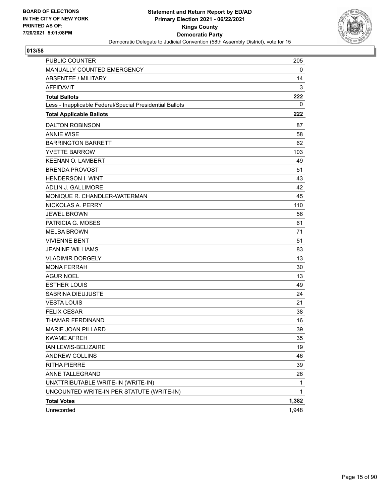

| <b>PUBLIC COUNTER</b>                                    | 205   |
|----------------------------------------------------------|-------|
| MANUALLY COUNTED EMERGENCY                               | 0     |
| ABSENTEE / MILITARY                                      | 14    |
| <b>AFFIDAVIT</b>                                         | 3     |
| <b>Total Ballots</b>                                     | 222   |
| Less - Inapplicable Federal/Special Presidential Ballots | 0     |
| <b>Total Applicable Ballots</b>                          | 222   |
| <b>DALTON ROBINSON</b>                                   | 87    |
| <b>ANNIE WISE</b>                                        | 58    |
| <b>BARRINGTON BARRETT</b>                                | 62    |
| <b>YVETTE BARROW</b>                                     | 103   |
| <b>KEENAN O. LAMBERT</b>                                 | 49    |
| <b>BRENDA PROVOST</b>                                    | 51    |
| <b>HENDERSON I. WINT</b>                                 | 43    |
| ADLIN J. GALLIMORE                                       | 42    |
| MONIQUE R. CHANDLER-WATERMAN                             | 45    |
| NICKOLAS A. PERRY                                        | 110   |
| <b>JEWEL BROWN</b>                                       | 56    |
| PATRICIA G. MOSES                                        | 61    |
| <b>MELBA BROWN</b>                                       | 71    |
| <b>VIVIENNE BENT</b>                                     | 51    |
| <b>JEANINE WILLIAMS</b>                                  | 83    |
| <b>VLADIMIR DORGELY</b>                                  | 13    |
| <b>MONA FERRAH</b>                                       | 30    |
| AGUR NOEL                                                | 13    |
| <b>ESTHER LOUIS</b>                                      | 49    |
| SABRINA DIEUJUSTE                                        | 24    |
| <b>VESTA LOUIS</b>                                       | 21    |
| <b>FELIX CESAR</b>                                       | 38    |
| THAMAR FERDINAND                                         | 16    |
| <b>MARIE JOAN PILLARD</b>                                | 39    |
| <b>KWAME AFREH</b>                                       | 35    |
| IAN LEWIS-BELIZAIRE                                      | 19    |
| ANDREW COLLINS                                           | 46    |
| <b>RITHA PIERRE</b>                                      | 39    |
| ANNE TALLEGRAND                                          | 26    |
| UNATTRIBUTABLE WRITE-IN (WRITE-IN)                       | 1     |
| UNCOUNTED WRITE-IN PER STATUTE (WRITE-IN)                | 1     |
| <b>Total Votes</b>                                       | 1,382 |
| Unrecorded                                               | 1,948 |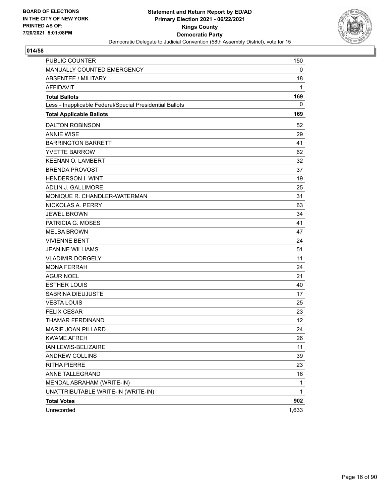

| <b>PUBLIC COUNTER</b>                                    | 150   |
|----------------------------------------------------------|-------|
| MANUALLY COUNTED EMERGENCY                               | 0     |
| <b>ABSENTEE / MILITARY</b>                               | 18    |
| <b>AFFIDAVIT</b>                                         | 1     |
| <b>Total Ballots</b>                                     | 169   |
| Less - Inapplicable Federal/Special Presidential Ballots | 0     |
| <b>Total Applicable Ballots</b>                          | 169   |
| <b>DALTON ROBINSON</b>                                   | 52    |
| <b>ANNIE WISE</b>                                        | 29    |
| <b>BARRINGTON BARRETT</b>                                | 41    |
| <b>YVETTE BARROW</b>                                     | 62    |
| <b>KEENAN O. LAMBERT</b>                                 | 32    |
| <b>BRENDA PROVOST</b>                                    | 37    |
| <b>HENDERSON I. WINT</b>                                 | 19    |
| ADLIN J. GALLIMORE                                       | 25    |
| MONIQUE R. CHANDLER-WATERMAN                             | 31    |
| NICKOLAS A. PERRY                                        | 63    |
| <b>JEWEL BROWN</b>                                       | 34    |
| PATRICIA G. MOSES                                        | 41    |
| <b>MELBA BROWN</b>                                       | 47    |
| <b>VIVIENNE BENT</b>                                     | 24    |
| <b>JEANINE WILLIAMS</b>                                  | 51    |
| <b>VLADIMIR DORGELY</b>                                  | 11    |
| <b>MONA FERRAH</b>                                       | 24    |
| AGUR NOEL                                                | 21    |
| <b>ESTHER LOUIS</b>                                      | 40    |
| SABRINA DIEUJUSTE                                        | 17    |
| <b>VESTA LOUIS</b>                                       | 25    |
| <b>FELIX CESAR</b>                                       | 23    |
| THAMAR FERDINAND                                         | 12    |
| <b>MARIE JOAN PILLARD</b>                                | 24    |
| <b>KWAME AFREH</b>                                       | 26    |
| IAN LEWIS-BELIZAIRE                                      | 11    |
| ANDREW COLLINS                                           | 39    |
| <b>RITHA PIERRE</b>                                      | 23    |
| ANNE TALLEGRAND                                          | 16    |
| MENDAL ABRAHAM (WRITE-IN)                                | 1     |
| UNATTRIBUTABLE WRITE-IN (WRITE-IN)                       | 1     |
| <b>Total Votes</b>                                       | 902   |
| Unrecorded                                               | 1,633 |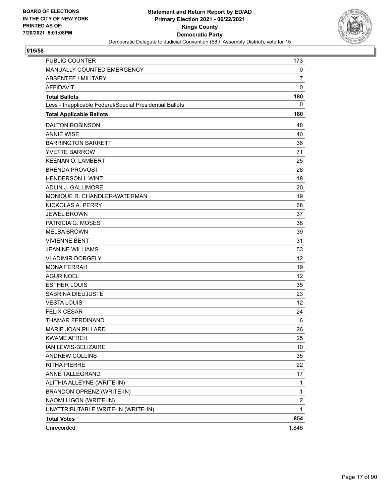

| <b>PUBLIC COUNTER</b>                                    | 173                     |
|----------------------------------------------------------|-------------------------|
| MANUALLY COUNTED EMERGENCY                               | 0                       |
| <b>ABSENTEE / MILITARY</b>                               | $\overline{7}$          |
| <b>AFFIDAVIT</b>                                         | $\mathbf 0$             |
| <b>Total Ballots</b>                                     | 180                     |
| Less - Inapplicable Federal/Special Presidential Ballots | 0                       |
| <b>Total Applicable Ballots</b>                          | 180                     |
| <b>DALTON ROBINSON</b>                                   | 48                      |
| <b>ANNIE WISE</b>                                        | 40                      |
| <b>BARRINGTON BARRETT</b>                                | 36                      |
| <b>YVETTE BARROW</b>                                     | 71                      |
| <b>KEENAN O. LAMBERT</b>                                 | 25                      |
| <b>BRENDA PROVOST</b>                                    | 28                      |
| <b>HENDERSON I. WINT</b>                                 | 18                      |
| ADLIN J. GALLIMORE                                       | 20                      |
| MONIQUE R. CHANDLER-WATERMAN                             | 19                      |
| NICKOLAS A. PERRY                                        | 68                      |
| <b>JEWEL BROWN</b>                                       | 37                      |
| PATRICIA G. MOSES                                        | 38                      |
| <b>MELBA BROWN</b>                                       | 39                      |
| <b>VIVIENNE BENT</b>                                     | 31                      |
| <b>JEANINE WILLIAMS</b>                                  | 53                      |
| <b>VLADIMIR DORGELY</b>                                  | 12                      |
| <b>MONA FERRAH</b>                                       | 19                      |
| AGUR NOEL                                                | 12                      |
| <b>ESTHER LOUIS</b>                                      | 35                      |
| SABRINA DIEUJUSTE                                        | 23                      |
| <b>VESTA LOUIS</b>                                       | 12                      |
| <b>FELIX CESAR</b>                                       | 24                      |
| THAMAR FERDINAND                                         | 6                       |
| <b>MARIE JOAN PILLARD</b>                                | 26                      |
| <b>KWAME AFREH</b>                                       | 25                      |
| IAN LEWIS-BELIZAIRE                                      | 10                      |
| ANDREW COLLINS                                           | 35                      |
| RITHA PIERRE                                             | 22                      |
| ANNE TALLEGRAND                                          | 17                      |
| ALITHIA ALLEYNE (WRITE-IN)                               | 1                       |
| BRANDON OPRENZ (WRITE-IN)                                | 1                       |
| NAOMI LIGON (WRITE-IN)                                   | $\overline{\mathbf{c}}$ |
| UNATTRIBUTABLE WRITE-IN (WRITE-IN)                       | $\mathbf{1}$            |
| <b>Total Votes</b>                                       | 854                     |
| Unrecorded                                               | 1,846                   |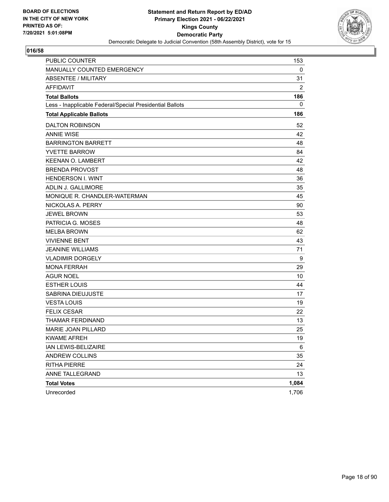

| PUBLIC COUNTER                                           | 153            |
|----------------------------------------------------------|----------------|
| MANUALLY COUNTED EMERGENCY                               | 0              |
| <b>ABSENTEE / MILITARY</b>                               | 31             |
| <b>AFFIDAVIT</b>                                         | $\overline{2}$ |
| <b>Total Ballots</b>                                     | 186            |
| Less - Inapplicable Federal/Special Presidential Ballots | 0              |
| <b>Total Applicable Ballots</b>                          | 186            |
| <b>DALTON ROBINSON</b>                                   | 52             |
| <b>ANNIE WISE</b>                                        | 42             |
| <b>BARRINGTON BARRETT</b>                                | 48             |
| <b>YVETTE BARROW</b>                                     | 84             |
| <b>KEENAN O. LAMBERT</b>                                 | 42             |
| <b>BRENDA PROVOST</b>                                    | 48             |
| <b>HENDERSON I. WINT</b>                                 | 36             |
| <b>ADLIN J. GALLIMORE</b>                                | 35             |
| MONIQUE R. CHANDLER-WATERMAN                             | 45             |
| NICKOLAS A. PERRY                                        | 90             |
| <b>JEWEL BROWN</b>                                       | 53             |
| PATRICIA G. MOSES                                        | 48             |
| <b>MELBA BROWN</b>                                       | 62             |
| <b>VIVIENNE BENT</b>                                     | 43             |
| <b>JEANINE WILLIAMS</b>                                  | 71             |
| <b>VLADIMIR DORGELY</b>                                  | 9              |
| <b>MONA FERRAH</b>                                       | 29             |
| <b>AGUR NOEL</b>                                         | 10             |
| <b>ESTHER LOUIS</b>                                      | 44             |
| <b>SABRINA DIEUJUSTE</b>                                 | 17             |
| <b>VESTA LOUIS</b>                                       | 19             |
| <b>FELIX CESAR</b>                                       | 22             |
| THAMAR FERDINAND                                         | 13             |
| MARIE JOAN PILLARD                                       | 25             |
| <b>KWAME AFREH</b>                                       | 19             |
| IAN LEWIS-BELIZAIRE                                      | 6              |
| ANDREW COLLINS                                           | 35             |
| <b>RITHA PIERRE</b>                                      | 24             |
| ANNE TALLEGRAND                                          | 13             |
| <b>Total Votes</b>                                       | 1,084          |
| Unrecorded                                               | 1,706          |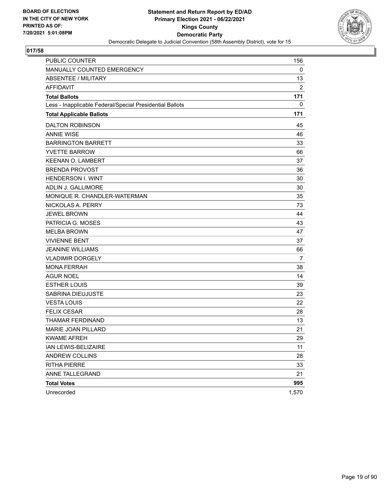

| PUBLIC COUNTER                                           | 156            |
|----------------------------------------------------------|----------------|
| MANUALLY COUNTED EMERGENCY                               | 0              |
| <b>ABSENTEE / MILITARY</b>                               | 13             |
| <b>AFFIDAVIT</b>                                         | $\overline{c}$ |
| <b>Total Ballots</b>                                     | 171            |
| Less - Inapplicable Federal/Special Presidential Ballots | 0              |
| <b>Total Applicable Ballots</b>                          | 171            |
| <b>DALTON ROBINSON</b>                                   | 45             |
| <b>ANNIE WISE</b>                                        | 46             |
| <b>BARRINGTON BARRETT</b>                                | 33             |
| <b>YVETTE BARROW</b>                                     | 66             |
| <b>KEENAN O. LAMBERT</b>                                 | 37             |
| <b>BRENDA PROVOST</b>                                    | 36             |
| <b>HENDERSON I. WINT</b>                                 | 30             |
| ADLIN J. GALLIMORE                                       | 30             |
| MONIQUE R. CHANDLER-WATERMAN                             | 35             |
| NICKOLAS A. PERRY                                        | 73             |
| <b>JEWEL BROWN</b>                                       | 44             |
| PATRICIA G. MOSES                                        | 43             |
| <b>MELBA BROWN</b>                                       | 47             |
| <b>VIVIENNE BENT</b>                                     | 37             |
| <b>JEANINE WILLIAMS</b>                                  | 66             |
| <b>VLADIMIR DORGELY</b>                                  | 7              |
| <b>MONA FERRAH</b>                                       | 38             |
| <b>AGUR NOEL</b>                                         | 14             |
| <b>ESTHER LOUIS</b>                                      | 39             |
| SABRINA DIEUJUSTE                                        | 23             |
| <b>VESTA LOUIS</b>                                       | 22             |
| <b>FELIX CESAR</b>                                       | 28             |
| THAMAR FERDINAND                                         | 13             |
| MARIE JOAN PILLARD                                       | 21             |
| <b>KWAME AFREH</b>                                       | 29             |
| IAN LEWIS-BELIZAIRE                                      | 11             |
| <b>ANDREW COLLINS</b>                                    | 28             |
| <b>RITHA PIERRE</b>                                      | 33             |
| ANNE TALLEGRAND                                          | 21             |
| <b>Total Votes</b>                                       | 995            |
| Unrecorded                                               | 1,570          |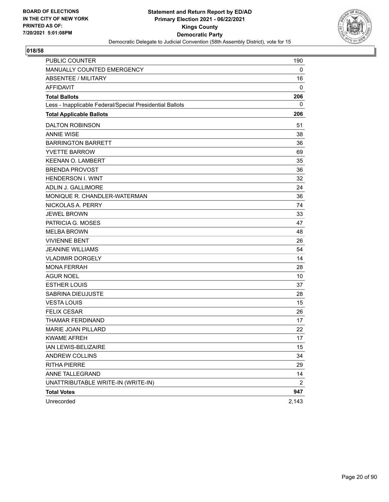

| <b>PUBLIC COUNTER</b>                                    | 190            |
|----------------------------------------------------------|----------------|
| MANUALLY COUNTED EMERGENCY                               | 0              |
| ABSENTEE / MILITARY                                      | 16             |
| <b>AFFIDAVIT</b>                                         | 0              |
| <b>Total Ballots</b>                                     | 206            |
| Less - Inapplicable Federal/Special Presidential Ballots | 0              |
| <b>Total Applicable Ballots</b>                          | 206            |
| <b>DALTON ROBINSON</b>                                   | 51             |
| <b>ANNIE WISE</b>                                        | 38             |
| <b>BARRINGTON BARRETT</b>                                | 36             |
| <b>YVETTE BARROW</b>                                     | 69             |
| <b>KEENAN O. LAMBERT</b>                                 | 35             |
| <b>BRENDA PROVOST</b>                                    | 36             |
| <b>HENDERSON I. WINT</b>                                 | 32             |
| ADLIN J. GALLIMORE                                       | 24             |
| MONIQUE R. CHANDLER-WATERMAN                             | 36             |
| NICKOLAS A. PERRY                                        | 74             |
| <b>JEWEL BROWN</b>                                       | 33             |
| PATRICIA G. MOSES                                        | 47             |
| <b>MELBA BROWN</b>                                       | 48             |
| <b>VIVIENNE BENT</b>                                     | 26             |
| <b>JEANINE WILLIAMS</b>                                  | 54             |
| <b>VLADIMIR DORGELY</b>                                  | 14             |
| <b>MONA FERRAH</b>                                       | 28             |
| AGUR NOEL                                                | 10             |
| <b>ESTHER LOUIS</b>                                      | 37             |
| SABRINA DIEUJUSTE                                        | 28             |
| <b>VESTA LOUIS</b>                                       | 15             |
| <b>FELIX CESAR</b>                                       | 26             |
| THAMAR FERDINAND                                         | 17             |
| <b>MARIE JOAN PILLARD</b>                                | 22             |
| <b>KWAME AFREH</b>                                       | 17             |
| IAN LEWIS-BELIZAIRE                                      | 15             |
| ANDREW COLLINS                                           | 34             |
| <b>RITHA PIERRE</b>                                      | 29             |
| ANNE TALLEGRAND                                          | 14             |
| UNATTRIBUTABLE WRITE-IN (WRITE-IN)                       | $\overline{2}$ |
| <b>Total Votes</b>                                       | 947            |
| Unrecorded                                               | 2,143          |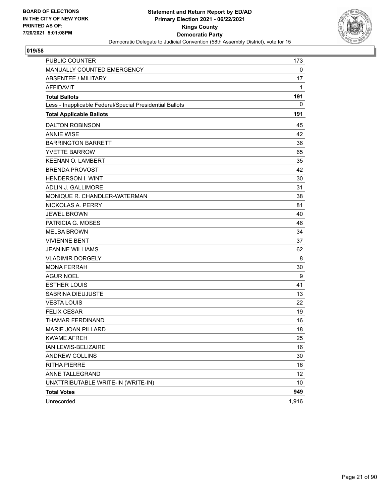

| <b>PUBLIC COUNTER</b>                                    | 173         |
|----------------------------------------------------------|-------------|
| MANUALLY COUNTED EMERGENCY                               | $\mathbf 0$ |
| <b>ABSENTEE / MILITARY</b>                               | 17          |
| <b>AFFIDAVIT</b>                                         | 1           |
| <b>Total Ballots</b>                                     | 191         |
| Less - Inapplicable Federal/Special Presidential Ballots | 0           |
| <b>Total Applicable Ballots</b>                          | 191         |
| <b>DALTON ROBINSON</b>                                   | 45          |
| <b>ANNIE WISE</b>                                        | 42          |
| <b>BARRINGTON BARRETT</b>                                | 36          |
| <b>YVETTE BARROW</b>                                     | 65          |
| <b>KEENAN O. LAMBERT</b>                                 | 35          |
| <b>BRENDA PROVOST</b>                                    | 42          |
| <b>HENDERSON I. WINT</b>                                 | 30          |
| ADLIN J. GALLIMORE                                       | 31          |
| MONIQUE R. CHANDLER-WATERMAN                             | 38          |
| NICKOLAS A. PERRY                                        | 81          |
| <b>JEWEL BROWN</b>                                       | 40          |
| PATRICIA G. MOSES                                        | 46          |
| <b>MELBA BROWN</b>                                       | 34          |
| <b>VIVIENNE BENT</b>                                     | 37          |
| <b>JEANINE WILLIAMS</b>                                  | 62          |
| <b>VLADIMIR DORGELY</b>                                  | 8           |
| <b>MONA FERRAH</b>                                       | 30          |
| AGUR NOEL                                                | 9           |
| <b>ESTHER LOUIS</b>                                      | 41          |
| SABRINA DIEUJUSTE                                        | 13          |
| <b>VESTA LOUIS</b>                                       | 22          |
| <b>FELIX CESAR</b>                                       | 19          |
| THAMAR FERDINAND                                         | 16          |
| <b>MARIE JOAN PILLARD</b>                                | 18          |
| <b>KWAME AFREH</b>                                       | 25          |
| IAN LEWIS-BELIZAIRE                                      | 16          |
| ANDREW COLLINS                                           | 30          |
| RITHA PIERRE                                             | 16          |
| ANNE TALLEGRAND                                          | 12          |
| UNATTRIBUTABLE WRITE-IN (WRITE-IN)                       | 10          |
| <b>Total Votes</b>                                       | 949         |
| Unrecorded                                               | 1,916       |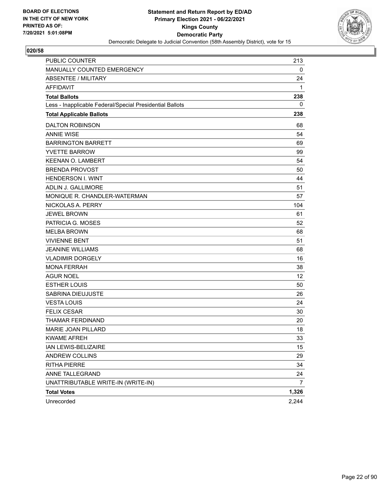

| <b>PUBLIC COUNTER</b>                                    | 213   |
|----------------------------------------------------------|-------|
| MANUALLY COUNTED EMERGENCY                               | 0     |
| ABSENTEE / MILITARY                                      | 24    |
| <b>AFFIDAVIT</b>                                         | 1     |
| <b>Total Ballots</b>                                     | 238   |
| Less - Inapplicable Federal/Special Presidential Ballots | 0     |
| <b>Total Applicable Ballots</b>                          | 238   |
| <b>DALTON ROBINSON</b>                                   | 68    |
| <b>ANNIE WISE</b>                                        | 54    |
| <b>BARRINGTON BARRETT</b>                                | 69    |
| <b>YVETTE BARROW</b>                                     | 99    |
| <b>KEENAN O. LAMBERT</b>                                 | 54    |
| <b>BRENDA PROVOST</b>                                    | 50    |
| <b>HENDERSON I. WINT</b>                                 | 44    |
| ADLIN J. GALLIMORE                                       | 51    |
| MONIQUE R. CHANDLER-WATERMAN                             | 57    |
| NICKOLAS A. PERRY                                        | 104   |
| <b>JEWEL BROWN</b>                                       | 61    |
| PATRICIA G. MOSES                                        | 52    |
| <b>MELBA BROWN</b>                                       | 68    |
| <b>VIVIENNE BENT</b>                                     | 51    |
| <b>JEANINE WILLIAMS</b>                                  | 68    |
| <b>VLADIMIR DORGELY</b>                                  | 16    |
| <b>MONA FERRAH</b>                                       | 38    |
| AGUR NOEL                                                | 12    |
| <b>ESTHER LOUIS</b>                                      | 50    |
| SABRINA DIEUJUSTE                                        | 26    |
| <b>VESTA LOUIS</b>                                       | 24    |
| <b>FELIX CESAR</b>                                       | 30    |
| THAMAR FERDINAND                                         | 20    |
| <b>MARIE JOAN PILLARD</b>                                | 18    |
| <b>KWAME AFREH</b>                                       | 33    |
| IAN LEWIS-BELIZAIRE                                      | 15    |
| ANDREW COLLINS                                           | 29    |
| <b>RITHA PIERRE</b>                                      | 34    |
| ANNE TALLEGRAND                                          | 24    |
| UNATTRIBUTABLE WRITE-IN (WRITE-IN)                       | 7     |
| <b>Total Votes</b>                                       | 1,326 |
| Unrecorded                                               | 2,244 |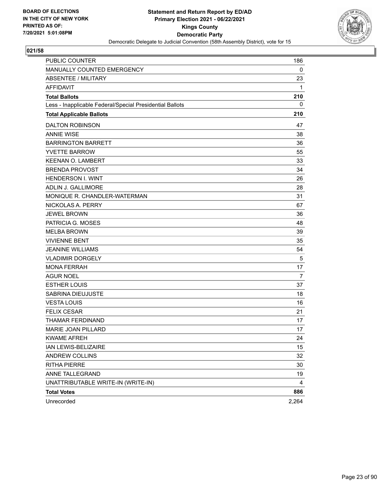

| <b>PUBLIC COUNTER</b>                                    | 186   |
|----------------------------------------------------------|-------|
| MANUALLY COUNTED EMERGENCY                               | 0     |
| ABSENTEE / MILITARY                                      | 23    |
| <b>AFFIDAVIT</b>                                         | 1     |
| <b>Total Ballots</b>                                     | 210   |
| Less - Inapplicable Federal/Special Presidential Ballots | 0     |
| <b>Total Applicable Ballots</b>                          | 210   |
| <b>DALTON ROBINSON</b>                                   | 47    |
| <b>ANNIE WISE</b>                                        | 38    |
| <b>BARRINGTON BARRETT</b>                                | 36    |
| <b>YVETTE BARROW</b>                                     | 55    |
| <b>KEENAN O. LAMBERT</b>                                 | 33    |
| <b>BRENDA PROVOST</b>                                    | 34    |
| <b>HENDERSON I. WINT</b>                                 | 26    |
| ADLIN J. GALLIMORE                                       | 28    |
| MONIQUE R. CHANDLER-WATERMAN                             | 31    |
| NICKOLAS A. PERRY                                        | 67    |
| <b>JEWEL BROWN</b>                                       | 36    |
| PATRICIA G. MOSES                                        | 48    |
| <b>MELBA BROWN</b>                                       | 39    |
| <b>VIVIENNE BENT</b>                                     | 35    |
| <b>JEANINE WILLIAMS</b>                                  | 54    |
| <b>VLADIMIR DORGELY</b>                                  | 5     |
| <b>MONA FERRAH</b>                                       | 17    |
| AGUR NOEL                                                | 7     |
| <b>ESTHER LOUIS</b>                                      | 37    |
| SABRINA DIEUJUSTE                                        | 18    |
| <b>VESTA LOUIS</b>                                       | 16    |
| <b>FELIX CESAR</b>                                       | 21    |
| THAMAR FERDINAND                                         | 17    |
| <b>MARIE JOAN PILLARD</b>                                | 17    |
| <b>KWAME AFREH</b>                                       | 24    |
| IAN LEWIS-BELIZAIRE                                      | 15    |
| ANDREW COLLINS                                           | 32    |
| <b>RITHA PIERRE</b>                                      | 30    |
| ANNE TALLEGRAND                                          | 19    |
| UNATTRIBUTABLE WRITE-IN (WRITE-IN)                       | 4     |
| <b>Total Votes</b>                                       | 886   |
| Unrecorded                                               | 2,264 |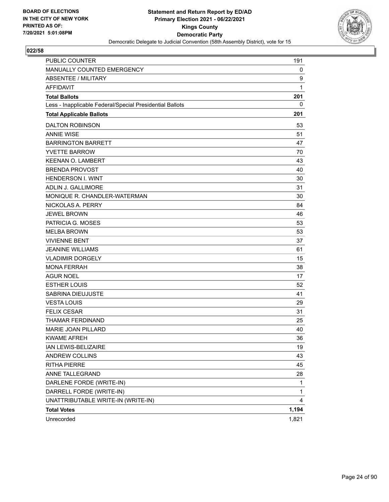

| <b>PUBLIC COUNTER</b>                                    | 191          |
|----------------------------------------------------------|--------------|
| MANUALLY COUNTED EMERGENCY                               | 0            |
| <b>ABSENTEE / MILITARY</b>                               | 9            |
| <b>AFFIDAVIT</b>                                         | 1            |
| <b>Total Ballots</b>                                     | 201          |
| Less - Inapplicable Federal/Special Presidential Ballots | 0            |
| <b>Total Applicable Ballots</b>                          | 201          |
| <b>DALTON ROBINSON</b>                                   | 53           |
| <b>ANNIE WISE</b>                                        | 51           |
| <b>BARRINGTON BARRETT</b>                                | 47           |
| <b>YVETTE BARROW</b>                                     | 70           |
| <b>KEENAN O. LAMBERT</b>                                 | 43           |
| <b>BRENDA PROVOST</b>                                    | 40           |
| <b>HENDERSON I. WINT</b>                                 | 30           |
| <b>ADLIN J. GALLIMORE</b>                                | 31           |
| MONIQUE R. CHANDLER-WATERMAN                             | 30           |
| NICKOLAS A. PERRY                                        | 84           |
| <b>JEWEL BROWN</b>                                       | 46           |
| PATRICIA G. MOSES                                        | 53           |
| <b>MELBA BROWN</b>                                       | 53           |
| <b>VIVIENNE BENT</b>                                     | 37           |
| <b>JEANINE WILLIAMS</b>                                  | 61           |
| <b>VLADIMIR DORGELY</b>                                  | 15           |
| <b>MONA FERRAH</b>                                       | 38           |
| <b>AGUR NOEL</b>                                         | 17           |
| <b>ESTHER LOUIS</b>                                      | 52           |
| SABRINA DIEUJUSTE                                        | 41           |
| <b>VESTA LOUIS</b>                                       | 29           |
| <b>FELIX CESAR</b>                                       | 31           |
| THAMAR FERDINAND                                         | 25           |
| MARIE JOAN PILLARD                                       | 40           |
| <b>KWAME AFREH</b>                                       | 36           |
| IAN LEWIS-BELIZAIRE                                      | 19           |
| ANDREW COLLINS                                           | 43           |
| <b>RITHA PIERRE</b>                                      | 45           |
| ANNE TALLEGRAND                                          | 28           |
| DARLENE FORDE (WRITE-IN)                                 | $\mathbf{1}$ |
| DARRELL FORDE (WRITE-IN)                                 | 1            |
| UNATTRIBUTABLE WRITE-IN (WRITE-IN)                       | 4            |
| <b>Total Votes</b>                                       | 1,194        |
| Unrecorded                                               | 1,821        |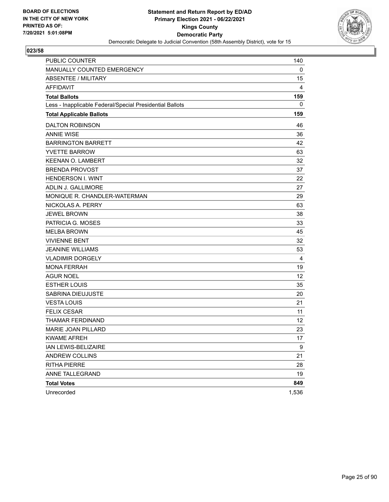

| <b>PUBLIC COUNTER</b>                                    | 140   |
|----------------------------------------------------------|-------|
| MANUALLY COUNTED EMERGENCY                               | 0     |
| <b>ABSENTEE / MILITARY</b>                               | 15    |
| <b>AFFIDAVIT</b>                                         | 4     |
| <b>Total Ballots</b>                                     | 159   |
| Less - Inapplicable Federal/Special Presidential Ballots | 0     |
| <b>Total Applicable Ballots</b>                          | 159   |
| <b>DALTON ROBINSON</b>                                   | 46    |
| <b>ANNIE WISE</b>                                        | 36    |
| <b>BARRINGTON BARRETT</b>                                | 42    |
| <b>YVETTE BARROW</b>                                     | 63    |
| <b>KEENAN O. LAMBERT</b>                                 | 32    |
| <b>BRENDA PROVOST</b>                                    | 37    |
| <b>HENDERSON I. WINT</b>                                 | 22    |
| ADLIN J. GALLIMORE                                       | 27    |
| MONIQUE R. CHANDLER-WATERMAN                             | 29    |
| NICKOLAS A. PERRY                                        | 63    |
| <b>JEWEL BROWN</b>                                       | 38    |
| PATRICIA G. MOSES                                        | 33    |
| <b>MELBA BROWN</b>                                       | 45    |
| <b>VIVIENNE BENT</b>                                     | 32    |
| <b>JEANINE WILLIAMS</b>                                  | 53    |
| <b>VLADIMIR DORGELY</b>                                  | 4     |
| <b>MONA FERRAH</b>                                       | 19    |
| <b>AGUR NOEL</b>                                         | 12    |
| <b>ESTHER LOUIS</b>                                      | 35    |
| SABRINA DIEUJUSTE                                        | 20    |
| <b>VESTA LOUIS</b>                                       | 21    |
| <b>FELIX CESAR</b>                                       | 11    |
| THAMAR FERDINAND                                         | 12    |
| MARIE JOAN PILLARD                                       | 23    |
| <b>KWAME AFREH</b>                                       | 17    |
| IAN LEWIS-BELIZAIRE                                      | 9     |
| <b>ANDREW COLLINS</b>                                    | 21    |
| <b>RITHA PIERRE</b>                                      | 28    |
| ANNE TALLEGRAND                                          | 19    |
| <b>Total Votes</b>                                       | 849   |
| Unrecorded                                               | 1,536 |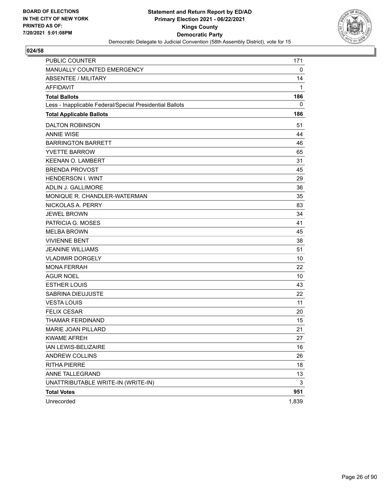

| <b>PUBLIC COUNTER</b>                                    | 171         |
|----------------------------------------------------------|-------------|
| MANUALLY COUNTED EMERGENCY                               | $\mathbf 0$ |
| <b>ABSENTEE / MILITARY</b>                               | 14          |
| <b>AFFIDAVIT</b>                                         | 1           |
| <b>Total Ballots</b>                                     | 186         |
| Less - Inapplicable Federal/Special Presidential Ballots | 0           |
| <b>Total Applicable Ballots</b>                          | 186         |
| <b>DALTON ROBINSON</b>                                   | 51          |
| <b>ANNIE WISE</b>                                        | 44          |
| <b>BARRINGTON BARRETT</b>                                | 46          |
| <b>YVETTE BARROW</b>                                     | 65          |
| <b>KEENAN O. LAMBERT</b>                                 | 31          |
| <b>BRENDA PROVOST</b>                                    | 45          |
| <b>HENDERSON I. WINT</b>                                 | 29          |
| ADLIN J. GALLIMORE                                       | 36          |
| MONIQUE R. CHANDLER-WATERMAN                             | 35          |
| NICKOLAS A. PERRY                                        | 83          |
| <b>JEWEL BROWN</b>                                       | 34          |
| PATRICIA G. MOSES                                        | 41          |
| <b>MELBA BROWN</b>                                       | 45          |
| <b>VIVIENNE BENT</b>                                     | 38          |
| <b>JEANINE WILLIAMS</b>                                  | 51          |
| <b>VLADIMIR DORGELY</b>                                  | 10          |
| <b>MONA FERRAH</b>                                       | 22          |
| AGUR NOEL                                                | 10          |
| <b>ESTHER LOUIS</b>                                      | 43          |
| SABRINA DIEUJUSTE                                        | 22          |
| <b>VESTA LOUIS</b>                                       | 11          |
| <b>FELIX CESAR</b>                                       | 20          |
| THAMAR FERDINAND                                         | 15          |
| <b>MARIE JOAN PILLARD</b>                                | 21          |
| <b>KWAME AFREH</b>                                       | 27          |
| IAN LEWIS-BELIZAIRE                                      | 16          |
| ANDREW COLLINS                                           | 26          |
| <b>RITHA PIERRE</b>                                      | 18          |
| ANNE TALLEGRAND                                          | 13          |
| UNATTRIBUTABLE WRITE-IN (WRITE-IN)                       | 3           |
| <b>Total Votes</b>                                       | 951         |
| Unrecorded                                               | 1,839       |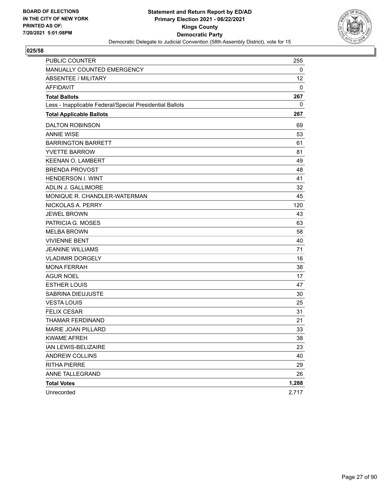

| <b>PUBLIC COUNTER</b>                                    | 255   |
|----------------------------------------------------------|-------|
| MANUALLY COUNTED EMERGENCY                               | 0     |
| <b>ABSENTEE / MILITARY</b>                               | 12    |
| <b>AFFIDAVIT</b>                                         | 0     |
| <b>Total Ballots</b>                                     | 267   |
| Less - Inapplicable Federal/Special Presidential Ballots | 0     |
| <b>Total Applicable Ballots</b>                          | 267   |
| <b>DALTON ROBINSON</b>                                   | 69    |
| <b>ANNIE WISE</b>                                        | 53    |
| <b>BARRINGTON BARRETT</b>                                | 61    |
| <b>YVETTE BARROW</b>                                     | 81    |
| <b>KEENAN O. LAMBERT</b>                                 | 49    |
| <b>BRENDA PROVOST</b>                                    | 48    |
| <b>HENDERSON I. WINT</b>                                 | 41    |
| ADLIN J. GALLIMORE                                       | 32    |
| MONIQUE R. CHANDLER-WATERMAN                             | 45    |
| NICKOLAS A. PERRY                                        | 120   |
| <b>JEWEL BROWN</b>                                       | 43    |
| PATRICIA G. MOSES                                        | 63    |
| <b>MELBA BROWN</b>                                       | 58    |
| <b>VIVIENNE BENT</b>                                     | 40    |
| <b>JEANINE WILLIAMS</b>                                  | 71    |
| <b>VLADIMIR DORGELY</b>                                  | 16    |
| <b>MONA FERRAH</b>                                       | 38    |
| AGUR NOEL                                                | 17    |
| <b>ESTHER LOUIS</b>                                      | 47    |
| SABRINA DIEUJUSTE                                        | 30    |
| <b>VESTA LOUIS</b>                                       | 25    |
| <b>FELIX CESAR</b>                                       | 31    |
| THAMAR FERDINAND                                         | 21    |
| <b>MARIE JOAN PILLARD</b>                                | 33    |
| <b>KWAME AFREH</b>                                       | 38    |
| IAN LEWIS-BELIZAIRE                                      | 23    |
| ANDREW COLLINS                                           | 40    |
| <b>RITHA PIERRE</b>                                      | 29    |
| ANNE TALLEGRAND                                          | 26    |
| <b>Total Votes</b>                                       | 1,288 |
| Unrecorded                                               | 2,717 |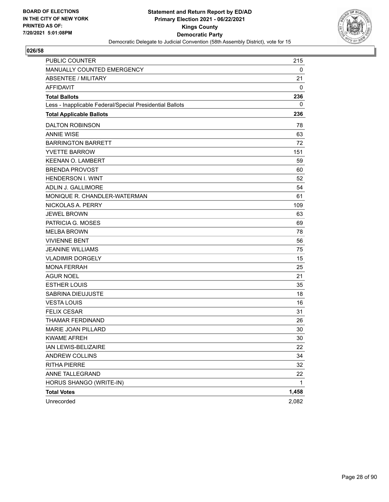

| <b>PUBLIC COUNTER</b>                                    | 215   |
|----------------------------------------------------------|-------|
| MANUALLY COUNTED EMERGENCY                               | 0     |
| <b>ABSENTEE / MILITARY</b>                               | 21    |
| <b>AFFIDAVIT</b>                                         | 0     |
| <b>Total Ballots</b>                                     | 236   |
| Less - Inapplicable Federal/Special Presidential Ballots | 0     |
| <b>Total Applicable Ballots</b>                          | 236   |
| <b>DALTON ROBINSON</b>                                   | 78    |
| <b>ANNIE WISE</b>                                        | 63    |
| <b>BARRINGTON BARRETT</b>                                | 72    |
| <b>YVETTE BARROW</b>                                     | 151   |
| <b>KEENAN O. LAMBERT</b>                                 | 59    |
| <b>BRENDA PROVOST</b>                                    | 60    |
| <b>HENDERSON I. WINT</b>                                 | 52    |
| ADLIN J. GALLIMORE                                       | 54    |
| MONIQUE R. CHANDLER-WATERMAN                             | 61    |
| NICKOLAS A. PERRY                                        | 109   |
| <b>JEWEL BROWN</b>                                       | 63    |
| PATRICIA G. MOSES                                        | 69    |
| <b>MELBA BROWN</b>                                       | 78    |
| <b>VIVIENNE BENT</b>                                     | 56    |
| <b>JEANINE WILLIAMS</b>                                  | 75    |
| <b>VLADIMIR DORGELY</b>                                  | 15    |
| <b>MONA FERRAH</b>                                       | 25    |
| AGUR NOEL                                                | 21    |
| <b>ESTHER LOUIS</b>                                      | 35    |
| SABRINA DIEUJUSTE                                        | 18    |
| <b>VESTA LOUIS</b>                                       | 16    |
| <b>FELIX CESAR</b>                                       | 31    |
| THAMAR FERDINAND                                         | 26    |
| <b>MARIE JOAN PILLARD</b>                                | 30    |
| <b>KWAME AFREH</b>                                       | 30    |
| IAN LEWIS-BELIZAIRE                                      | 22    |
| ANDREW COLLINS                                           | 34    |
| <b>RITHA PIERRE</b>                                      | 32    |
| ANNE TALLEGRAND                                          | 22    |
| HORUS SHANGO (WRITE-IN)                                  | 1     |
| <b>Total Votes</b>                                       | 1,458 |
| Unrecorded                                               | 2,082 |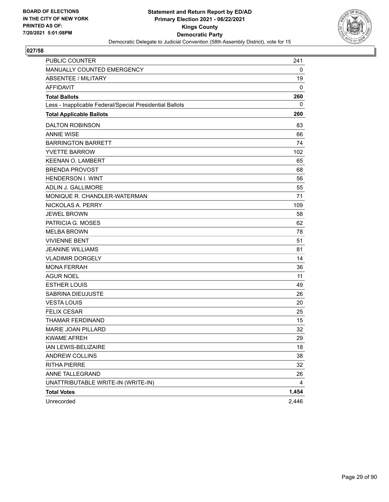

| <b>PUBLIC COUNTER</b>                                    | 241   |
|----------------------------------------------------------|-------|
| MANUALLY COUNTED EMERGENCY                               | 0     |
| <b>ABSENTEE / MILITARY</b>                               | 19    |
| <b>AFFIDAVIT</b>                                         | 0     |
| <b>Total Ballots</b>                                     | 260   |
| Less - Inapplicable Federal/Special Presidential Ballots | 0     |
| <b>Total Applicable Ballots</b>                          | 260   |
| <b>DALTON ROBINSON</b>                                   | 83    |
| <b>ANNIE WISE</b>                                        | 66    |
| <b>BARRINGTON BARRETT</b>                                | 74    |
| <b>YVETTE BARROW</b>                                     | 102   |
| <b>KEENAN O. LAMBERT</b>                                 | 65    |
| <b>BRENDA PROVOST</b>                                    | 68    |
| <b>HENDERSON I. WINT</b>                                 | 56    |
| <b>ADLIN J. GALLIMORE</b>                                | 55    |
| MONIQUE R. CHANDLER-WATERMAN                             | 71    |
| NICKOLAS A. PERRY                                        | 109   |
| <b>JEWEL BROWN</b>                                       | 58    |
| PATRICIA G. MOSES                                        | 62    |
| <b>MELBA BROWN</b>                                       | 78    |
| <b>VIVIENNE BENT</b>                                     | 51    |
| <b>JEANINE WILLIAMS</b>                                  | 81    |
| <b>VLADIMIR DORGELY</b>                                  | 14    |
| <b>MONA FERRAH</b>                                       | 36    |
| <b>AGUR NOEL</b>                                         | 11    |
| <b>ESTHER LOUIS</b>                                      | 49    |
| SABRINA DIEUJUSTE                                        | 26    |
| <b>VESTA LOUIS</b>                                       | 20    |
| <b>FELIX CESAR</b>                                       | 25    |
| THAMAR FERDINAND                                         | 15    |
| MARIE JOAN PILLARD                                       | 32    |
| <b>KWAME AFREH</b>                                       | 29    |
| IAN LEWIS-BELIZAIRE                                      | 18    |
| ANDREW COLLINS                                           | 38    |
| <b>RITHA PIERRE</b>                                      | 32    |
| ANNE TALLEGRAND                                          | 26    |
| UNATTRIBUTABLE WRITE-IN (WRITE-IN)                       | 4     |
| <b>Total Votes</b>                                       | 1,454 |
| Unrecorded                                               | 2,446 |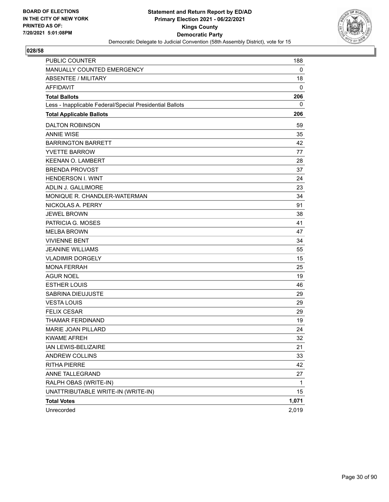

| PUBLIC COUNTER                                           | 188   |
|----------------------------------------------------------|-------|
| MANUALLY COUNTED EMERGENCY                               | 0     |
| ABSENTEE / MILITARY                                      | 18    |
| <b>AFFIDAVIT</b>                                         | 0     |
| <b>Total Ballots</b>                                     | 206   |
| Less - Inapplicable Federal/Special Presidential Ballots | 0     |
| <b>Total Applicable Ballots</b>                          | 206   |
| <b>DALTON ROBINSON</b>                                   | 59    |
| <b>ANNIE WISE</b>                                        | 35    |
| <b>BARRINGTON BARRETT</b>                                | 42    |
| <b>YVETTE BARROW</b>                                     | 77    |
| <b>KEENAN O. LAMBERT</b>                                 | 28    |
| <b>BRENDA PROVOST</b>                                    | 37    |
| <b>HENDERSON I. WINT</b>                                 | 24    |
| ADLIN J. GALLIMORE                                       | 23    |
| MONIQUE R. CHANDLER-WATERMAN                             | 34    |
| NICKOLAS A. PERRY                                        | 91    |
| <b>JEWEL BROWN</b>                                       | 38    |
| PATRICIA G. MOSES                                        | 41    |
| <b>MELBA BROWN</b>                                       | 47    |
| <b>VIVIENNE BENT</b>                                     | 34    |
| <b>JEANINE WILLIAMS</b>                                  | 55    |
| <b>VLADIMIR DORGELY</b>                                  | 15    |
| <b>MONA FERRAH</b>                                       | 25    |
| <b>AGUR NOEL</b>                                         | 19    |
| <b>ESTHER LOUIS</b>                                      | 46    |
| SABRINA DIEUJUSTE                                        | 29    |
| <b>VESTA LOUIS</b>                                       | 29    |
| <b>FELIX CESAR</b>                                       | 29    |
| <b>THAMAR FERDINAND</b>                                  | 19    |
| MARIE JOAN PILLARD                                       | 24    |
| <b>KWAME AFREH</b>                                       | 32    |
| IAN LEWIS-BELIZAIRE                                      | 21    |
| ANDREW COLLINS                                           | 33    |
| <b>RITHA PIERRE</b>                                      | 42    |
| ANNE TALLEGRAND                                          | 27    |
| RALPH OBAS (WRITE-IN)                                    | 1     |
| UNATTRIBUTABLE WRITE-IN (WRITE-IN)                       | 15    |
| <b>Total Votes</b>                                       | 1,071 |
| Unrecorded                                               | 2,019 |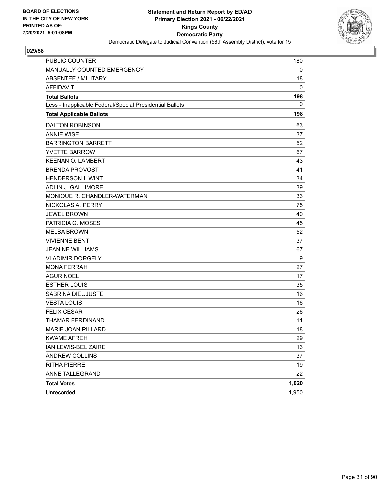

| <b>PUBLIC COUNTER</b>                                    | 180   |
|----------------------------------------------------------|-------|
| MANUALLY COUNTED EMERGENCY                               | 0     |
| <b>ABSENTEE / MILITARY</b>                               | 18    |
| <b>AFFIDAVIT</b>                                         | 0     |
| <b>Total Ballots</b>                                     | 198   |
| Less - Inapplicable Federal/Special Presidential Ballots | 0     |
| <b>Total Applicable Ballots</b>                          | 198   |
| <b>DALTON ROBINSON</b>                                   | 63    |
| <b>ANNIE WISE</b>                                        | 37    |
| <b>BARRINGTON BARRETT</b>                                | 52    |
| <b>YVETTE BARROW</b>                                     | 67    |
| <b>KEENAN O. LAMBERT</b>                                 | 43    |
| <b>BRENDA PROVOST</b>                                    | 41    |
| <b>HENDERSON I. WINT</b>                                 | 34    |
| ADLIN J. GALLIMORE                                       | 39    |
| MONIQUE R. CHANDLER-WATERMAN                             | 33    |
| NICKOLAS A. PERRY                                        | 75    |
| <b>JEWEL BROWN</b>                                       | 40    |
| PATRICIA G. MOSES                                        | 45    |
| <b>MELBA BROWN</b>                                       | 52    |
| <b>VIVIENNE BENT</b>                                     | 37    |
| <b>JEANINE WILLIAMS</b>                                  | 67    |
| <b>VLADIMIR DORGELY</b>                                  | 9     |
| <b>MONA FERRAH</b>                                       | 27    |
| AGUR NOEL                                                | 17    |
| <b>ESTHER LOUIS</b>                                      | 35    |
| SABRINA DIEUJUSTE                                        | 16    |
| <b>VESTA LOUIS</b>                                       | 16    |
| <b>FELIX CESAR</b>                                       | 26    |
| THAMAR FERDINAND                                         | 11    |
| <b>MARIE JOAN PILLARD</b>                                | 18    |
| <b>KWAME AFREH</b>                                       | 29    |
| IAN LEWIS-BELIZAIRE                                      | 13    |
| ANDREW COLLINS                                           | 37    |
| <b>RITHA PIERRE</b>                                      | 19    |
| ANNE TALLEGRAND                                          | 22    |
| <b>Total Votes</b>                                       | 1,020 |
| Unrecorded                                               | 1,950 |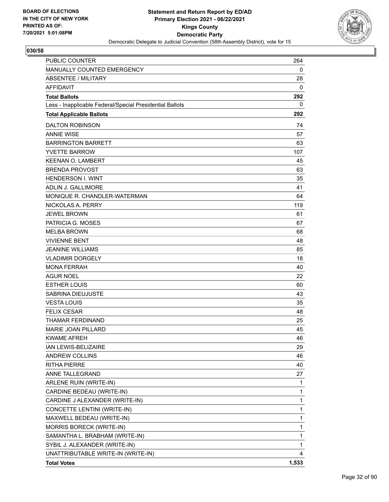

| <b>PUBLIC COUNTER</b>                                    | 264   |
|----------------------------------------------------------|-------|
| MANUALLY COUNTED EMERGENCY                               | 0     |
| ABSENTEE / MILITARY                                      | 28    |
| <b>AFFIDAVIT</b>                                         | 0     |
| <b>Total Ballots</b>                                     | 292   |
| Less - Inapplicable Federal/Special Presidential Ballots | 0     |
| <b>Total Applicable Ballots</b>                          | 292   |
| <b>DALTON ROBINSON</b>                                   | 74    |
| <b>ANNIF WISF</b>                                        | 57    |
| <b>BARRINGTON BARRETT</b>                                | 63    |
| <b>YVETTE BARROW</b>                                     | 107   |
| <b>KEENAN O. LAMBERT</b>                                 | 45    |
| <b>BRENDA PROVOST</b>                                    | 63    |
| <b>HENDERSON I. WINT</b>                                 | 35    |
| ADLIN J. GALLIMORE                                       | 41    |
| MONIQUE R. CHANDLER-WATERMAN                             | 64    |
| NICKOLAS A. PERRY                                        | 119   |
| <b>JEWEL BROWN</b>                                       | 61    |
| PATRICIA G. MOSES                                        | 67    |
| <b>MELBA BROWN</b>                                       | 68    |
| <b>VIVIENNE BENT</b>                                     | 48    |
| <b>JEANINE WILLIAMS</b>                                  | 85    |
| <b>VLADIMIR DORGELY</b>                                  | 18    |
| <b>MONA FERRAH</b>                                       | 40    |
| <b>AGUR NOEL</b>                                         | 22    |
| <b>ESTHER LOUIS</b>                                      | 60    |
| SABRINA DIEUJUSTE                                        | 43    |
| <b>VESTA LOUIS</b>                                       | 35    |
| <b>FELIX CESAR</b>                                       | 48    |
| <b>THAMAR FERDINAND</b>                                  | 25    |
| <b>MARIE JOAN PILLARD</b>                                | 45    |
| <b>KWAME AFREH</b>                                       | 46    |
| IAN LEWIS-BELIZAIRE                                      | 29    |
| <b>ANDREW COLLINS</b>                                    | 46    |
| <b>RITHA PIERRE</b>                                      | 40    |
| ANNE TALLEGRAND                                          | 27    |
| ARLENE RUIN (WRITE-IN)                                   | 1     |
| CARDINE BEDEAU (WRITE-IN)                                | 1     |
| CARDINE J ALEXANDER (WRITE-IN)                           | 1     |
| CONCETTE LENTINI (WRITE-IN)                              | 1     |
| MAXWELL BEDEAU (WRITE-IN)                                | 1     |
| MORRIS BORECK (WRITE-IN)                                 | 1     |
| SAMANTHA L. BRABHAM (WRITE-IN)                           | 1     |
| SYBIL J. ALEXANDER (WRITE-IN)                            | 1     |
| UNATTRIBUTABLE WRITE-IN (WRITE-IN)                       | 4     |
| <b>Total Votes</b>                                       | 1,533 |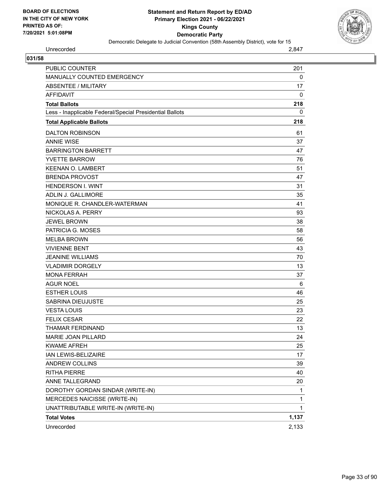

Unrecorded 2,847

| 031/58                                                   |              |
|----------------------------------------------------------|--------------|
| PUBLIC COUNTER                                           | 201          |
| MANUALLY COUNTED EMERGENCY                               | 0            |
| <b>ABSENTEE / MILITARY</b>                               | 17           |
| <b>AFFIDAVIT</b>                                         | $\mathbf 0$  |
| <b>Total Ballots</b>                                     | 218          |
| Less - Inapplicable Federal/Special Presidential Ballots | 0            |
| <b>Total Applicable Ballots</b>                          | 218          |
| <b>DALTON ROBINSON</b>                                   | 61           |
| <b>ANNIE WISE</b>                                        | 37           |
| <b>BARRINGTON BARRETT</b>                                | 47           |
| <b>YVETTE BARROW</b>                                     | 76           |
| <b>KEENAN O. LAMBERT</b>                                 | 51           |
| <b>BRENDA PROVOST</b>                                    | 47           |
| <b>HENDERSON I. WINT</b>                                 | 31           |
| ADLIN J. GALLIMORE                                       | 35           |
| MONIQUE R. CHANDLER-WATERMAN                             | 41           |
| NICKOLAS A. PERRY                                        | 93           |
| <b>JEWEL BROWN</b>                                       | 38           |
| PATRICIA G. MOSES                                        | 58           |
| <b>MELBA BROWN</b>                                       | 56           |
| <b>VIVIENNE BENT</b>                                     | 43           |
| <b>JEANINE WILLIAMS</b>                                  | 70           |
| <b>VLADIMIR DORGELY</b>                                  | 13           |
| <b>MONA FERRAH</b>                                       | 37           |
| <b>AGUR NOEL</b>                                         | 6            |
| <b>ESTHER LOUIS</b>                                      | 46           |
| <b>SABRINA DIEUJUSTE</b>                                 | 25           |
| <b>VESTA LOUIS</b>                                       | 23           |
| <b>FELIX CESAR</b>                                       | 22           |
| THAMAR FERDINAND                                         | 13           |
| MARIE JOAN PILLARD                                       | 24           |
| <b>KWAME AFREH</b>                                       | 25           |
| IAN LEWIS-BELIZAIRE                                      | 17           |
| <b>ANDREW COLLINS</b>                                    | 39           |
| <b>RITHA PIERRE</b>                                      | 40           |
| ANNE TALLEGRAND                                          | 20           |
| DOROTHY GORDAN SINDAR (WRITE-IN)                         | $\mathbf{1}$ |
| MERCEDES NAICISSE (WRITE-IN)                             | $\mathbf{1}$ |
| UNATTRIBUTABLE WRITE-IN (WRITE-IN)                       | $\mathbf{1}$ |
| <b>Total Votes</b>                                       | 1,137        |
| Unrecorded                                               | 2,133        |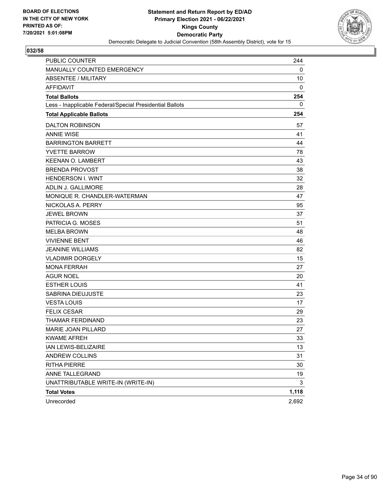

| <b>PUBLIC COUNTER</b>                                    | 244   |
|----------------------------------------------------------|-------|
| MANUALLY COUNTED EMERGENCY                               | 0     |
| <b>ABSENTEE / MILITARY</b>                               | 10    |
| <b>AFFIDAVIT</b>                                         | 0     |
| <b>Total Ballots</b>                                     | 254   |
| Less - Inapplicable Federal/Special Presidential Ballots | 0     |
| <b>Total Applicable Ballots</b>                          | 254   |
| <b>DALTON ROBINSON</b>                                   | 57    |
| <b>ANNIE WISE</b>                                        | 41    |
| <b>BARRINGTON BARRETT</b>                                | 44    |
| <b>YVETTE BARROW</b>                                     | 78    |
| <b>KEENAN O. LAMBERT</b>                                 | 43    |
| <b>BRENDA PROVOST</b>                                    | 38    |
| <b>HENDERSON I. WINT</b>                                 | 32    |
| ADLIN J. GALLIMORE                                       | 28    |
| MONIQUE R. CHANDLER-WATERMAN                             | 47    |
| NICKOLAS A. PERRY                                        | 95    |
| <b>JEWEL BROWN</b>                                       | 37    |
| PATRICIA G. MOSES                                        | 51    |
| <b>MELBA BROWN</b>                                       | 48    |
| <b>VIVIENNE BENT</b>                                     | 46    |
| <b>JEANINE WILLIAMS</b>                                  | 82    |
| <b>VLADIMIR DORGELY</b>                                  | 15    |
| <b>MONA FERRAH</b>                                       | 27    |
| AGUR NOEL                                                | 20    |
| <b>ESTHER LOUIS</b>                                      | 41    |
| SABRINA DIEUJUSTE                                        | 23    |
| <b>VESTA LOUIS</b>                                       | 17    |
| <b>FELIX CESAR</b>                                       | 29    |
| THAMAR FERDINAND                                         | 23    |
| <b>MARIE JOAN PILLARD</b>                                | 27    |
| <b>KWAME AFREH</b>                                       | 33    |
| IAN LEWIS-BELIZAIRE                                      | 13    |
| ANDREW COLLINS                                           | 31    |
| <b>RITHA PIERRE</b>                                      | 30    |
| ANNE TALLEGRAND                                          | 19    |
| UNATTRIBUTABLE WRITE-IN (WRITE-IN)                       | 3     |
| <b>Total Votes</b>                                       | 1,118 |
| Unrecorded                                               | 2,692 |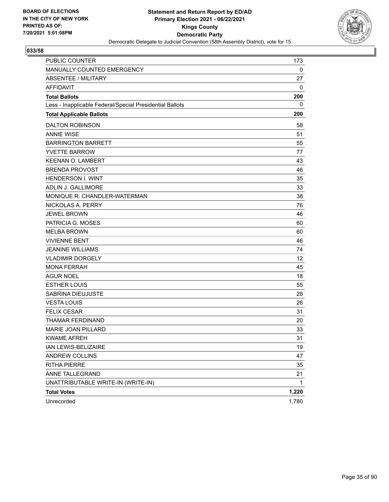

| <b>PUBLIC COUNTER</b>                                    | 173   |
|----------------------------------------------------------|-------|
| MANUALLY COUNTED EMERGENCY                               | 0     |
| ABSENTEE / MILITARY                                      | 27    |
| <b>AFFIDAVIT</b>                                         | 0     |
| <b>Total Ballots</b>                                     | 200   |
| Less - Inapplicable Federal/Special Presidential Ballots | 0     |
| <b>Total Applicable Ballots</b>                          | 200   |
| <b>DALTON ROBINSON</b>                                   | 58    |
| <b>ANNIE WISE</b>                                        | 51    |
| <b>BARRINGTON BARRETT</b>                                | 55    |
| <b>YVETTE BARROW</b>                                     | 77    |
| <b>KEENAN O. LAMBERT</b>                                 | 43    |
| <b>BRENDA PROVOST</b>                                    | 46    |
| <b>HENDERSON I. WINT</b>                                 | 35    |
| ADLIN J. GALLIMORE                                       | 33    |
| MONIQUE R. CHANDLER-WATERMAN                             | 38    |
| NICKOLAS A. PERRY                                        | 76    |
| <b>JEWEL BROWN</b>                                       | 46    |
| PATRICIA G. MOSES                                        | 60    |
| <b>MELBA BROWN</b>                                       | 60    |
| <b>VIVIENNE BENT</b>                                     | 46    |
| <b>JEANINE WILLIAMS</b>                                  | 74    |
| <b>VLADIMIR DORGELY</b>                                  | 12    |
| <b>MONA FERRAH</b>                                       | 45    |
| AGUR NOEL                                                | 18    |
| <b>ESTHER LOUIS</b>                                      | 55    |
| SABRINA DIEUJUSTE                                        | 28    |
| <b>VESTA LOUIS</b>                                       | 26    |
| <b>FELIX CESAR</b>                                       | 31    |
| THAMAR FERDINAND                                         | 20    |
| <b>MARIE JOAN PILLARD</b>                                | 33    |
| <b>KWAME AFREH</b>                                       | 31    |
| IAN LEWIS-BELIZAIRE                                      | 19    |
| ANDREW COLLINS                                           | 47    |
| <b>RITHA PIERRE</b>                                      | 35    |
| ANNE TALLEGRAND                                          | 21    |
| UNATTRIBUTABLE WRITE-IN (WRITE-IN)                       | 1     |
| <b>Total Votes</b>                                       | 1,220 |
| Unrecorded                                               | 1,780 |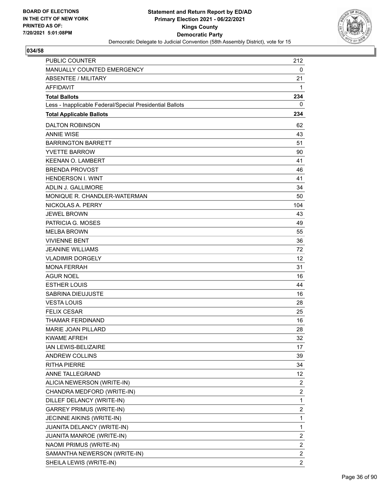

| <b>PUBLIC COUNTER</b>                                    | 212                     |
|----------------------------------------------------------|-------------------------|
| MANUALLY COUNTED EMERGENCY                               | 0                       |
| ABSENTEE / MILITARY                                      | 21                      |
| <b>AFFIDAVIT</b>                                         | 1                       |
| <b>Total Ballots</b>                                     | 234                     |
| Less - Inapplicable Federal/Special Presidential Ballots | 0                       |
| <b>Total Applicable Ballots</b>                          | 234                     |
| <b>DALTON ROBINSON</b>                                   | 62                      |
| <b>ANNIF WISF</b>                                        | 43                      |
| <b>BARRINGTON BARRETT</b>                                | 51                      |
| <b>YVETTE BARROW</b>                                     | 90                      |
| <b>KEENAN O. LAMBERT</b>                                 | 41                      |
| <b>BRENDA PROVOST</b>                                    | 46                      |
| <b>HENDERSON I. WINT</b>                                 | 41                      |
| ADLIN J. GALLIMORE                                       | 34                      |
| MONIQUE R. CHANDLER-WATERMAN                             | 50                      |
| NICKOLAS A. PERRY                                        | 104                     |
| <b>JEWEL BROWN</b>                                       | 43                      |
| PATRICIA G. MOSES                                        | 49                      |
| <b>MELBA BROWN</b>                                       | 55                      |
| <b>VIVIENNE BENT</b>                                     | 36                      |
| <b>JEANINE WILLIAMS</b>                                  | 72                      |
| <b>VLADIMIR DORGELY</b>                                  | 12                      |
| <b>MONA FERRAH</b>                                       | 31                      |
| <b>AGUR NOEL</b>                                         | 16                      |
| <b>ESTHER LOUIS</b>                                      | 44                      |
| SABRINA DIEUJUSTE                                        | 16                      |
| <b>VESTA LOUIS</b>                                       | 28                      |
| <b>FELIX CESAR</b>                                       | 25                      |
| <b>THAMAR FERDINAND</b>                                  | 16                      |
| <b>MARIE JOAN PILLARD</b>                                | 28                      |
| <b>KWAME AFREH</b>                                       | 32                      |
| IAN LEWIS-BELIZAIRE                                      | 17                      |
| <b>ANDREW COLLINS</b>                                    | 39                      |
| <b>RITHA PIERRE</b>                                      | 34                      |
| ANNE TALLEGRAND                                          | 12                      |
| ALICIA NEWERSON (WRITE-IN)                               | $\overline{a}$          |
| CHANDRA MEDFORD (WRITE-IN)                               | $\overline{\mathbf{c}}$ |
| DILLEF DELANCY (WRITE-IN)                                | 1                       |
| <b>GARREY PRIMUS (WRITE-IN)</b>                          | $\overline{\mathbf{c}}$ |
| JECINNE AIKINS (WRITE-IN)                                | 1                       |
| JUANITA DELANCY (WRITE-IN)                               | 1                       |
| JUANITA MANROE (WRITE-IN)                                | $\overline{c}$          |
| NAOMI PRIMUS (WRITE-IN)                                  | $\overline{\mathbf{c}}$ |
| SAMANTHA NEWERSON (WRITE-IN)                             | $\overline{2}$          |
| SHEILA LEWIS (WRITE-IN)                                  | $\overline{2}$          |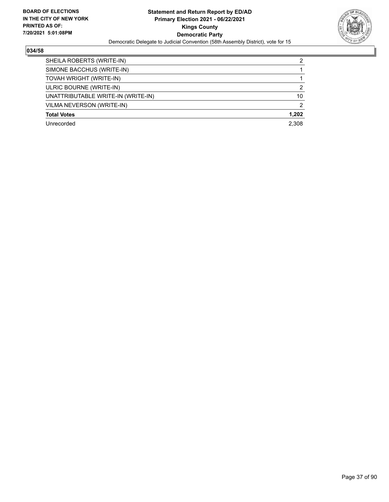

| SHEILA ROBERTS (WRITE-IN)          | 2             |
|------------------------------------|---------------|
| SIMONE BACCHUS (WRITE-IN)          |               |
| TOVAH WRIGHT (WRITE-IN)            |               |
| ULRIC BOURNE (WRITE-IN)            | $\mathcal{P}$ |
| UNATTRIBUTABLE WRITE-IN (WRITE-IN) | 10            |
| VILMA NEVERSON (WRITE-IN)          | 2             |
| <b>Total Votes</b>                 | 1.202         |
| Unrecorded                         | 2.308         |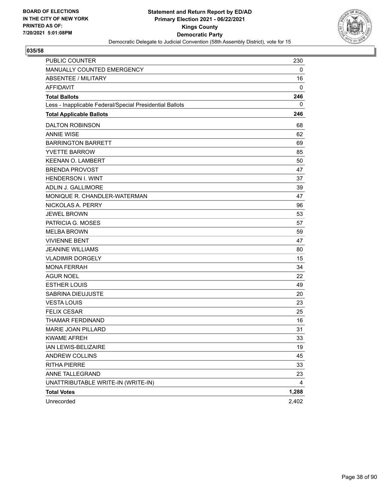

| <b>PUBLIC COUNTER</b>                                    | 230   |
|----------------------------------------------------------|-------|
| MANUALLY COUNTED EMERGENCY                               | 0     |
| ABSENTEE / MILITARY                                      | 16    |
| <b>AFFIDAVIT</b>                                         | 0     |
| <b>Total Ballots</b>                                     | 246   |
| Less - Inapplicable Federal/Special Presidential Ballots | 0     |
| <b>Total Applicable Ballots</b>                          | 246   |
| <b>DALTON ROBINSON</b>                                   | 68    |
| <b>ANNIE WISE</b>                                        | 62    |
| <b>BARRINGTON BARRETT</b>                                | 69    |
| <b>YVETTE BARROW</b>                                     | 85    |
| <b>KEENAN O. LAMBERT</b>                                 | 50    |
| <b>BRENDA PROVOST</b>                                    | 47    |
| <b>HENDERSON I. WINT</b>                                 | 37    |
| ADLIN J. GALLIMORE                                       | 39    |
| MONIQUE R. CHANDLER-WATERMAN                             | 47    |
| NICKOLAS A. PERRY                                        | 96    |
| <b>JEWEL BROWN</b>                                       | 53    |
| PATRICIA G. MOSES                                        | 57    |
| <b>MELBA BROWN</b>                                       | 59    |
| <b>VIVIENNE BENT</b>                                     | 47    |
| <b>JEANINE WILLIAMS</b>                                  | 80    |
| <b>VLADIMIR DORGELY</b>                                  | 15    |
| <b>MONA FERRAH</b>                                       | 34    |
| AGUR NOEL                                                | 22    |
| <b>ESTHER LOUIS</b>                                      | 49    |
| SABRINA DIEUJUSTE                                        | 20    |
| <b>VESTA LOUIS</b>                                       | 23    |
| <b>FELIX CESAR</b>                                       | 25    |
| THAMAR FERDINAND                                         | 16    |
| <b>MARIE JOAN PILLARD</b>                                | 31    |
| <b>KWAME AFREH</b>                                       | 33    |
| IAN LEWIS-BELIZAIRE                                      | 19    |
| ANDREW COLLINS                                           | 45    |
| <b>RITHA PIERRE</b>                                      | 33    |
| ANNE TALLEGRAND                                          | 23    |
| UNATTRIBUTABLE WRITE-IN (WRITE-IN)                       | 4     |
| <b>Total Votes</b>                                       | 1,288 |
| Unrecorded                                               | 2,402 |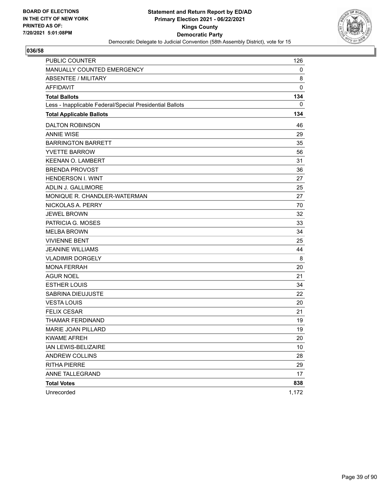

| <b>PUBLIC COUNTER</b>                                    | 126   |
|----------------------------------------------------------|-------|
| MANUALLY COUNTED EMERGENCY                               | 0     |
| ABSENTEE / MILITARY                                      | 8     |
| <b>AFFIDAVIT</b>                                         | 0     |
| <b>Total Ballots</b>                                     | 134   |
| Less - Inapplicable Federal/Special Presidential Ballots | 0     |
| <b>Total Applicable Ballots</b>                          | 134   |
| <b>DALTON ROBINSON</b>                                   | 46    |
| <b>ANNIE WISE</b>                                        | 29    |
| <b>BARRINGTON BARRETT</b>                                | 35    |
| <b>YVETTE BARROW</b>                                     | 56    |
| <b>KEENAN O. LAMBERT</b>                                 | 31    |
| <b>BRENDA PROVOST</b>                                    | 36    |
| <b>HENDERSON I. WINT</b>                                 | 27    |
| ADLIN J. GALLIMORE                                       | 25    |
| MONIQUE R. CHANDLER-WATERMAN                             | 27    |
| NICKOLAS A. PERRY                                        | 70    |
| <b>JEWEL BROWN</b>                                       | 32    |
| PATRICIA G. MOSES                                        | 33    |
| <b>MELBA BROWN</b>                                       | 34    |
| <b>VIVIENNE BENT</b>                                     | 25    |
| <b>JEANINE WILLIAMS</b>                                  | 44    |
| <b>VLADIMIR DORGELY</b>                                  | 8     |
| <b>MONA FERRAH</b>                                       | 20    |
| <b>AGUR NOEL</b>                                         | 21    |
| <b>ESTHER LOUIS</b>                                      | 34    |
| SABRINA DIEUJUSTE                                        | 22    |
| <b>VESTA LOUIS</b>                                       | 20    |
| <b>FELIX CESAR</b>                                       | 21    |
| THAMAR FERDINAND                                         | 19    |
| MARIE JOAN PILLARD                                       | 19    |
| <b>KWAME AFREH</b>                                       | 20    |
| IAN LEWIS-BELIZAIRE                                      | 10    |
| ANDREW COLLINS                                           | 28    |
| <b>RITHA PIERRE</b>                                      | 29    |
| ANNE TALLEGRAND                                          | 17    |
| <b>Total Votes</b>                                       | 838   |
| Unrecorded                                               | 1,172 |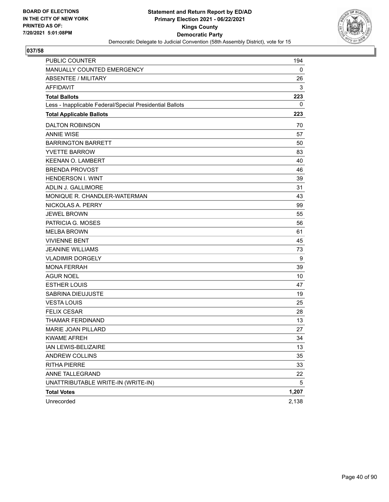

| <b>PUBLIC COUNTER</b>                                    | 194   |
|----------------------------------------------------------|-------|
| MANUALLY COUNTED EMERGENCY                               | 0     |
| <b>ABSENTEE / MILITARY</b>                               | 26    |
| <b>AFFIDAVIT</b>                                         | 3     |
| <b>Total Ballots</b>                                     | 223   |
| Less - Inapplicable Federal/Special Presidential Ballots | 0     |
| <b>Total Applicable Ballots</b>                          | 223   |
| <b>DALTON ROBINSON</b>                                   | 70    |
| <b>ANNIE WISE</b>                                        | 57    |
| <b>BARRINGTON BARRETT</b>                                | 50    |
| <b>YVETTE BARROW</b>                                     | 83    |
| <b>KEENAN O. LAMBERT</b>                                 | 40    |
| <b>BRENDA PROVOST</b>                                    | 46    |
| <b>HENDERSON I. WINT</b>                                 | 39    |
| <b>ADLIN J. GALLIMORE</b>                                | 31    |
| MONIQUE R. CHANDLER-WATERMAN                             | 43    |
| NICKOLAS A. PERRY                                        | 99    |
| <b>JEWEL BROWN</b>                                       | 55    |
| PATRICIA G. MOSES                                        | 56    |
| <b>MELBA BROWN</b>                                       | 61    |
| <b>VIVIENNE BENT</b>                                     | 45    |
| <b>JEANINE WILLIAMS</b>                                  | 73    |
| <b>VLADIMIR DORGELY</b>                                  | 9     |
| <b>MONA FERRAH</b>                                       | 39    |
| <b>AGUR NOEL</b>                                         | 10    |
| <b>ESTHER LOUIS</b>                                      | 47    |
| <b>SABRINA DIEUJUSTE</b>                                 | 19    |
| <b>VESTA LOUIS</b>                                       | 25    |
| <b>FELIX CESAR</b>                                       | 28    |
| THAMAR FERDINAND                                         | 13    |
| MARIE JOAN PILLARD                                       | 27    |
| <b>KWAME AFREH</b>                                       | 34    |
| IAN LEWIS-BELIZAIRE                                      | 13    |
| ANDREW COLLINS                                           | 35    |
| <b>RITHA PIERRE</b>                                      | 33    |
| ANNE TALLEGRAND                                          | 22    |
| UNATTRIBUTABLE WRITE-IN (WRITE-IN)                       | 5     |
| <b>Total Votes</b>                                       | 1,207 |
| Unrecorded                                               | 2,138 |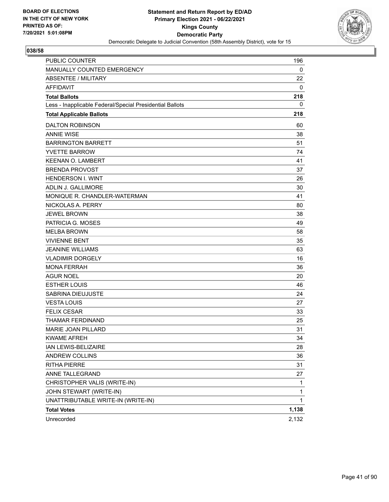

| <b>PUBLIC COUNTER</b>                                    | 196          |
|----------------------------------------------------------|--------------|
| MANUALLY COUNTED EMERGENCY                               | 0            |
| ABSENTEE / MILITARY                                      | 22           |
| <b>AFFIDAVIT</b>                                         | 0            |
| <b>Total Ballots</b>                                     | 218          |
| Less - Inapplicable Federal/Special Presidential Ballots | 0            |
| <b>Total Applicable Ballots</b>                          | 218          |
| <b>DALTON ROBINSON</b>                                   | 60           |
| <b>ANNIE WISE</b>                                        | 38           |
| <b>BARRINGTON BARRETT</b>                                | 51           |
| <b>YVETTE BARROW</b>                                     | 74           |
| <b>KEENAN O. LAMBERT</b>                                 | 41           |
| <b>BRENDA PROVOST</b>                                    | 37           |
| <b>HENDERSON I. WINT</b>                                 | 26           |
| ADLIN J. GALLIMORE                                       | 30           |
| MONIQUE R. CHANDLER-WATERMAN                             | 41           |
| NICKOLAS A. PERRY                                        | 80           |
| <b>JEWEL BROWN</b>                                       | 38           |
| PATRICIA G. MOSES                                        | 49           |
| <b>MELBA BROWN</b>                                       | 58           |
| <b>VIVIENNE BENT</b>                                     | 35           |
| <b>JEANINE WILLIAMS</b>                                  | 63           |
| <b>VLADIMIR DORGELY</b>                                  | 16           |
| <b>MONA FERRAH</b>                                       | 36           |
| <b>AGUR NOEL</b>                                         | 20           |
| <b>ESTHER LOUIS</b>                                      | 46           |
| SABRINA DIEUJUSTE                                        | 24           |
| <b>VESTA LOUIS</b>                                       | 27           |
| <b>FELIX CESAR</b>                                       | 33           |
| THAMAR FERDINAND                                         | 25           |
| MARIE JOAN PILLARD                                       | 31           |
| <b>KWAME AFREH</b>                                       | 34           |
| IAN LEWIS-BELIZAIRE                                      | 28           |
| ANDREW COLLINS                                           | 36           |
| <b>RITHA PIERRE</b>                                      | 31           |
| ANNE TALLEGRAND                                          | 27           |
| CHRISTOPHER VALIS (WRITE-IN)                             | 1            |
| JOHN STEWART (WRITE-IN)                                  | 1            |
| UNATTRIBUTABLE WRITE-IN (WRITE-IN)                       | $\mathbf{1}$ |
| <b>Total Votes</b>                                       | 1,138        |
| Unrecorded                                               | 2,132        |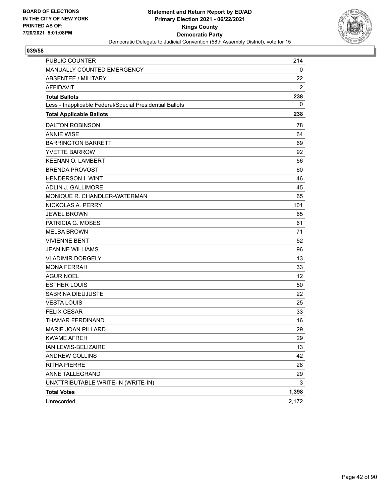

| <b>PUBLIC COUNTER</b>                                    | 214   |
|----------------------------------------------------------|-------|
| MANUALLY COUNTED EMERGENCY                               | 0     |
| ABSENTEE / MILITARY                                      | 22    |
| <b>AFFIDAVIT</b>                                         | 2     |
| <b>Total Ballots</b>                                     | 238   |
| Less - Inapplicable Federal/Special Presidential Ballots | 0     |
| <b>Total Applicable Ballots</b>                          | 238   |
| <b>DALTON ROBINSON</b>                                   | 78    |
| <b>ANNIE WISE</b>                                        | 64    |
| <b>BARRINGTON BARRETT</b>                                | 69    |
| <b>YVETTE BARROW</b>                                     | 92    |
| <b>KEENAN O. LAMBERT</b>                                 | 56    |
| <b>BRENDA PROVOST</b>                                    | 60    |
| <b>HENDERSON I. WINT</b>                                 | 46    |
| <b>ADLIN J. GALLIMORE</b>                                | 45    |
| MONIQUE R. CHANDLER-WATERMAN                             | 65    |
| NICKOLAS A. PERRY                                        | 101   |
| <b>JEWEL BROWN</b>                                       | 65    |
| PATRICIA G. MOSES                                        | 61    |
| <b>MELBA BROWN</b>                                       | 71    |
| <b>VIVIENNE BENT</b>                                     | 52    |
| <b>JEANINE WILLIAMS</b>                                  | 96    |
| <b>VLADIMIR DORGELY</b>                                  | 13    |
| <b>MONA FERRAH</b>                                       | 33    |
| <b>AGUR NOEL</b>                                         | 12    |
| <b>ESTHER LOUIS</b>                                      | 50    |
| SABRINA DIEUJUSTE                                        | 22    |
| <b>VESTA LOUIS</b>                                       | 25    |
| <b>FELIX CESAR</b>                                       | 33    |
| THAMAR FERDINAND                                         | 16    |
| MARIE JOAN PILLARD                                       | 29    |
| <b>KWAME AFREH</b>                                       | 29    |
| IAN LEWIS-BELIZAIRE                                      | 13    |
| <b>ANDREW COLLINS</b>                                    | 42    |
| <b>RITHA PIERRE</b>                                      | 28    |
| ANNE TALLEGRAND                                          | 29    |
| UNATTRIBUTABLE WRITE-IN (WRITE-IN)                       | 3     |
| <b>Total Votes</b>                                       | 1,398 |
| Unrecorded                                               | 2,172 |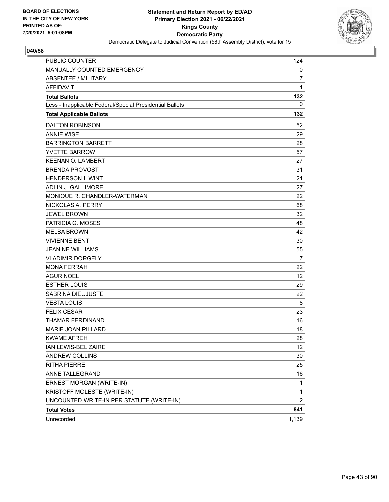

| PUBLIC COUNTER                                           | 124               |
|----------------------------------------------------------|-------------------|
| MANUALLY COUNTED EMERGENCY                               | 0                 |
| ABSENTEE / MILITARY                                      | 7                 |
| <b>AFFIDAVIT</b>                                         | 1                 |
| <b>Total Ballots</b>                                     | 132               |
| Less - Inapplicable Federal/Special Presidential Ballots | 0                 |
| <b>Total Applicable Ballots</b>                          | 132               |
| <b>DALTON ROBINSON</b>                                   | 52                |
| <b>ANNIE WISE</b>                                        | 29                |
| <b>BARRINGTON BARRETT</b>                                | 28                |
| <b>YVETTE BARROW</b>                                     | 57                |
| <b>KEENAN O. LAMBERT</b>                                 | 27                |
| <b>BRENDA PROVOST</b>                                    | 31                |
| <b>HENDERSON I. WINT</b>                                 | 21                |
| ADLIN J. GALLIMORE                                       | 27                |
| MONIQUE R. CHANDLER-WATERMAN                             | 22                |
| NICKOLAS A. PERRY                                        | 68                |
| <b>JEWEL BROWN</b>                                       | 32                |
| PATRICIA G. MOSES                                        | 48                |
| <b>MELBA BROWN</b>                                       | 42                |
| <b>VIVIENNE BENT</b>                                     | 30                |
| <b>JEANINE WILLIAMS</b>                                  | 55                |
| <b>VLADIMIR DORGELY</b>                                  | $\overline{7}$    |
| <b>MONA FERRAH</b>                                       | 22                |
| <b>AGUR NOEL</b>                                         | 12                |
| <b>ESTHER LOUIS</b>                                      | 29                |
| SABRINA DIEUJUSTE                                        | 22                |
| <b>VESTA LOUIS</b>                                       | 8                 |
| <b>FELIX CESAR</b>                                       | 23                |
| THAMAR FERDINAND                                         | 16                |
| <b>MARIE JOAN PILLARD</b>                                | 18                |
| <b>KWAME AFREH</b>                                       | 28                |
| IAN LEWIS-BELIZAIRE                                      | $12 \overline{ }$ |
| <b>ANDREW COLLINS</b>                                    | 30                |
| <b>RITHA PIERRE</b>                                      | 25                |
| ANNE TALLEGRAND                                          | 16                |
| ERNEST MORGAN (WRITE-IN)                                 | 1                 |
| KRISTOFF MOLESTE (WRITE-IN)                              | 1                 |
| UNCOUNTED WRITE-IN PER STATUTE (WRITE-IN)                | $\overline{2}$    |
| <b>Total Votes</b>                                       | 841               |
| Unrecorded                                               | 1,139             |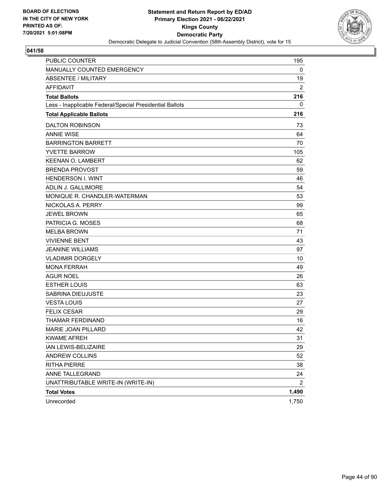

| <b>PUBLIC COUNTER</b>                                    | 195            |
|----------------------------------------------------------|----------------|
| MANUALLY COUNTED EMERGENCY                               | 0              |
| <b>ABSENTEE / MILITARY</b>                               | 19             |
| <b>AFFIDAVIT</b>                                         | $\overline{2}$ |
| <b>Total Ballots</b>                                     | 216            |
| Less - Inapplicable Federal/Special Presidential Ballots | 0              |
| <b>Total Applicable Ballots</b>                          | 216            |
| <b>DALTON ROBINSON</b>                                   | 73             |
| <b>ANNIE WISE</b>                                        | 64             |
| <b>BARRINGTON BARRETT</b>                                | 70             |
| <b>YVETTE BARROW</b>                                     | 105            |
| <b>KEENAN O. LAMBERT</b>                                 | 62             |
| <b>BRENDA PROVOST</b>                                    | 59             |
| <b>HENDERSON I. WINT</b>                                 | 46             |
| ADLIN J. GALLIMORE                                       | 54             |
| MONIQUE R. CHANDLER-WATERMAN                             | 53             |
| NICKOLAS A. PERRY                                        | 99             |
| <b>JEWEL BROWN</b>                                       | 65             |
| PATRICIA G. MOSES                                        | 68             |
| <b>MELBA BROWN</b>                                       | 71             |
| <b>VIVIENNE BENT</b>                                     | 43             |
| <b>JEANINE WILLIAMS</b>                                  | 97             |
| <b>VLADIMIR DORGELY</b>                                  | 10             |
| <b>MONA FERRAH</b>                                       | 49             |
| <b>AGUR NOEL</b>                                         | 26             |
| <b>ESTHER LOUIS</b>                                      | 63             |
| SABRINA DIEUJUSTE                                        | 23             |
| <b>VESTA LOUIS</b>                                       | 27             |
| <b>FELIX CESAR</b>                                       | 29             |
| <b>THAMAR FERDINAND</b>                                  | 16             |
| MARIE JOAN PILLARD                                       | 42             |
| <b>KWAME AFREH</b>                                       | 31             |
| IAN LEWIS-BELIZAIRE                                      | 29             |
| ANDREW COLLINS                                           | 52             |
| <b>RITHA PIERRE</b>                                      | 38             |
| ANNE TALLEGRAND                                          | 24             |
| UNATTRIBUTABLE WRITE-IN (WRITE-IN)                       | $\overline{2}$ |
| <b>Total Votes</b>                                       | 1,490          |
| Unrecorded                                               | 1,750          |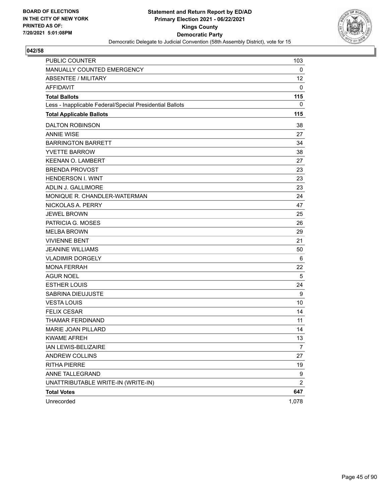

| <b>PUBLIC COUNTER</b>                                    | 103             |
|----------------------------------------------------------|-----------------|
| MANUALLY COUNTED EMERGENCY                               | 0               |
| ABSENTEE / MILITARY                                      | 12 <sup>2</sup> |
| <b>AFFIDAVIT</b>                                         | 0               |
| <b>Total Ballots</b>                                     | 115             |
| Less - Inapplicable Federal/Special Presidential Ballots | 0               |
| <b>Total Applicable Ballots</b>                          | 115             |
| <b>DALTON ROBINSON</b>                                   | 38              |
| <b>ANNIE WISE</b>                                        | 27              |
| <b>BARRINGTON BARRETT</b>                                | 34              |
| <b>YVETTE BARROW</b>                                     | 38              |
| <b>KEENAN O. LAMBERT</b>                                 | 27              |
| <b>BRENDA PROVOST</b>                                    | 23              |
| <b>HENDERSON I. WINT</b>                                 | 23              |
| <b>ADLIN J. GALLIMORE</b>                                | 23              |
| MONIQUE R. CHANDLER-WATERMAN                             | 24              |
| NICKOLAS A. PERRY                                        | 47              |
| <b>JEWEL BROWN</b>                                       | 25              |
| PATRICIA G. MOSES                                        | 26              |
| <b>MELBA BROWN</b>                                       | 29              |
| <b>VIVIENNE BENT</b>                                     | 21              |
| <b>JEANINE WILLIAMS</b>                                  | 50              |
| <b>VLADIMIR DORGELY</b>                                  | 6               |
| <b>MONA FERRAH</b>                                       | 22              |
| <b>AGUR NOEL</b>                                         | 5               |
| <b>ESTHER LOUIS</b>                                      | 24              |
| SABRINA DIEUJUSTE                                        | 9               |
| <b>VESTA LOUIS</b>                                       | 10              |
| <b>FELIX CESAR</b>                                       | 14              |
| THAMAR FERDINAND                                         | 11              |
| MARIE JOAN PILLARD                                       | 14              |
| <b>KWAME AFREH</b>                                       | 13              |
| IAN LEWIS-BELIZAIRE                                      | $\overline{7}$  |
| ANDREW COLLINS                                           | 27              |
| <b>RITHA PIERRE</b>                                      | 19              |
| ANNE TALLEGRAND                                          | 9               |
| UNATTRIBUTABLE WRITE-IN (WRITE-IN)                       | $\overline{c}$  |
| <b>Total Votes</b>                                       | 647             |
| Unrecorded                                               | 1,078           |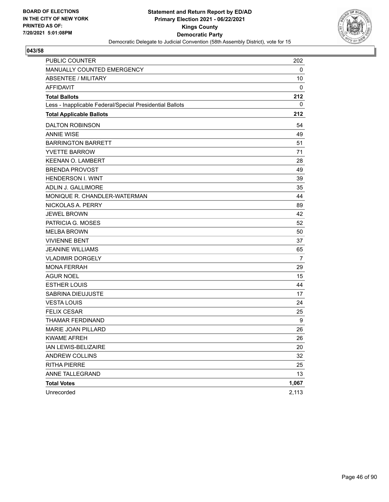

| <b>PUBLIC COUNTER</b>                                    | 202   |
|----------------------------------------------------------|-------|
| MANUALLY COUNTED EMERGENCY                               | 0     |
| ABSENTEE / MILITARY                                      | 10    |
| <b>AFFIDAVIT</b>                                         | 0     |
| <b>Total Ballots</b>                                     | 212   |
| Less - Inapplicable Federal/Special Presidential Ballots | 0     |
| <b>Total Applicable Ballots</b>                          | 212   |
| <b>DALTON ROBINSON</b>                                   | 54    |
| <b>ANNIE WISE</b>                                        | 49    |
| <b>BARRINGTON BARRETT</b>                                | 51    |
| <b>YVETTE BARROW</b>                                     | 71    |
| <b>KEENAN O. LAMBERT</b>                                 | 28    |
| <b>BRENDA PROVOST</b>                                    | 49    |
| <b>HENDERSON I. WINT</b>                                 | 39    |
| ADLIN J. GALLIMORE                                       | 35    |
| MONIQUE R. CHANDLER-WATERMAN                             | 44    |
| NICKOLAS A. PERRY                                        | 89    |
| <b>JEWEL BROWN</b>                                       | 42    |
| PATRICIA G. MOSES                                        | 52    |
| <b>MELBA BROWN</b>                                       | 50    |
| <b>VIVIENNE BENT</b>                                     | 37    |
| <b>JEANINE WILLIAMS</b>                                  | 65    |
| <b>VLADIMIR DORGELY</b>                                  | 7     |
| <b>MONA FERRAH</b>                                       | 29    |
| <b>AGUR NOEL</b>                                         | 15    |
| <b>ESTHER LOUIS</b>                                      | 44    |
| SABRINA DIEUJUSTE                                        | 17    |
| <b>VESTA LOUIS</b>                                       | 24    |
| <b>FELIX CESAR</b>                                       | 25    |
| THAMAR FERDINAND                                         | 9     |
| MARIE JOAN PILLARD                                       | 26    |
| <b>KWAME AFREH</b>                                       | 26    |
| IAN LEWIS-BELIZAIRE                                      | 20    |
| ANDREW COLLINS                                           | 32    |
| <b>RITHA PIERRE</b>                                      | 25    |
| ANNE TALLEGRAND                                          | 13    |
| <b>Total Votes</b>                                       | 1,067 |
| Unrecorded                                               | 2,113 |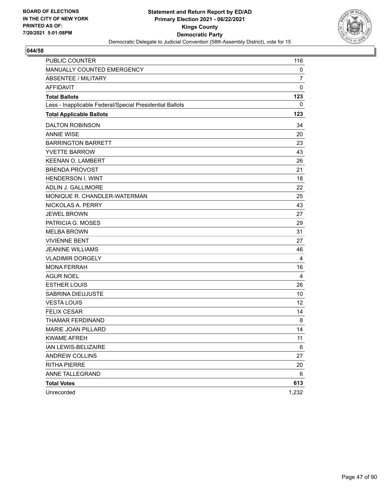

| PUBLIC COUNTER                                           | 116         |
|----------------------------------------------------------|-------------|
| MANUALLY COUNTED EMERGENCY                               | 0           |
| <b>ABSENTEE / MILITARY</b>                               | 7           |
| <b>AFFIDAVIT</b>                                         | $\mathbf 0$ |
| <b>Total Ballots</b>                                     | 123         |
| Less - Inapplicable Federal/Special Presidential Ballots | 0           |
| <b>Total Applicable Ballots</b>                          | 123         |
| <b>DALTON ROBINSON</b>                                   | 34          |
| <b>ANNIE WISE</b>                                        | 20          |
| <b>BARRINGTON BARRETT</b>                                | 23          |
| <b>YVETTE BARROW</b>                                     | 43          |
| <b>KEENAN O. LAMBERT</b>                                 | 26          |
| <b>BRENDA PROVOST</b>                                    | 21          |
| <b>HENDERSON I. WINT</b>                                 | 18          |
| ADLIN J. GALLIMORE                                       | 22          |
| MONIQUE R. CHANDLER-WATERMAN                             | 25          |
| NICKOLAS A. PERRY                                        | 43          |
| <b>JEWEL BROWN</b>                                       | 27          |
| PATRICIA G. MOSES                                        | 29          |
| <b>MELBA BROWN</b>                                       | 31          |
| <b>VIVIENNE BENT</b>                                     | 27          |
| <b>JEANINE WILLIAMS</b>                                  | 46          |
| <b>VLADIMIR DORGELY</b>                                  | 4           |
| <b>MONA FERRAH</b>                                       | 16          |
| <b>AGUR NOEL</b>                                         | 4           |
| <b>ESTHER LOUIS</b>                                      | 26          |
| <b>SABRINA DIEUJUSTE</b>                                 | 10          |
| <b>VESTA LOUIS</b>                                       | 12          |
| <b>FELIX CESAR</b>                                       | 14          |
| THAMAR FERDINAND                                         | 8           |
| MARIE JOAN PILLARD                                       | 14          |
| <b>KWAME AFREH</b>                                       | 11          |
| IAN LEWIS-BELIZAIRE                                      | 6           |
| ANDREW COLLINS                                           | 27          |
| <b>RITHA PIERRE</b>                                      | 20          |
| ANNE TALLEGRAND                                          | 6           |
| <b>Total Votes</b>                                       | 613         |
| Unrecorded                                               | 1,232       |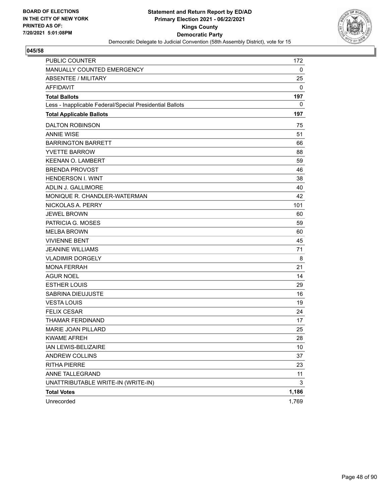

| PUBLIC COUNTER                                           | 172             |
|----------------------------------------------------------|-----------------|
| MANUALLY COUNTED EMERGENCY                               | $\mathbf 0$     |
| ABSENTEE / MILITARY                                      | 25              |
| <b>AFFIDAVIT</b>                                         | 0               |
| <b>Total Ballots</b>                                     | 197             |
| Less - Inapplicable Federal/Special Presidential Ballots | 0               |
| <b>Total Applicable Ballots</b>                          | 197             |
| <b>DALTON ROBINSON</b>                                   | 75              |
| <b>ANNIE WISE</b>                                        | 51              |
| <b>BARRINGTON BARRETT</b>                                | 66              |
| <b>YVETTE BARROW</b>                                     | 88              |
| <b>KEENAN O. LAMBERT</b>                                 | 59              |
| <b>BRENDA PROVOST</b>                                    | 46              |
| <b>HENDERSON I. WINT</b>                                 | 38              |
| ADLIN J. GALLIMORE                                       | 40              |
| MONIQUE R. CHANDLER-WATERMAN                             | 42              |
| NICKOLAS A. PERRY                                        | 101             |
| <b>JEWEL BROWN</b>                                       | 60              |
| PATRICIA G. MOSES                                        | 59              |
| <b>MELBA BROWN</b>                                       | 60              |
| <b>VIVIENNE BENT</b>                                     | 45              |
| <b>JEANINE WILLIAMS</b>                                  | 71              |
| <b>VLADIMIR DORGELY</b>                                  | 8               |
| <b>MONA FERRAH</b>                                       | 21              |
| <b>AGUR NOEL</b>                                         | 14              |
| <b>ESTHER LOUIS</b>                                      | 29              |
| SABRINA DIEUJUSTE                                        | 16              |
| <b>VESTA LOUIS</b>                                       | 19              |
| <b>FELIX CESAR</b>                                       | 24              |
| THAMAR FERDINAND                                         | 17              |
| <b>MARIE JOAN PILLARD</b>                                | 25              |
| KWAME AFREH                                              | 28              |
| IAN LEWIS-BELIZAIRE                                      | 10 <sup>°</sup> |
| <b>ANDREW COLLINS</b>                                    | 37              |
| <b>RITHA PIERRE</b>                                      | 23              |
| ANNE TALLEGRAND                                          | 11              |
| UNATTRIBUTABLE WRITE-IN (WRITE-IN)                       | 3               |
| <b>Total Votes</b>                                       | 1,186           |
| Unrecorded                                               | 1,769           |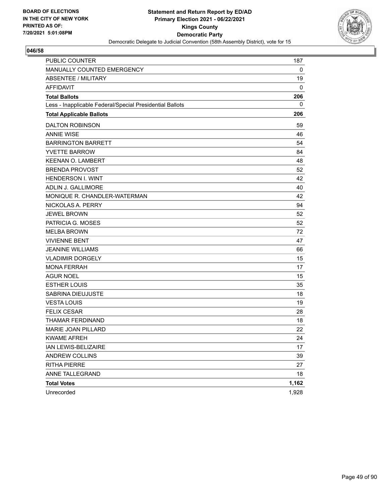

| <b>PUBLIC COUNTER</b>                                    | 187   |
|----------------------------------------------------------|-------|
| MANUALLY COUNTED EMERGENCY                               | 0     |
| ABSENTEE / MILITARY                                      | 19    |
| <b>AFFIDAVIT</b>                                         | 0     |
| <b>Total Ballots</b>                                     | 206   |
| Less - Inapplicable Federal/Special Presidential Ballots | 0     |
| <b>Total Applicable Ballots</b>                          | 206   |
| <b>DALTON ROBINSON</b>                                   | 59    |
| <b>ANNIE WISE</b>                                        | 46    |
| <b>BARRINGTON BARRETT</b>                                | 54    |
| <b>YVETTE BARROW</b>                                     | 84    |
| <b>KEENAN O. LAMBERT</b>                                 | 48    |
| <b>BRENDA PROVOST</b>                                    | 52    |
| <b>HENDERSON I. WINT</b>                                 | 42    |
| ADLIN J. GALLIMORE                                       | 40    |
| MONIQUE R. CHANDLER-WATERMAN                             | 42    |
| NICKOLAS A. PERRY                                        | 94    |
| <b>JEWEL BROWN</b>                                       | 52    |
| PATRICIA G. MOSES                                        | 52    |
| <b>MELBA BROWN</b>                                       | 72    |
| <b>VIVIENNE BENT</b>                                     | 47    |
| <b>JEANINE WILLIAMS</b>                                  | 66    |
| <b>VLADIMIR DORGELY</b>                                  | 15    |
| <b>MONA FERRAH</b>                                       | 17    |
| <b>AGUR NOEL</b>                                         | 15    |
| <b>ESTHER LOUIS</b>                                      | 35    |
| SABRINA DIEUJUSTE                                        | 18    |
| <b>VESTA LOUIS</b>                                       | 19    |
| <b>FELIX CESAR</b>                                       | 28    |
| THAMAR FERDINAND                                         | 18    |
| MARIE JOAN PILLARD                                       | 22    |
| <b>KWAME AFREH</b>                                       | 24    |
| IAN LEWIS-BELIZAIRE                                      | 17    |
| ANDREW COLLINS                                           | 39    |
| <b>RITHA PIERRE</b>                                      | 27    |
| ANNE TALLEGRAND                                          | 18    |
| <b>Total Votes</b>                                       | 1,162 |
| Unrecorded                                               | 1,928 |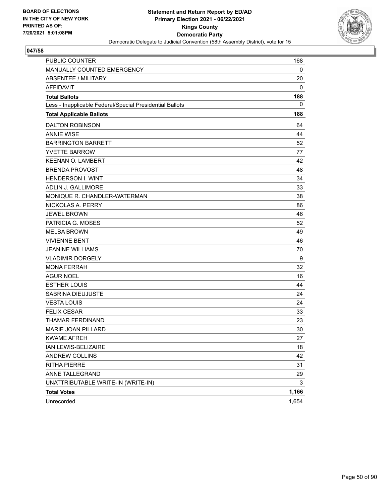

| <b>PUBLIC COUNTER</b>                                    | 168   |
|----------------------------------------------------------|-------|
| MANUALLY COUNTED EMERGENCY                               | 0     |
| ABSENTEE / MILITARY                                      | 20    |
| <b>AFFIDAVIT</b>                                         | 0     |
| <b>Total Ballots</b>                                     | 188   |
| Less - Inapplicable Federal/Special Presidential Ballots | 0     |
| <b>Total Applicable Ballots</b>                          | 188   |
| <b>DALTON ROBINSON</b>                                   | 64    |
| <b>ANNIE WISE</b>                                        | 44    |
| <b>BARRINGTON BARRETT</b>                                | 52    |
| <b>YVETTE BARROW</b>                                     | 77    |
| <b>KEENAN O. LAMBERT</b>                                 | 42    |
| <b>BRENDA PROVOST</b>                                    | 48    |
| <b>HENDERSON I. WINT</b>                                 | 34    |
| <b>ADLIN J. GALLIMORE</b>                                | 33    |
| MONIQUE R. CHANDLER-WATERMAN                             | 38    |
| NICKOLAS A. PERRY                                        | 86    |
| <b>JEWEL BROWN</b>                                       | 46    |
| PATRICIA G. MOSES                                        | 52    |
| <b>MELBA BROWN</b>                                       | 49    |
| <b>VIVIENNE BENT</b>                                     | 46    |
| <b>JEANINE WILLIAMS</b>                                  | 70    |
| <b>VLADIMIR DORGELY</b>                                  | 9     |
| <b>MONA FERRAH</b>                                       | 32    |
| <b>AGUR NOEL</b>                                         | 16    |
| <b>ESTHER LOUIS</b>                                      | 44    |
| SABRINA DIEUJUSTE                                        | 24    |
| <b>VESTA LOUIS</b>                                       | 24    |
| <b>FELIX CESAR</b>                                       | 33    |
| THAMAR FERDINAND                                         | 23    |
| MARIE JOAN PILLARD                                       | 30    |
| <b>KWAME AFREH</b>                                       | 27    |
| IAN LEWIS-BELIZAIRE                                      | 18    |
| ANDREW COLLINS                                           | 42    |
| <b>RITHA PIERRE</b>                                      | 31    |
| ANNE TALLEGRAND                                          | 29    |
| UNATTRIBUTABLE WRITE-IN (WRITE-IN)                       | 3     |
| <b>Total Votes</b>                                       | 1,166 |
| Unrecorded                                               | 1,654 |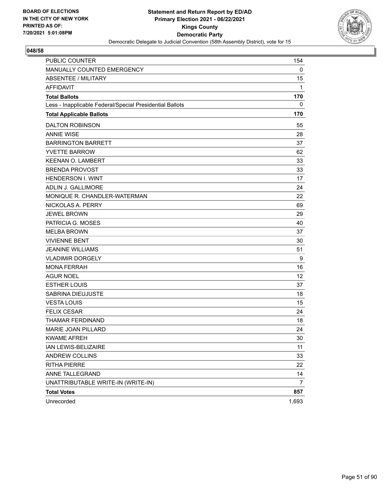

| <b>PUBLIC COUNTER</b>                                    | 154   |
|----------------------------------------------------------|-------|
| MANUALLY COUNTED EMERGENCY                               | 0     |
| <b>ABSENTEE / MILITARY</b>                               | 15    |
| <b>AFFIDAVIT</b>                                         | 1     |
| <b>Total Ballots</b>                                     | 170   |
| Less - Inapplicable Federal/Special Presidential Ballots | 0     |
| <b>Total Applicable Ballots</b>                          | 170   |
| <b>DALTON ROBINSON</b>                                   | 55    |
| <b>ANNIE WISE</b>                                        | 28    |
| <b>BARRINGTON BARRETT</b>                                | 37    |
| <b>YVETTE BARROW</b>                                     | 62    |
| <b>KEENAN O. LAMBERT</b>                                 | 33    |
| <b>BRENDA PROVOST</b>                                    | 33    |
| <b>HENDERSON I. WINT</b>                                 | 17    |
| ADLIN J. GALLIMORE                                       | 24    |
| MONIQUE R. CHANDLER-WATERMAN                             | 22    |
| NICKOLAS A. PERRY                                        | 69    |
| <b>JEWEL BROWN</b>                                       | 29    |
| PATRICIA G. MOSES                                        | 40    |
| <b>MELBA BROWN</b>                                       | 37    |
| <b>VIVIENNE BENT</b>                                     | 30    |
| <b>JEANINE WILLIAMS</b>                                  | 51    |
| <b>VLADIMIR DORGELY</b>                                  | 9     |
| <b>MONA FERRAH</b>                                       | 16    |
| AGUR NOEL                                                | 12    |
| <b>ESTHER LOUIS</b>                                      | 37    |
| SABRINA DIEUJUSTE                                        | 18    |
| <b>VESTA LOUIS</b>                                       | 15    |
| <b>FELIX CESAR</b>                                       | 24    |
| THAMAR FERDINAND                                         | 18    |
| <b>MARIE JOAN PILLARD</b>                                | 24    |
| <b>KWAME AFREH</b>                                       | 30    |
| IAN LEWIS-BELIZAIRE                                      | 11    |
| ANDREW COLLINS                                           | 33    |
| <b>RITHA PIERRE</b>                                      | 22    |
| ANNE TALLEGRAND                                          | 14    |
| UNATTRIBUTABLE WRITE-IN (WRITE-IN)                       | 7     |
| <b>Total Votes</b>                                       | 857   |
| Unrecorded                                               | 1,693 |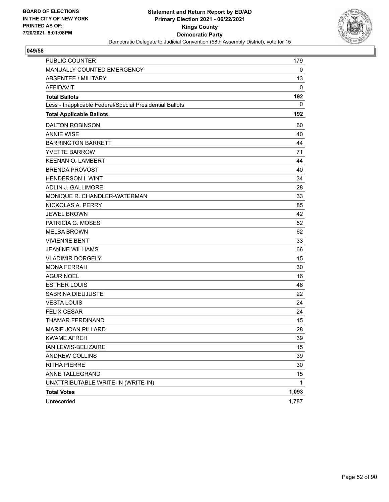

| <b>PUBLIC COUNTER</b>                                    | 179   |
|----------------------------------------------------------|-------|
| MANUALLY COUNTED EMERGENCY                               | 0     |
| ABSENTEE / MILITARY                                      | 13    |
| <b>AFFIDAVIT</b>                                         | 0     |
| <b>Total Ballots</b>                                     | 192   |
| Less - Inapplicable Federal/Special Presidential Ballots | 0     |
| <b>Total Applicable Ballots</b>                          | 192   |
| <b>DALTON ROBINSON</b>                                   | 60    |
| <b>ANNIE WISE</b>                                        | 40    |
| <b>BARRINGTON BARRETT</b>                                | 44    |
| <b>YVETTE BARROW</b>                                     | 71    |
| <b>KEENAN O. LAMBERT</b>                                 | 44    |
| <b>BRENDA PROVOST</b>                                    | 40    |
| <b>HENDERSON I. WINT</b>                                 | 34    |
| ADLIN J. GALLIMORE                                       | 28    |
| MONIQUE R. CHANDLER-WATERMAN                             | 33    |
| NICKOLAS A. PERRY                                        | 85    |
| <b>JEWEL BROWN</b>                                       | 42    |
| PATRICIA G. MOSES                                        | 52    |
| <b>MELBA BROWN</b>                                       | 62    |
| <b>VIVIENNE BENT</b>                                     | 33    |
| <b>JEANINE WILLIAMS</b>                                  | 66    |
| <b>VLADIMIR DORGELY</b>                                  | 15    |
| <b>MONA FERRAH</b>                                       | 30    |
| AGUR NOEL                                                | 16    |
| <b>ESTHER LOUIS</b>                                      | 46    |
| SABRINA DIEUJUSTE                                        | 22    |
| <b>VESTA LOUIS</b>                                       | 24    |
| <b>FELIX CESAR</b>                                       | 24    |
| THAMAR FERDINAND                                         | 15    |
| <b>MARIE JOAN PILLARD</b>                                | 28    |
| <b>KWAME AFREH</b>                                       | 39    |
| IAN LEWIS-BELIZAIRE                                      | 15    |
| ANDREW COLLINS                                           | 39    |
| <b>RITHA PIERRE</b>                                      | 30    |
| ANNE TALLEGRAND                                          | 15    |
| UNATTRIBUTABLE WRITE-IN (WRITE-IN)                       | 1     |
| <b>Total Votes</b>                                       | 1,093 |
| Unrecorded                                               | 1,787 |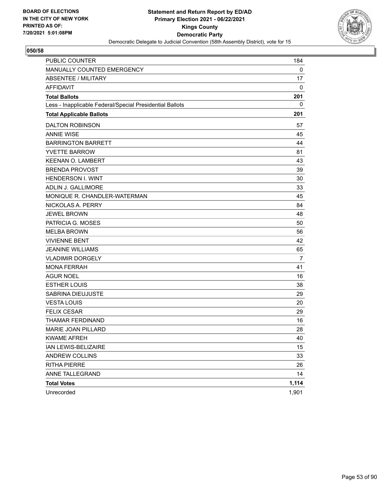

| <b>PUBLIC COUNTER</b>                                    | 184            |
|----------------------------------------------------------|----------------|
| MANUALLY COUNTED EMERGENCY                               | 0              |
| <b>ABSENTEE / MILITARY</b>                               | 17             |
| <b>AFFIDAVIT</b>                                         | 0              |
| <b>Total Ballots</b>                                     | 201            |
| Less - Inapplicable Federal/Special Presidential Ballots | 0              |
| <b>Total Applicable Ballots</b>                          | 201            |
| <b>DALTON ROBINSON</b>                                   | 57             |
| <b>ANNIE WISE</b>                                        | 45             |
| <b>BARRINGTON BARRETT</b>                                | 44             |
| <b>YVETTE BARROW</b>                                     | 81             |
| <b>KEENAN O. LAMBERT</b>                                 | 43             |
| <b>BRENDA PROVOST</b>                                    | 39             |
| <b>HENDERSON I. WINT</b>                                 | 30             |
| ADLIN J. GALLIMORE                                       | 33             |
| MONIQUE R. CHANDLER-WATERMAN                             | 45             |
| NICKOLAS A. PERRY                                        | 84             |
| <b>JEWEL BROWN</b>                                       | 48             |
| PATRICIA G. MOSES                                        | 50             |
| <b>MELBA BROWN</b>                                       | 56             |
| <b>VIVIENNE BENT</b>                                     | 42             |
| <b>JEANINE WILLIAMS</b>                                  | 65             |
| <b>VLADIMIR DORGELY</b>                                  | $\overline{7}$ |
| <b>MONA FERRAH</b>                                       | 41             |
| <b>AGUR NOEL</b>                                         | 16             |
| <b>ESTHER LOUIS</b>                                      | 38             |
| SABRINA DIEUJUSTE                                        | 29             |
| <b>VESTA LOUIS</b>                                       | 20             |
| <b>FELIX CESAR</b>                                       | 29             |
| THAMAR FERDINAND                                         | 16             |
| MARIE JOAN PILLARD                                       | 28             |
| <b>KWAME AFREH</b>                                       | 40             |
| IAN LEWIS-BELIZAIRE                                      | 15             |
| ANDREW COLLINS                                           | 33             |
| <b>RITHA PIERRE</b>                                      | 26             |
| ANNE TALLEGRAND                                          | 14             |
| <b>Total Votes</b>                                       | 1,114          |
| Unrecorded                                               | 1,901          |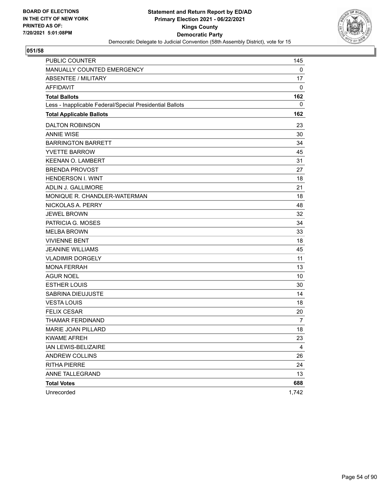

| PUBLIC COUNTER                                           | 145   |
|----------------------------------------------------------|-------|
| MANUALLY COUNTED EMERGENCY                               | 0     |
| <b>ABSENTEE / MILITARY</b>                               | 17    |
| <b>AFFIDAVIT</b>                                         | 0     |
| <b>Total Ballots</b>                                     | 162   |
| Less - Inapplicable Federal/Special Presidential Ballots | 0     |
| <b>Total Applicable Ballots</b>                          | 162   |
| <b>DALTON ROBINSON</b>                                   | 23    |
| <b>ANNIE WISE</b>                                        | 30    |
| <b>BARRINGTON BARRETT</b>                                | 34    |
| <b>YVETTE BARROW</b>                                     | 45    |
| <b>KEENAN O. LAMBERT</b>                                 | 31    |
| <b>BRENDA PROVOST</b>                                    | 27    |
| <b>HENDERSON I. WINT</b>                                 | 18    |
| ADLIN J. GALLIMORE                                       | 21    |
| MONIQUE R. CHANDLER-WATERMAN                             | 18    |
| NICKOLAS A. PERRY                                        | 48    |
| <b>JEWEL BROWN</b>                                       | 32    |
| PATRICIA G. MOSES                                        | 34    |
| <b>MELBA BROWN</b>                                       | 33    |
| <b>VIVIENNE BENT</b>                                     | 18    |
| <b>JEANINE WILLIAMS</b>                                  | 45    |
| <b>VLADIMIR DORGELY</b>                                  | 11    |
| <b>MONA FERRAH</b>                                       | 13    |
| <b>AGUR NOEL</b>                                         | 10    |
| <b>ESTHER LOUIS</b>                                      | 30    |
| SABRINA DIEUJUSTE                                        | 14    |
| <b>VESTA LOUIS</b>                                       | 18    |
| <b>FELIX CESAR</b>                                       | 20    |
| THAMAR FERDINAND                                         | 7     |
| MARIE JOAN PILLARD                                       | 18    |
| <b>KWAME AFREH</b>                                       | 23    |
| IAN LEWIS-BELIZAIRE                                      | 4     |
| <b>ANDREW COLLINS</b>                                    | 26    |
| <b>RITHA PIERRE</b>                                      | 24    |
| ANNE TALLEGRAND                                          | 13    |
| <b>Total Votes</b>                                       | 688   |
| Unrecorded                                               | 1,742 |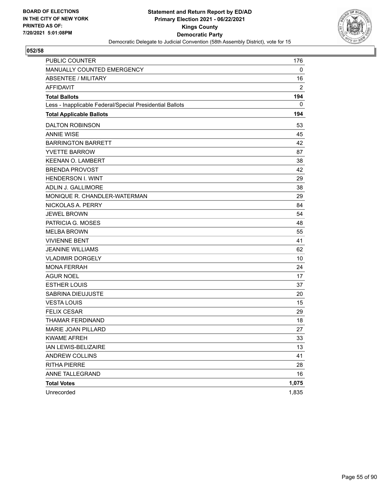

| PUBLIC COUNTER                                           | 176            |
|----------------------------------------------------------|----------------|
| MANUALLY COUNTED EMERGENCY                               | 0              |
| <b>ABSENTEE / MILITARY</b>                               | 16             |
| <b>AFFIDAVIT</b>                                         | $\overline{2}$ |
| <b>Total Ballots</b>                                     | 194            |
| Less - Inapplicable Federal/Special Presidential Ballots | 0              |
| <b>Total Applicable Ballots</b>                          | 194            |
| <b>DALTON ROBINSON</b>                                   | 53             |
| <b>ANNIE WISE</b>                                        | 45             |
| <b>BARRINGTON BARRETT</b>                                | 42             |
| <b>YVETTE BARROW</b>                                     | 87             |
| <b>KEENAN O. LAMBERT</b>                                 | 38             |
| <b>BRENDA PROVOST</b>                                    | 42             |
| <b>HENDERSON I. WINT</b>                                 | 29             |
| <b>ADLIN J. GALLIMORE</b>                                | 38             |
| MONIQUE R. CHANDLER-WATERMAN                             | 29             |
| NICKOLAS A. PERRY                                        | 84             |
| <b>JEWEL BROWN</b>                                       | 54             |
| PATRICIA G. MOSES                                        | 48             |
| <b>MELBA BROWN</b>                                       | 55             |
| <b>VIVIENNE BENT</b>                                     | 41             |
| <b>JEANINE WILLIAMS</b>                                  | 62             |
| <b>VLADIMIR DORGELY</b>                                  | 10             |
| <b>MONA FERRAH</b>                                       | 24             |
| <b>AGUR NOEL</b>                                         | 17             |
| <b>ESTHER LOUIS</b>                                      | 37             |
| <b>SABRINA DIEUJUSTE</b>                                 | 20             |
| <b>VESTA LOUIS</b>                                       | 15             |
| <b>FELIX CESAR</b>                                       | 29             |
| THAMAR FERDINAND                                         | 18             |
| MARIE JOAN PILLARD                                       | 27             |
| <b>KWAME AFREH</b>                                       | 33             |
| IAN LEWIS-BELIZAIRE                                      | 13             |
| ANDREW COLLINS                                           | 41             |
| <b>RITHA PIERRE</b>                                      | 28             |
| ANNE TALLEGRAND                                          | 16             |
| <b>Total Votes</b>                                       | 1,075          |
| Unrecorded                                               | 1,835          |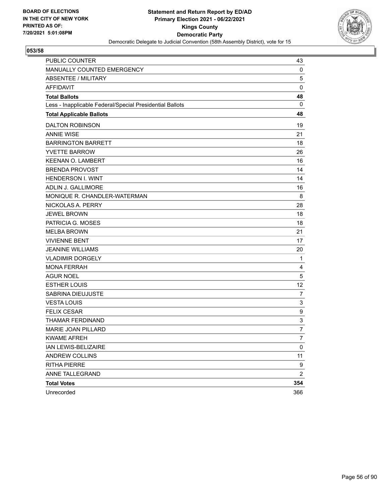

| PUBLIC COUNTER                                           | 43             |
|----------------------------------------------------------|----------------|
| MANUALLY COUNTED EMERGENCY                               | 0              |
| <b>ABSENTEE / MILITARY</b>                               | 5              |
| <b>AFFIDAVIT</b>                                         | $\pmb{0}$      |
| <b>Total Ballots</b>                                     | 48             |
| Less - Inapplicable Federal/Special Presidential Ballots | $\mathbf 0$    |
| <b>Total Applicable Ballots</b>                          | 48             |
| <b>DALTON ROBINSON</b>                                   | 19             |
| <b>ANNIE WISE</b>                                        | 21             |
| <b>BARRINGTON BARRETT</b>                                | 18             |
| <b>YVETTE BARROW</b>                                     | 26             |
| <b>KEENAN O. LAMBERT</b>                                 | 16             |
| <b>BRENDA PROVOST</b>                                    | 14             |
| <b>HENDERSON I. WINT</b>                                 | 14             |
| ADLIN J. GALLIMORE                                       | 16             |
| MONIQUE R. CHANDLER-WATERMAN                             | 8              |
| NICKOLAS A. PERRY                                        | 28             |
| <b>JEWEL BROWN</b>                                       | 18             |
| PATRICIA G. MOSES                                        | 18             |
| <b>MELBA BROWN</b>                                       | 21             |
| <b>VIVIENNE BENT</b>                                     | 17             |
| <b>JEANINE WILLIAMS</b>                                  | 20             |
| <b>VLADIMIR DORGELY</b>                                  | 1              |
| <b>MONA FERRAH</b>                                       | 4              |
| <b>AGUR NOEL</b>                                         | 5              |
| <b>ESTHER LOUIS</b>                                      | 12             |
| SABRINA DIEUJUSTE                                        | $\overline{7}$ |
| <b>VESTA LOUIS</b>                                       | 3              |
| <b>FELIX CESAR</b>                                       | 9              |
| THAMAR FERDINAND                                         | 3              |
| MARIE JOAN PILLARD                                       | 7              |
| <b>KWAME AFREH</b>                                       | $\overline{7}$ |
| IAN LEWIS-BELIZAIRE                                      | 0              |
| ANDREW COLLINS                                           | 11             |
| <b>RITHA PIERRE</b>                                      | 9              |
| ANNE TALLEGRAND                                          | $\overline{2}$ |
| <b>Total Votes</b>                                       | 354            |
| Unrecorded                                               | 366            |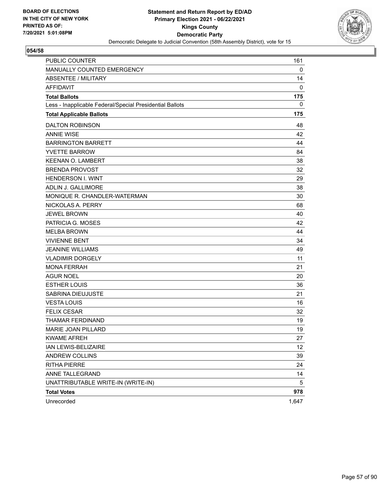

| <b>PUBLIC COUNTER</b>                                    | 161               |
|----------------------------------------------------------|-------------------|
| MANUALLY COUNTED EMERGENCY                               | 0                 |
| ABSENTEE / MILITARY                                      | 14                |
| <b>AFFIDAVIT</b>                                         | 0                 |
| <b>Total Ballots</b>                                     | 175               |
| Less - Inapplicable Federal/Special Presidential Ballots | 0                 |
| <b>Total Applicable Ballots</b>                          | 175               |
| <b>DALTON ROBINSON</b>                                   | 48                |
| <b>ANNIE WISE</b>                                        | 42                |
| <b>BARRINGTON BARRETT</b>                                | 44                |
| <b>YVETTE BARROW</b>                                     | 84                |
| <b>KEENAN O. LAMBERT</b>                                 | 38                |
| <b>BRENDA PROVOST</b>                                    | 32                |
| <b>HENDERSON I. WINT</b>                                 | 29                |
| ADLIN J. GALLIMORE                                       | 38                |
| MONIQUE R. CHANDLER-WATERMAN                             | 30                |
| NICKOLAS A. PERRY                                        | 68                |
| <b>JEWEL BROWN</b>                                       | 40                |
| PATRICIA G. MOSES                                        | 42                |
| <b>MELBA BROWN</b>                                       | 44                |
| <b>VIVIENNE BENT</b>                                     | 34                |
| <b>JEANINE WILLIAMS</b>                                  | 49                |
| <b>VLADIMIR DORGELY</b>                                  | 11                |
| <b>MONA FERRAH</b>                                       | 21                |
| AGUR NOEL                                                | 20                |
| <b>ESTHER LOUIS</b>                                      | 36                |
| SABRINA DIEUJUSTE                                        | 21                |
| <b>VESTA LOUIS</b>                                       | 16                |
| <b>FELIX CESAR</b>                                       | 32                |
| THAMAR FERDINAND                                         | 19                |
| <b>MARIE JOAN PILLARD</b>                                | 19                |
| <b>KWAME AFREH</b>                                       | 27                |
| IAN LEWIS-BELIZAIRE                                      | $12 \overline{ }$ |
| ANDREW COLLINS                                           | 39                |
| <b>RITHA PIERRE</b>                                      | 24                |
| ANNE TALLEGRAND                                          | 14                |
| UNATTRIBUTABLE WRITE-IN (WRITE-IN)                       | 5                 |
| <b>Total Votes</b>                                       | 978               |
| Unrecorded                                               | 1,647             |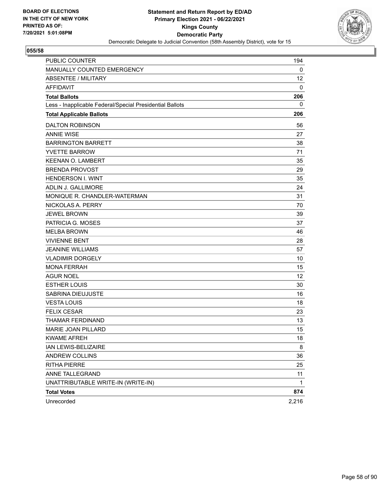

| <b>PUBLIC COUNTER</b>                                    | 194             |
|----------------------------------------------------------|-----------------|
| MANUALLY COUNTED EMERGENCY                               | 0               |
| <b>ABSENTEE / MILITARY</b>                               | 12 <sup>2</sup> |
| <b>AFFIDAVIT</b>                                         | 0               |
| <b>Total Ballots</b>                                     | 206             |
| Less - Inapplicable Federal/Special Presidential Ballots | 0               |
| <b>Total Applicable Ballots</b>                          | 206             |
| <b>DALTON ROBINSON</b>                                   | 56              |
| <b>ANNIE WISE</b>                                        | 27              |
| <b>BARRINGTON BARRETT</b>                                | 38              |
| <b>YVETTE BARROW</b>                                     | 71              |
| <b>KEENAN O. LAMBERT</b>                                 | 35              |
| <b>BRENDA PROVOST</b>                                    | 29              |
| <b>HENDERSON I. WINT</b>                                 | 35              |
| ADLIN J. GALLIMORE                                       | 24              |
| MONIQUE R. CHANDLER-WATERMAN                             | 31              |
| NICKOLAS A. PERRY                                        | 70              |
| <b>JEWEL BROWN</b>                                       | 39              |
| PATRICIA G. MOSES                                        | 37              |
| <b>MELBA BROWN</b>                                       | 46              |
| <b>VIVIENNE BENT</b>                                     | 28              |
| <b>JEANINE WILLIAMS</b>                                  | 57              |
| <b>VLADIMIR DORGELY</b>                                  | 10              |
| <b>MONA FERRAH</b>                                       | 15              |
| <b>AGUR NOEL</b>                                         | 12              |
| <b>ESTHER LOUIS</b>                                      | 30              |
| SABRINA DIEUJUSTE                                        | 16              |
| <b>VESTA LOUIS</b>                                       | 18              |
| <b>FELIX CESAR</b>                                       | 23              |
| THAMAR FERDINAND                                         | 13              |
| MARIE JOAN PILLARD                                       | 15              |
| <b>KWAME AFREH</b>                                       | 18              |
| IAN LEWIS-BELIZAIRE                                      | 8               |
| ANDREW COLLINS                                           | 36              |
| <b>RITHA PIERRE</b>                                      | 25              |
| ANNE TALLEGRAND                                          | 11              |
| UNATTRIBUTABLE WRITE-IN (WRITE-IN)                       | 1               |
| <b>Total Votes</b>                                       | 874             |
| Unrecorded                                               | 2,216           |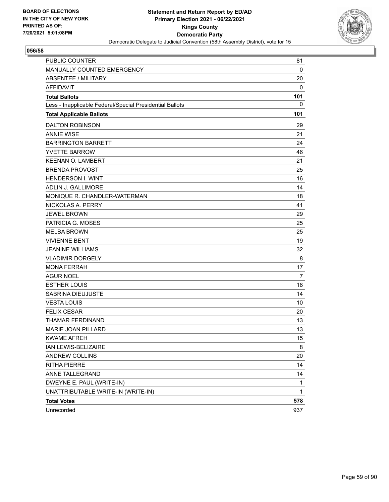

| PUBLIC COUNTER                                           | 81           |
|----------------------------------------------------------|--------------|
| MANUALLY COUNTED EMERGENCY                               | $\mathbf 0$  |
| ABSENTEE / MILITARY                                      | 20           |
| <b>AFFIDAVIT</b>                                         | 0            |
| <b>Total Ballots</b>                                     | 101          |
| Less - Inapplicable Federal/Special Presidential Ballots | 0            |
| <b>Total Applicable Ballots</b>                          | 101          |
| <b>DALTON ROBINSON</b>                                   | 29           |
| <b>ANNIE WISE</b>                                        | 21           |
| <b>BARRINGTON BARRETT</b>                                | 24           |
| <b>YVETTE BARROW</b>                                     | 46           |
| <b>KEENAN O. LAMBERT</b>                                 | 21           |
| <b>BRENDA PROVOST</b>                                    | 25           |
| <b>HENDERSON I. WINT</b>                                 | 16           |
| ADLIN J. GALLIMORE                                       | 14           |
| MONIQUE R. CHANDLER-WATERMAN                             | 18           |
| NICKOLAS A. PERRY                                        | 41           |
| <b>JEWEL BROWN</b>                                       | 29           |
| PATRICIA G. MOSES                                        | 25           |
| <b>MELBA BROWN</b>                                       | 25           |
| <b>VIVIENNE BENT</b>                                     | 19           |
| <b>JEANINE WILLIAMS</b>                                  | 32           |
| <b>VLADIMIR DORGELY</b>                                  | 8            |
| <b>MONA FERRAH</b>                                       | 17           |
| <b>AGUR NOEL</b>                                         | 7            |
| <b>ESTHER LOUIS</b>                                      | 18           |
| SABRINA DIEUJUSTE                                        | 14           |
| <b>VESTA LOUIS</b>                                       | 10           |
| <b>FELIX CESAR</b>                                       | 20           |
| <b>THAMAR FERDINAND</b>                                  | 13           |
| MARIE JOAN PILLARD                                       | 13           |
| <b>KWAME AFREH</b>                                       | 15           |
| IAN LEWIS-BELIZAIRE                                      | 8            |
| ANDREW COLLINS                                           | 20           |
| <b>RITHA PIERRE</b>                                      | 14           |
| ANNE TALLEGRAND                                          | 14           |
| DWEYNE E. PAUL (WRITE-IN)                                | $\mathbf{1}$ |
| UNATTRIBUTABLE WRITE-IN (WRITE-IN)                       | 1            |
| <b>Total Votes</b>                                       | 578          |
| Unrecorded                                               | 937          |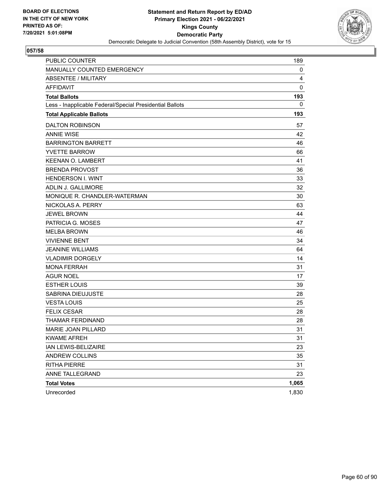

| <b>PUBLIC COUNTER</b>                                    | 189   |
|----------------------------------------------------------|-------|
| MANUALLY COUNTED EMERGENCY                               | 0     |
| <b>ABSENTEE / MILITARY</b>                               | 4     |
| <b>AFFIDAVIT</b>                                         | 0     |
| <b>Total Ballots</b>                                     | 193   |
| Less - Inapplicable Federal/Special Presidential Ballots | 0     |
| <b>Total Applicable Ballots</b>                          | 193   |
| <b>DALTON ROBINSON</b>                                   | 57    |
| <b>ANNIE WISE</b>                                        | 42    |
| <b>BARRINGTON BARRETT</b>                                | 46    |
| <b>YVETTE BARROW</b>                                     | 66    |
| <b>KEENAN O. LAMBERT</b>                                 | 41    |
| <b>BRENDA PROVOST</b>                                    | 36    |
| <b>HENDERSON I. WINT</b>                                 | 33    |
| ADLIN J. GALLIMORE                                       | 32    |
| MONIQUE R. CHANDLER-WATERMAN                             | 30    |
| NICKOLAS A. PERRY                                        | 63    |
| <b>JEWEL BROWN</b>                                       | 44    |
| PATRICIA G. MOSES                                        | 47    |
| <b>MELBA BROWN</b>                                       | 46    |
| <b>VIVIENNE BENT</b>                                     | 34    |
| <b>JEANINE WILLIAMS</b>                                  | 64    |
| <b>VLADIMIR DORGELY</b>                                  | 14    |
| <b>MONA FERRAH</b>                                       | 31    |
| <b>AGUR NOEL</b>                                         | 17    |
| <b>ESTHER LOUIS</b>                                      | 39    |
| SABRINA DIEUJUSTE                                        | 28    |
| <b>VESTA LOUIS</b>                                       | 25    |
| <b>FELIX CESAR</b>                                       | 28    |
| THAMAR FERDINAND                                         | 28    |
| MARIE JOAN PILLARD                                       | 31    |
| <b>KWAME AFREH</b>                                       | 31    |
| IAN LEWIS-BELIZAIRE                                      | 23    |
| ANDREW COLLINS                                           | 35    |
| <b>RITHA PIERRE</b>                                      | 31    |
| ANNE TALLEGRAND                                          | 23    |
| <b>Total Votes</b>                                       | 1,065 |
| Unrecorded                                               | 1,830 |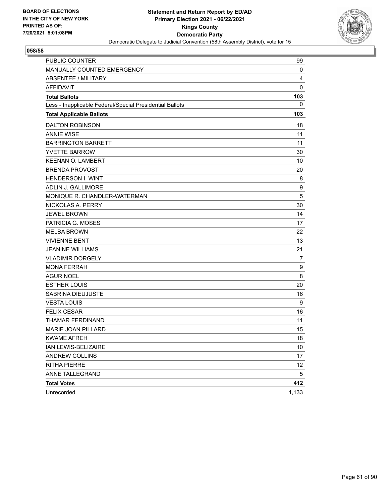

| <b>PUBLIC COUNTER</b>                                    | 99    |
|----------------------------------------------------------|-------|
| MANUALLY COUNTED EMERGENCY                               | 0     |
| <b>ABSENTEE / MILITARY</b>                               | 4     |
| <b>AFFIDAVIT</b>                                         | 0     |
| <b>Total Ballots</b>                                     | 103   |
| Less - Inapplicable Federal/Special Presidential Ballots | 0     |
| <b>Total Applicable Ballots</b>                          | 103   |
| <b>DALTON ROBINSON</b>                                   | 18    |
| <b>ANNIE WISE</b>                                        | 11    |
| <b>BARRINGTON BARRETT</b>                                | 11    |
| <b>YVETTE BARROW</b>                                     | 30    |
| <b>KEENAN O. LAMBERT</b>                                 | 10    |
| <b>BRENDA PROVOST</b>                                    | 20    |
| <b>HENDERSON I. WINT</b>                                 | 8     |
| ADLIN J. GALLIMORE                                       | 9     |
| MONIQUE R. CHANDLER-WATERMAN                             | 5     |
| NICKOLAS A. PERRY                                        | 30    |
| <b>JEWEL BROWN</b>                                       | 14    |
| PATRICIA G. MOSES                                        | 17    |
| <b>MELBA BROWN</b>                                       | 22    |
| <b>VIVIENNE BENT</b>                                     | 13    |
| <b>JEANINE WILLIAMS</b>                                  | 21    |
| <b>VLADIMIR DORGELY</b>                                  | 7     |
| <b>MONA FERRAH</b>                                       | 9     |
| <b>AGUR NOEL</b>                                         | 8     |
| <b>ESTHER LOUIS</b>                                      | 20    |
| SABRINA DIEUJUSTE                                        | 16    |
| <b>VESTA LOUIS</b>                                       | 9     |
| <b>FELIX CESAR</b>                                       | 16    |
| THAMAR FERDINAND                                         | 11    |
| MARIE JOAN PILLARD                                       | 15    |
| <b>KWAME AFREH</b>                                       | 18    |
| IAN LEWIS-BELIZAIRE                                      | 10    |
| ANDREW COLLINS                                           | 17    |
| <b>RITHA PIERRE</b>                                      | 12    |
| ANNE TALLEGRAND                                          | 5     |
| <b>Total Votes</b>                                       | 412   |
| Unrecorded                                               | 1,133 |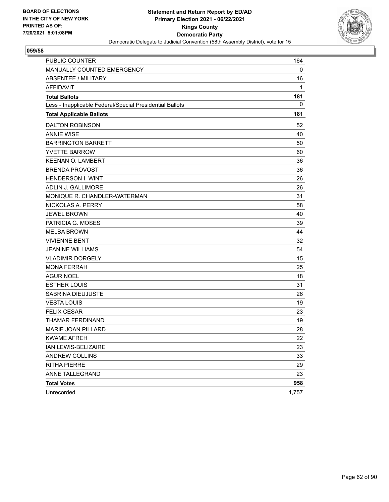

| <b>PUBLIC COUNTER</b>                                    | 164   |
|----------------------------------------------------------|-------|
| MANUALLY COUNTED EMERGENCY                               | 0     |
| ABSENTEE / MILITARY                                      | 16    |
| <b>AFFIDAVIT</b>                                         | 1     |
| <b>Total Ballots</b>                                     | 181   |
| Less - Inapplicable Federal/Special Presidential Ballots | 0     |
| <b>Total Applicable Ballots</b>                          | 181   |
| <b>DALTON ROBINSON</b>                                   | 52    |
| <b>ANNIE WISE</b>                                        | 40    |
| <b>BARRINGTON BARRETT</b>                                | 50    |
| <b>YVETTE BARROW</b>                                     | 60    |
| <b>KEENAN O. LAMBERT</b>                                 | 36    |
| <b>BRENDA PROVOST</b>                                    | 36    |
| <b>HENDERSON I. WINT</b>                                 | 26    |
| ADLIN J. GALLIMORE                                       | 26    |
| MONIQUE R. CHANDLER-WATERMAN                             | 31    |
| NICKOLAS A. PERRY                                        | 58    |
| <b>JEWEL BROWN</b>                                       | 40    |
| PATRICIA G. MOSES                                        | 39    |
| <b>MELBA BROWN</b>                                       | 44    |
| <b>VIVIENNE BENT</b>                                     | 32    |
| <b>JEANINE WILLIAMS</b>                                  | 54    |
| <b>VLADIMIR DORGELY</b>                                  | 15    |
| <b>MONA FERRAH</b>                                       | 25    |
| <b>AGUR NOEL</b>                                         | 18    |
| <b>ESTHER LOUIS</b>                                      | 31    |
| SABRINA DIEUJUSTE                                        | 26    |
| <b>VESTA LOUIS</b>                                       | 19    |
| <b>FELIX CESAR</b>                                       | 23    |
| THAMAR FERDINAND                                         | 19    |
| MARIE JOAN PILLARD                                       | 28    |
| <b>KWAME AFREH</b>                                       | 22    |
| IAN LEWIS-BELIZAIRE                                      | 23    |
| ANDREW COLLINS                                           | 33    |
| <b>RITHA PIERRE</b>                                      | 29    |
| ANNE TALLEGRAND                                          | 23    |
| <b>Total Votes</b>                                       | 958   |
| Unrecorded                                               | 1,757 |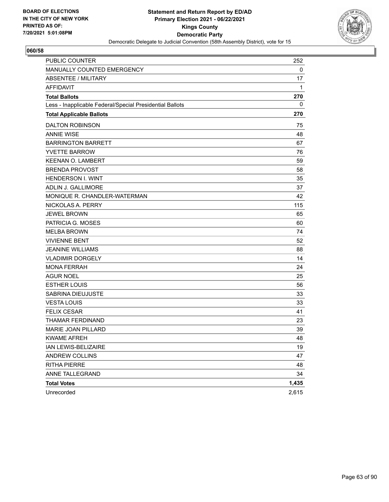

| <b>PUBLIC COUNTER</b>                                    | 252   |
|----------------------------------------------------------|-------|
| MANUALLY COUNTED EMERGENCY                               | 0     |
| <b>ABSENTEE / MILITARY</b>                               | 17    |
| <b>AFFIDAVIT</b>                                         | 1     |
| <b>Total Ballots</b>                                     | 270   |
| Less - Inapplicable Federal/Special Presidential Ballots | 0     |
| <b>Total Applicable Ballots</b>                          | 270   |
| <b>DALTON ROBINSON</b>                                   | 75    |
| <b>ANNIE WISE</b>                                        | 48    |
| <b>BARRINGTON BARRETT</b>                                | 67    |
| <b>YVETTE BARROW</b>                                     | 76    |
| <b>KEENAN O. LAMBERT</b>                                 | 59    |
| <b>BRENDA PROVOST</b>                                    | 58    |
| <b>HENDERSON I. WINT</b>                                 | 35    |
| ADLIN J. GALLIMORE                                       | 37    |
| MONIQUE R. CHANDLER-WATERMAN                             | 42    |
| NICKOLAS A. PERRY                                        | 115   |
| <b>JEWEL BROWN</b>                                       | 65    |
| PATRICIA G. MOSES                                        | 60    |
| <b>MELBA BROWN</b>                                       | 74    |
| <b>VIVIENNE BENT</b>                                     | 52    |
| <b>JEANINE WILLIAMS</b>                                  | 88    |
| <b>VLADIMIR DORGELY</b>                                  | 14    |
| <b>MONA FERRAH</b>                                       | 24    |
| <b>AGUR NOEL</b>                                         | 25    |
| <b>ESTHER LOUIS</b>                                      | 56    |
| SABRINA DIEUJUSTE                                        | 33    |
| <b>VESTA LOUIS</b>                                       | 33    |
| <b>FELIX CESAR</b>                                       | 41    |
| THAMAR FERDINAND                                         | 23    |
| <b>MARIE JOAN PILLARD</b>                                | 39    |
| <b>KWAME AFREH</b>                                       | 48    |
| IAN LEWIS-BELIZAIRE                                      | 19    |
| ANDREW COLLINS                                           | 47    |
| <b>RITHA PIERRE</b>                                      | 48    |
| ANNE TALLEGRAND                                          | 34    |
| <b>Total Votes</b>                                       | 1,435 |
| Unrecorded                                               | 2,615 |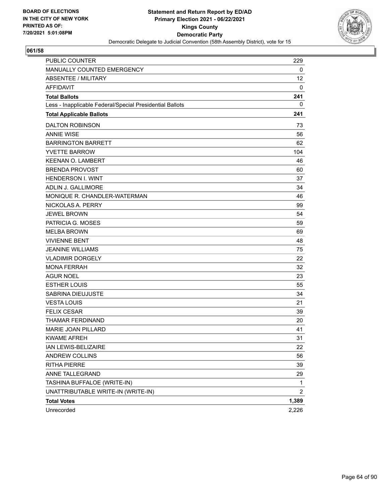

| PUBLIC COUNTER                                           | 229             |
|----------------------------------------------------------|-----------------|
| MANUALLY COUNTED EMERGENCY                               | 0               |
| ABSENTEE / MILITARY                                      | 12 <sup>2</sup> |
| <b>AFFIDAVIT</b>                                         | 0               |
| <b>Total Ballots</b>                                     | 241             |
| Less - Inapplicable Federal/Special Presidential Ballots | 0               |
| <b>Total Applicable Ballots</b>                          | 241             |
| <b>DALTON ROBINSON</b>                                   | 73              |
| <b>ANNIE WISE</b>                                        | 56              |
| <b>BARRINGTON BARRETT</b>                                | 62              |
| <b>YVETTE BARROW</b>                                     | 104             |
| <b>KEENAN O. LAMBERT</b>                                 | 46              |
| <b>BRENDA PROVOST</b>                                    | 60              |
| <b>HENDERSON I. WINT</b>                                 | 37              |
| ADLIN J. GALLIMORE                                       | 34              |
| MONIQUE R. CHANDLER-WATERMAN                             | 46              |
| NICKOLAS A. PERRY                                        | 99              |
| <b>JEWEL BROWN</b>                                       | 54              |
| PATRICIA G. MOSES                                        | 59              |
| <b>MELBA BROWN</b>                                       | 69              |
| <b>VIVIENNE BENT</b>                                     | 48              |
| <b>JEANINE WILLIAMS</b>                                  | 75              |
| <b>VLADIMIR DORGELY</b>                                  | 22              |
| <b>MONA FERRAH</b>                                       | 32              |
| <b>AGUR NOEL</b>                                         | 23              |
| <b>ESTHER LOUIS</b>                                      | 55              |
| SABRINA DIEUJUSTE                                        | 34              |
| <b>VESTA LOUIS</b>                                       | 21              |
| <b>FELIX CESAR</b>                                       | 39              |
| THAMAR FERDINAND                                         | 20              |
| <b>MARIE JOAN PILLARD</b>                                | 41              |
| <b>KWAME AFREH</b>                                       | 31              |
| IAN LEWIS-BELIZAIRE                                      | 22              |
| ANDREW COLLINS                                           | 56              |
| <b>RITHA PIERRE</b>                                      | 39              |
| ANNE TALLEGRAND                                          | 29              |
| TASHINA BUFFALOE (WRITE-IN)                              | 1               |
| UNATTRIBUTABLE WRITE-IN (WRITE-IN)                       | 2               |
| <b>Total Votes</b>                                       | 1,389           |
| Unrecorded                                               | 2,226           |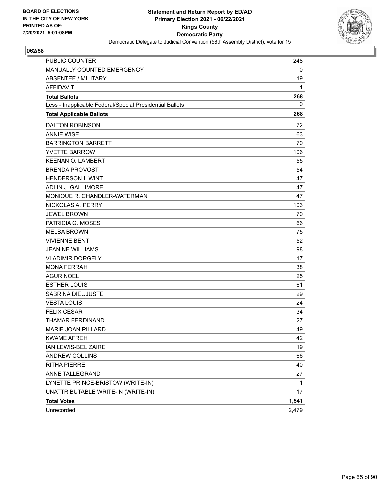

| <b>PUBLIC COUNTER</b>                                    | 248          |
|----------------------------------------------------------|--------------|
| MANUALLY COUNTED EMERGENCY                               | 0            |
| ABSENTEE / MILITARY                                      | 19           |
| <b>AFFIDAVIT</b>                                         | 1            |
| <b>Total Ballots</b>                                     | 268          |
| Less - Inapplicable Federal/Special Presidential Ballots | 0            |
| <b>Total Applicable Ballots</b>                          | 268          |
| <b>DALTON ROBINSON</b>                                   | 72           |
| <b>ANNIE WISE</b>                                        | 63           |
| <b>BARRINGTON BARRETT</b>                                | 70           |
| <b>YVETTE BARROW</b>                                     | 106          |
| <b>KEENAN O. LAMBERT</b>                                 | 55           |
| <b>BRENDA PROVOST</b>                                    | 54           |
| <b>HENDERSON I. WINT</b>                                 | 47           |
| ADLIN J. GALLIMORE                                       | 47           |
| MONIQUE R. CHANDLER-WATERMAN                             | 47           |
| NICKOLAS A. PERRY                                        | 103          |
| <b>JEWEL BROWN</b>                                       | 70           |
| PATRICIA G. MOSES                                        | 66           |
| <b>MELBA BROWN</b>                                       | 75           |
| <b>VIVIENNE BENT</b>                                     | 52           |
| <b>JEANINE WILLIAMS</b>                                  | 98           |
| <b>VLADIMIR DORGELY</b>                                  | 17           |
| <b>MONA FERRAH</b>                                       | 38           |
| AGUR NOEL                                                | 25           |
| <b>ESTHER LOUIS</b>                                      | 61           |
| SABRINA DIEUJUSTE                                        | 29           |
| <b>VESTA LOUIS</b>                                       | 24           |
| <b>FELIX CESAR</b>                                       | 34           |
| THAMAR FERDINAND                                         | 27           |
| <b>MARIE JOAN PILLARD</b>                                | 49           |
| <b>KWAME AFREH</b>                                       | 42           |
| IAN LEWIS-BELIZAIRE                                      | 19           |
| <b>ANDREW COLLINS</b>                                    | 66           |
| RITHA PIERRE                                             | 40           |
| ANNE TALLEGRAND                                          | 27           |
| LYNETTE PRINCE-BRISTOW (WRITE-IN)                        | $\mathbf{1}$ |
| UNATTRIBUTABLE WRITE-IN (WRITE-IN)                       | 17           |
| <b>Total Votes</b>                                       | 1,541        |
| Unrecorded                                               | 2,479        |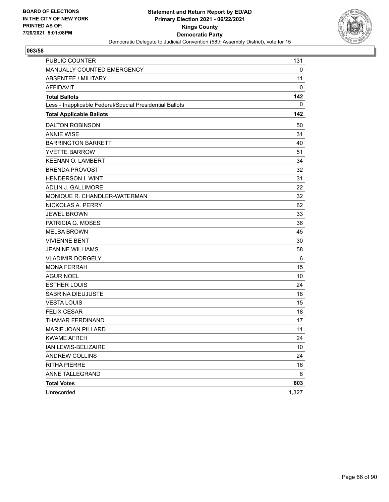

| PUBLIC COUNTER                                           | 131   |
|----------------------------------------------------------|-------|
| MANUALLY COUNTED EMERGENCY                               | 0     |
| ABSENTEE / MILITARY                                      | 11    |
| <b>AFFIDAVIT</b>                                         | 0     |
| <b>Total Ballots</b>                                     | 142   |
| Less - Inapplicable Federal/Special Presidential Ballots | 0     |
| <b>Total Applicable Ballots</b>                          | 142   |
| <b>DALTON ROBINSON</b>                                   | 50    |
| <b>ANNIE WISE</b>                                        | 31    |
| <b>BARRINGTON BARRETT</b>                                | 40    |
| <b>YVETTE BARROW</b>                                     | 51    |
| <b>KEENAN O. LAMBERT</b>                                 | 34    |
| <b>BRENDA PROVOST</b>                                    | 32    |
| <b>HENDERSON I. WINT</b>                                 | 31    |
| ADLIN J. GALLIMORE                                       | 22    |
| MONIQUE R. CHANDLER-WATERMAN                             | 32    |
| NICKOLAS A. PERRY                                        | 62    |
| <b>JEWEL BROWN</b>                                       | 33    |
| PATRICIA G. MOSES                                        | 36    |
| <b>MELBA BROWN</b>                                       | 45    |
| <b>VIVIENNE BENT</b>                                     | 30    |
| <b>JEANINE WILLIAMS</b>                                  | 58    |
| <b>VLADIMIR DORGELY</b>                                  | 6     |
| <b>MONA FERRAH</b>                                       | 15    |
| <b>AGUR NOEL</b>                                         | 10    |
| <b>ESTHER LOUIS</b>                                      | 24    |
| SABRINA DIEUJUSTE                                        | 18    |
| <b>VESTA LOUIS</b>                                       | 15    |
| <b>FELIX CESAR</b>                                       | 18    |
| THAMAR FERDINAND                                         | 17    |
| MARIE JOAN PILLARD                                       | 11    |
| <b>KWAME AFREH</b>                                       | 24    |
| IAN LEWIS-BELIZAIRE                                      | 10    |
| <b>ANDREW COLLINS</b>                                    | 24    |
| <b>RITHA PIERRE</b>                                      | 16    |
| ANNE TALLEGRAND                                          | 8     |
| <b>Total Votes</b>                                       | 803   |
| Unrecorded                                               | 1,327 |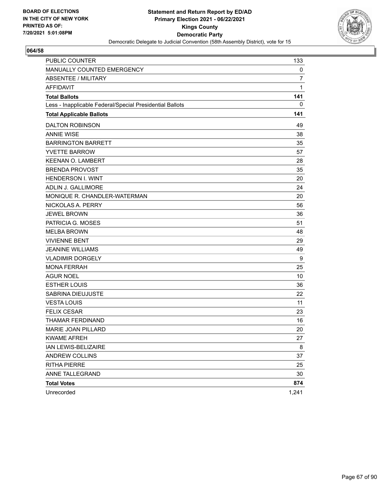

| <b>PUBLIC COUNTER</b>                                    | 133          |
|----------------------------------------------------------|--------------|
| MANUALLY COUNTED EMERGENCY                               | 0            |
| ABSENTEE / MILITARY                                      | 7            |
| <b>AFFIDAVIT</b>                                         | $\mathbf{1}$ |
| <b>Total Ballots</b>                                     | 141          |
| Less - Inapplicable Federal/Special Presidential Ballots | 0            |
| <b>Total Applicable Ballots</b>                          | 141          |
| <b>DALTON ROBINSON</b>                                   | 49           |
| <b>ANNIE WISE</b>                                        | 38           |
| <b>BARRINGTON BARRETT</b>                                | 35           |
| <b>YVETTE BARROW</b>                                     | 57           |
| <b>KEENAN O. LAMBERT</b>                                 | 28           |
| <b>BRENDA PROVOST</b>                                    | 35           |
| <b>HENDERSON I. WINT</b>                                 | 20           |
| ADLIN J. GALLIMORE                                       | 24           |
| MONIQUE R. CHANDLER-WATERMAN                             | 20           |
| NICKOLAS A. PERRY                                        | 56           |
| <b>JEWEL BROWN</b>                                       | 36           |
| PATRICIA G. MOSES                                        | 51           |
| <b>MELBA BROWN</b>                                       | 48           |
| <b>VIVIENNE BENT</b>                                     | 29           |
| <b>JEANINE WILLIAMS</b>                                  | 49           |
| <b>VLADIMIR DORGELY</b>                                  | 9            |
| <b>MONA FERRAH</b>                                       | 25           |
| <b>AGUR NOEL</b>                                         | 10           |
| <b>ESTHER LOUIS</b>                                      | 36           |
| SABRINA DIEUJUSTE                                        | 22           |
| <b>VESTA LOUIS</b>                                       | 11           |
| <b>FELIX CESAR</b>                                       | 23           |
| THAMAR FERDINAND                                         | 16           |
| MARIE JOAN PILLARD                                       | 20           |
| <b>KWAME AFREH</b>                                       | 27           |
| IAN LEWIS-BELIZAIRE                                      | 8            |
| ANDREW COLLINS                                           | 37           |
| <b>RITHA PIERRE</b>                                      | 25           |
| ANNE TALLEGRAND                                          | 30           |
| <b>Total Votes</b>                                       | 874          |
| Unrecorded                                               | 1,241        |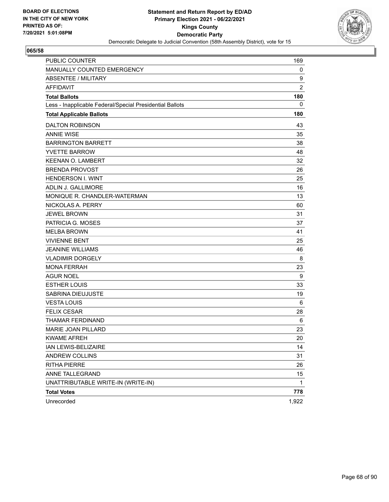

| <b>PUBLIC COUNTER</b>                                    | 169            |
|----------------------------------------------------------|----------------|
| MANUALLY COUNTED EMERGENCY                               | 0              |
| <b>ABSENTEE / MILITARY</b>                               | 9              |
| <b>AFFIDAVIT</b>                                         | $\overline{2}$ |
| <b>Total Ballots</b>                                     | 180            |
| Less - Inapplicable Federal/Special Presidential Ballots | 0              |
| <b>Total Applicable Ballots</b>                          | 180            |
| <b>DALTON ROBINSON</b>                                   | 43             |
| <b>ANNIE WISE</b>                                        | 35             |
| <b>BARRINGTON BARRETT</b>                                | 38             |
| <b>YVETTE BARROW</b>                                     | 48             |
| <b>KEENAN O. LAMBERT</b>                                 | 32             |
| <b>BRENDA PROVOST</b>                                    | 26             |
| <b>HENDERSON I. WINT</b>                                 | 25             |
| ADLIN J. GALLIMORE                                       | 16             |
| MONIQUE R. CHANDLER-WATERMAN                             | 13             |
| NICKOLAS A. PERRY                                        | 60             |
| <b>JEWEL BROWN</b>                                       | 31             |
| PATRICIA G. MOSES                                        | 37             |
| <b>MELBA BROWN</b>                                       | 41             |
| <b>VIVIENNE BENT</b>                                     | 25             |
| <b>JEANINE WILLIAMS</b>                                  | 46             |
| <b>VLADIMIR DORGELY</b>                                  | 8              |
| <b>MONA FERRAH</b>                                       | 23             |
| <b>AGUR NOEL</b>                                         | 9              |
| <b>ESTHER LOUIS</b>                                      | 33             |
| SABRINA DIEUJUSTE                                        | 19             |
| <b>VESTA LOUIS</b>                                       | 6              |
| <b>FELIX CESAR</b>                                       | 28             |
| THAMAR FERDINAND                                         | 6              |
| MARIE JOAN PILLARD                                       | 23             |
| <b>KWAME AFREH</b>                                       | 20             |
| IAN LEWIS-BELIZAIRE                                      | 14             |
| ANDREW COLLINS                                           | 31             |
| <b>RITHA PIERRE</b>                                      | 26             |
| ANNE TALLEGRAND                                          | 15             |
| UNATTRIBUTABLE WRITE-IN (WRITE-IN)                       | $\mathbf{1}$   |
| <b>Total Votes</b>                                       | 778            |
| Unrecorded                                               | 1,922          |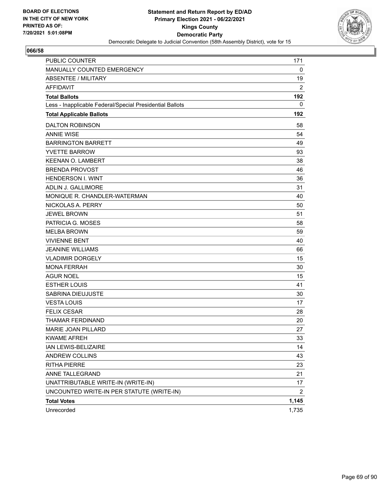

| PUBLIC COUNTER                                           | 171            |
|----------------------------------------------------------|----------------|
| MANUALLY COUNTED EMERGENCY                               | 0              |
| ABSENTEE / MILITARY                                      | 19             |
| <b>AFFIDAVIT</b>                                         | $\overline{2}$ |
| <b>Total Ballots</b>                                     | 192            |
| Less - Inapplicable Federal/Special Presidential Ballots | 0              |
| <b>Total Applicable Ballots</b>                          | 192            |
| <b>DALTON ROBINSON</b>                                   | 58             |
| <b>ANNIE WISE</b>                                        | 54             |
| <b>BARRINGTON BARRETT</b>                                | 49             |
| <b>YVETTE BARROW</b>                                     | 93             |
| <b>KEENAN O. LAMBERT</b>                                 | 38             |
| <b>BRENDA PROVOST</b>                                    | 46             |
| <b>HENDERSON I. WINT</b>                                 | 36             |
| ADLIN J. GALLIMORE                                       | 31             |
| MONIQUE R. CHANDLER-WATERMAN                             | 40             |
| NICKOLAS A. PERRY                                        | 50             |
| <b>JEWEL BROWN</b>                                       | 51             |
| PATRICIA G. MOSES                                        | 58             |
| <b>MELBA BROWN</b>                                       | 59             |
| <b>VIVIENNE BENT</b>                                     | 40             |
| <b>JEANINE WILLIAMS</b>                                  | 66             |
| <b>VLADIMIR DORGELY</b>                                  | 15             |
| <b>MONA FERRAH</b>                                       | 30             |
| <b>AGUR NOEL</b>                                         | 15             |
| <b>ESTHER LOUIS</b>                                      | 41             |
| SABRINA DIEUJUSTE                                        | 30             |
| <b>VESTA LOUIS</b>                                       | 17             |
| <b>FELIX CESAR</b>                                       | 28             |
| THAMAR FERDINAND                                         | 20             |
| <b>MARIE JOAN PILLARD</b>                                | 27             |
| <b>KWAME AFREH</b>                                       | 33             |
| IAN LEWIS-BELIZAIRE                                      | 14             |
| ANDREW COLLINS                                           | 43             |
| <b>RITHA PIERRE</b>                                      | 23             |
| ANNE TALLEGRAND                                          | 21             |
| UNATTRIBUTABLE WRITE-IN (WRITE-IN)                       | 17             |
| UNCOUNTED WRITE-IN PER STATUTE (WRITE-IN)                | 2              |
| <b>Total Votes</b>                                       | 1,145          |
| Unrecorded                                               | 1,735          |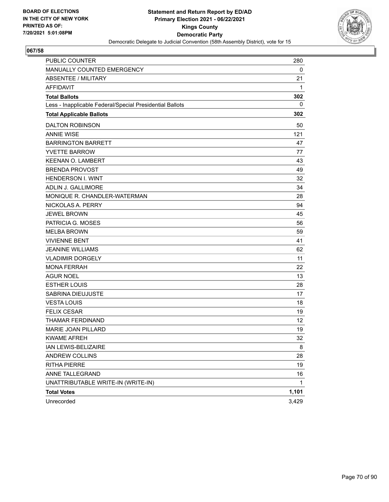

| <b>PUBLIC COUNTER</b>                                    | 280          |
|----------------------------------------------------------|--------------|
| MANUALLY COUNTED EMERGENCY                               | 0            |
| ABSENTEE / MILITARY                                      | 21           |
| <b>AFFIDAVIT</b>                                         | 1            |
| <b>Total Ballots</b>                                     | 302          |
| Less - Inapplicable Federal/Special Presidential Ballots | 0            |
| <b>Total Applicable Ballots</b>                          | 302          |
| <b>DALTON ROBINSON</b>                                   | 50           |
| <b>ANNIE WISE</b>                                        | 121          |
| <b>BARRINGTON BARRETT</b>                                | 47           |
| <b>YVETTE BARROW</b>                                     | 77           |
| <b>KEENAN O. LAMBERT</b>                                 | 43           |
| <b>BRENDA PROVOST</b>                                    | 49           |
| <b>HENDERSON I. WINT</b>                                 | 32           |
| <b>ADLIN J. GALLIMORE</b>                                | 34           |
| MONIQUE R. CHANDLER-WATERMAN                             | 28           |
| NICKOLAS A. PERRY                                        | 94           |
| <b>JEWEL BROWN</b>                                       | 45           |
| PATRICIA G. MOSES                                        | 56           |
| <b>MELBA BROWN</b>                                       | 59           |
| <b>VIVIENNE BENT</b>                                     | 41           |
| <b>JEANINE WILLIAMS</b>                                  | 62           |
| <b>VLADIMIR DORGELY</b>                                  | 11           |
| <b>MONA FERRAH</b>                                       | 22           |
| <b>AGUR NOEL</b>                                         | 13           |
| <b>ESTHER LOUIS</b>                                      | 28           |
| SABRINA DIEUJUSTE                                        | 17           |
| <b>VESTA LOUIS</b>                                       | 18           |
| <b>FELIX CESAR</b>                                       | 19           |
| <b>THAMAR FERDINAND</b>                                  | 12           |
| MARIE JOAN PILLARD                                       | 19           |
| <b>KWAME AFREH</b>                                       | 32           |
| IAN LEWIS-BELIZAIRE                                      | 8            |
| ANDREW COLLINS                                           | 28           |
| <b>RITHA PIERRE</b>                                      | 19           |
| ANNE TALLEGRAND                                          | 16           |
| UNATTRIBUTABLE WRITE-IN (WRITE-IN)                       | $\mathbf{1}$ |
| <b>Total Votes</b>                                       | 1,101        |
| Unrecorded                                               | 3,429        |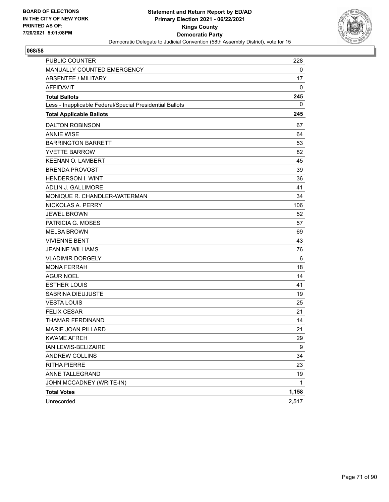

| <b>PUBLIC COUNTER</b>                                    | 228   |
|----------------------------------------------------------|-------|
| MANUALLY COUNTED EMERGENCY                               | 0     |
| ABSENTEE / MILITARY                                      | 17    |
| <b>AFFIDAVIT</b>                                         | 0     |
| <b>Total Ballots</b>                                     | 245   |
| Less - Inapplicable Federal/Special Presidential Ballots | 0     |
| <b>Total Applicable Ballots</b>                          | 245   |
| <b>DALTON ROBINSON</b>                                   | 67    |
| <b>ANNIE WISE</b>                                        | 64    |
| <b>BARRINGTON BARRETT</b>                                | 53    |
| <b>YVETTE BARROW</b>                                     | 82    |
| <b>KEENAN O. LAMBERT</b>                                 | 45    |
| <b>BRENDA PROVOST</b>                                    | 39    |
| <b>HENDERSON I. WINT</b>                                 | 36    |
| ADLIN J. GALLIMORE                                       | 41    |
| MONIQUE R. CHANDLER-WATERMAN                             | 34    |
| NICKOLAS A. PERRY                                        | 106   |
| <b>JEWEL BROWN</b>                                       | 52    |
| PATRICIA G. MOSES                                        | 57    |
| <b>MELBA BROWN</b>                                       | 69    |
| <b>VIVIENNE BENT</b>                                     | 43    |
| <b>JEANINE WILLIAMS</b>                                  | 76    |
| <b>VLADIMIR DORGELY</b>                                  | 6     |
| <b>MONA FERRAH</b>                                       | 18    |
| AGUR NOEL                                                | 14    |
| <b>ESTHER LOUIS</b>                                      | 41    |
| SABRINA DIEUJUSTE                                        | 19    |
| <b>VESTA LOUIS</b>                                       | 25    |
| <b>FELIX CESAR</b>                                       | 21    |
| THAMAR FERDINAND                                         | 14    |
| <b>MARIE JOAN PILLARD</b>                                | 21    |
| <b>KWAME AFREH</b>                                       | 29    |
| IAN LEWIS-BELIZAIRE                                      | 9     |
| ANDREW COLLINS                                           | 34    |
| <b>RITHA PIERRE</b>                                      | 23    |
| ANNE TALLEGRAND                                          | 19    |
| JOHN MCCADNEY (WRITE-IN)                                 | 1     |
| <b>Total Votes</b>                                       | 1,158 |
| Unrecorded                                               | 2,517 |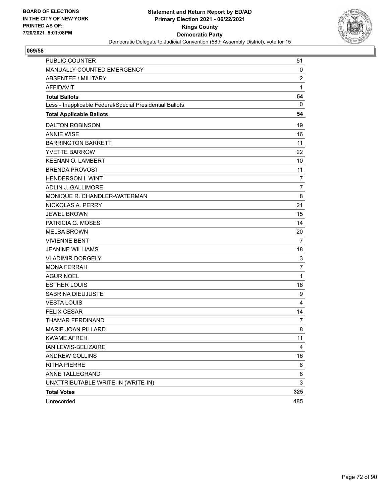

| PUBLIC COUNTER                                           | 51                      |
|----------------------------------------------------------|-------------------------|
| MANUALLY COUNTED EMERGENCY                               | 0                       |
| <b>ABSENTEE / MILITARY</b>                               | $\overline{\mathbf{c}}$ |
| <b>AFFIDAVIT</b>                                         | 1                       |
| <b>Total Ballots</b>                                     | 54                      |
| Less - Inapplicable Federal/Special Presidential Ballots | $\mathbf{0}$            |
| <b>Total Applicable Ballots</b>                          | 54                      |
| <b>DALTON ROBINSON</b>                                   | 19                      |
| <b>ANNIE WISE</b>                                        | 16                      |
| <b>BARRINGTON BARRETT</b>                                | 11                      |
| <b>YVETTE BARROW</b>                                     | 22                      |
| <b>KEENAN O. LAMBERT</b>                                 | 10                      |
| <b>BRENDA PROVOST</b>                                    | 11                      |
| <b>HENDERSON I. WINT</b>                                 | $\overline{7}$          |
| <b>ADLIN J. GALLIMORE</b>                                | $\overline{7}$          |
| MONIQUE R. CHANDLER-WATERMAN                             | 8                       |
| NICKOLAS A. PERRY                                        | 21                      |
| <b>JEWEL BROWN</b>                                       | 15                      |
| PATRICIA G. MOSES                                        | 14                      |
| <b>MELBA BROWN</b>                                       | 20                      |
| <b>VIVIENNE BENT</b>                                     | $\overline{7}$          |
| <b>JEANINE WILLIAMS</b>                                  | 18                      |
| <b>VLADIMIR DORGELY</b>                                  | 3                       |
| <b>MONA FERRAH</b>                                       | $\overline{7}$          |
| <b>AGUR NOEL</b>                                         | 1                       |
| <b>ESTHER LOUIS</b>                                      | 16                      |
| <b>SABRINA DIEUJUSTE</b>                                 | 9                       |
| <b>VESTA LOUIS</b>                                       | 4                       |
| <b>FELIX CESAR</b>                                       | 14                      |
| THAMAR FERDINAND                                         | $\overline{7}$          |
| MARIE JOAN PILLARD                                       | 8                       |
| <b>KWAME AFREH</b>                                       | 11                      |
| IAN LEWIS-BELIZAIRE                                      | $\overline{4}$          |
| <b>ANDREW COLLINS</b>                                    | 16                      |
| <b>RITHA PIERRE</b>                                      | 8                       |
| ANNE TALLEGRAND                                          | 8                       |
| UNATTRIBUTABLE WRITE-IN (WRITE-IN)                       | 3                       |
| <b>Total Votes</b>                                       | 325                     |
| Unrecorded                                               | 485                     |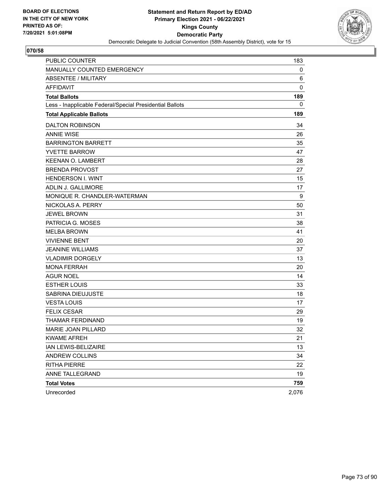

| <b>PUBLIC COUNTER</b>                                    | 183         |
|----------------------------------------------------------|-------------|
| MANUALLY COUNTED EMERGENCY                               | 0           |
| ABSENTEE / MILITARY                                      | 6           |
| <b>AFFIDAVIT</b>                                         | $\mathbf 0$ |
| <b>Total Ballots</b>                                     | 189         |
| Less - Inapplicable Federal/Special Presidential Ballots | 0           |
| <b>Total Applicable Ballots</b>                          | 189         |
| <b>DALTON ROBINSON</b>                                   | 34          |
| <b>ANNIE WISE</b>                                        | 26          |
| <b>BARRINGTON BARRETT</b>                                | 35          |
| <b>YVETTE BARROW</b>                                     | 47          |
| <b>KEENAN O. LAMBERT</b>                                 | 28          |
| <b>BRENDA PROVOST</b>                                    | 27          |
| <b>HENDERSON I. WINT</b>                                 | 15          |
| ADLIN J. GALLIMORE                                       | 17          |
| MONIQUE R. CHANDLER-WATERMAN                             | 9           |
| NICKOLAS A. PERRY                                        | 50          |
| <b>JEWEL BROWN</b>                                       | 31          |
| PATRICIA G. MOSES                                        | 38          |
| <b>MELBA BROWN</b>                                       | 41          |
| <b>VIVIENNE BENT</b>                                     | 20          |
| <b>JEANINE WILLIAMS</b>                                  | 37          |
| <b>VLADIMIR DORGELY</b>                                  | 13          |
| <b>MONA FERRAH</b>                                       | 20          |
| <b>AGUR NOEL</b>                                         | 14          |
| <b>ESTHER LOUIS</b>                                      | 33          |
| SABRINA DIEUJUSTE                                        | 18          |
| <b>VESTA LOUIS</b>                                       | 17          |
| <b>FELIX CESAR</b>                                       | 29          |
| THAMAR FERDINAND                                         | 19          |
| <b>MARIE JOAN PILLARD</b>                                | 32          |
| <b>KWAME AFREH</b>                                       | 21          |
| IAN LEWIS-BELIZAIRE                                      | 13          |
| ANDREW COLLINS                                           | 34          |
| <b>RITHA PIERRE</b>                                      | 22          |
| ANNE TALLEGRAND                                          | 19          |
| <b>Total Votes</b>                                       | 759         |
| Unrecorded                                               | 2,076       |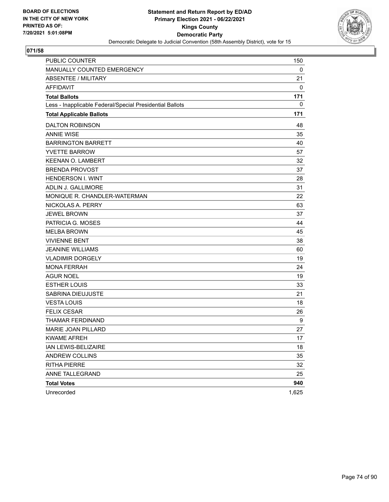

| <b>PUBLIC COUNTER</b>                                    | 150   |
|----------------------------------------------------------|-------|
| MANUALLY COUNTED EMERGENCY                               | 0     |
| <b>ABSENTEE / MILITARY</b>                               | 21    |
| <b>AFFIDAVIT</b>                                         | 0     |
| <b>Total Ballots</b>                                     | 171   |
| Less - Inapplicable Federal/Special Presidential Ballots | 0     |
| <b>Total Applicable Ballots</b>                          | 171   |
| <b>DALTON ROBINSON</b>                                   | 48    |
| <b>ANNIE WISE</b>                                        | 35    |
| <b>BARRINGTON BARRETT</b>                                | 40    |
| <b>YVETTE BARROW</b>                                     | 57    |
| <b>KEENAN O. LAMBERT</b>                                 | 32    |
| <b>BRENDA PROVOST</b>                                    | 37    |
| <b>HENDERSON I. WINT</b>                                 | 28    |
| ADLIN J. GALLIMORE                                       | 31    |
| MONIQUE R. CHANDLER-WATERMAN                             | 22    |
| NICKOLAS A. PERRY                                        | 63    |
| <b>JEWEL BROWN</b>                                       | 37    |
| PATRICIA G. MOSES                                        | 44    |
| <b>MELBA BROWN</b>                                       | 45    |
| <b>VIVIENNE BENT</b>                                     | 38    |
| <b>JEANINE WILLIAMS</b>                                  | 60    |
| <b>VLADIMIR DORGELY</b>                                  | 19    |
| <b>MONA FERRAH</b>                                       | 24    |
| <b>AGUR NOEL</b>                                         | 19    |
| <b>ESTHER LOUIS</b>                                      | 33    |
| <b>SABRINA DIEUJUSTE</b>                                 | 21    |
| <b>VESTA LOUIS</b>                                       | 18    |
| <b>FELIX CESAR</b>                                       | 26    |
| <b>THAMAR FERDINAND</b>                                  | 9     |
| MARIE JOAN PILLARD                                       | 27    |
| <b>KWAME AFREH</b>                                       | 17    |
| IAN LEWIS-BELIZAIRE                                      | 18    |
| ANDREW COLLINS                                           | 35    |
| <b>RITHA PIERRE</b>                                      | 32    |
| ANNE TALLEGRAND                                          | 25    |
| <b>Total Votes</b>                                       | 940   |
| Unrecorded                                               | 1,625 |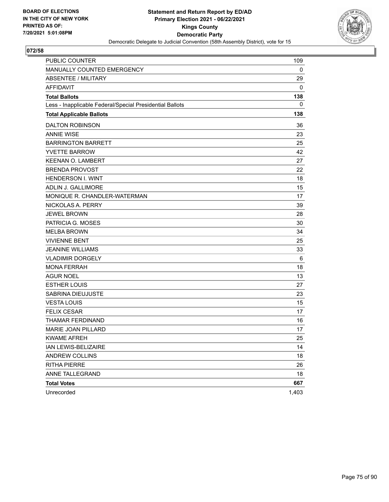

| <b>PUBLIC COUNTER</b>                                    | 109   |
|----------------------------------------------------------|-------|
| MANUALLY COUNTED EMERGENCY                               | 0     |
| ABSENTEE / MILITARY                                      | 29    |
| <b>AFFIDAVIT</b>                                         | 0     |
| <b>Total Ballots</b>                                     | 138   |
| Less - Inapplicable Federal/Special Presidential Ballots | 0     |
| <b>Total Applicable Ballots</b>                          | 138   |
| <b>DALTON ROBINSON</b>                                   | 36    |
| <b>ANNIE WISE</b>                                        | 23    |
| <b>BARRINGTON BARRETT</b>                                | 25    |
| <b>YVETTE BARROW</b>                                     | 42    |
| <b>KEENAN O. LAMBERT</b>                                 | 27    |
| <b>BRENDA PROVOST</b>                                    | 22    |
| <b>HENDERSON I. WINT</b>                                 | 18    |
| ADLIN J. GALLIMORE                                       | 15    |
| MONIQUE R. CHANDLER-WATERMAN                             | 17    |
| NICKOLAS A. PERRY                                        | 39    |
| <b>JEWEL BROWN</b>                                       | 28    |
| PATRICIA G. MOSES                                        | 30    |
| <b>MELBA BROWN</b>                                       | 34    |
| <b>VIVIENNE BENT</b>                                     | 25    |
| <b>JEANINE WILLIAMS</b>                                  | 33    |
| <b>VLADIMIR DORGELY</b>                                  | 6     |
| <b>MONA FERRAH</b>                                       | 18    |
| <b>AGUR NOEL</b>                                         | 13    |
| <b>ESTHER LOUIS</b>                                      | 27    |
| SABRINA DIEUJUSTE                                        | 23    |
| <b>VESTA LOUIS</b>                                       | 15    |
| <b>FELIX CESAR</b>                                       | 17    |
| THAMAR FERDINAND                                         | 16    |
| MARIE JOAN PILLARD                                       | 17    |
| <b>KWAME AFREH</b>                                       | 25    |
| IAN LEWIS-BELIZAIRE                                      | 14    |
| ANDREW COLLINS                                           | 18    |
| <b>RITHA PIERRE</b>                                      | 26    |
| ANNE TALLEGRAND                                          | 18    |
| <b>Total Votes</b>                                       | 667   |
| Unrecorded                                               | 1,403 |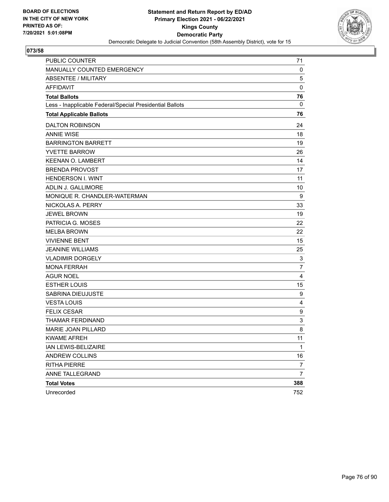

| PUBLIC COUNTER                                           | 71             |
|----------------------------------------------------------|----------------|
| MANUALLY COUNTED EMERGENCY                               | 0              |
| <b>ABSENTEE / MILITARY</b>                               | 5              |
| <b>AFFIDAVIT</b>                                         | $\mathbf 0$    |
| <b>Total Ballots</b>                                     | 76             |
| Less - Inapplicable Federal/Special Presidential Ballots | $\mathbf{0}$   |
| <b>Total Applicable Ballots</b>                          | 76             |
| <b>DALTON ROBINSON</b>                                   | 24             |
| <b>ANNIE WISE</b>                                        | 18             |
| <b>BARRINGTON BARRETT</b>                                | 19             |
| <b>YVETTE BARROW</b>                                     | 26             |
| <b>KEENAN O. LAMBERT</b>                                 | 14             |
| <b>BRENDA PROVOST</b>                                    | 17             |
| <b>HENDERSON I. WINT</b>                                 | 11             |
| ADLIN J. GALLIMORE                                       | 10             |
| MONIQUE R. CHANDLER-WATERMAN                             | 9              |
| NICKOLAS A. PERRY                                        | 33             |
| <b>JEWEL BROWN</b>                                       | 19             |
| PATRICIA G. MOSES                                        | 22             |
| <b>MELBA BROWN</b>                                       | 22             |
| <b>VIVIENNE BENT</b>                                     | 15             |
| <b>JEANINE WILLIAMS</b>                                  | 25             |
| <b>VLADIMIR DORGELY</b>                                  | 3              |
| <b>MONA FERRAH</b>                                       | $\overline{7}$ |
| <b>AGUR NOEL</b>                                         | 4              |
| <b>ESTHER LOUIS</b>                                      | 15             |
| SABRINA DIEUJUSTE                                        | 9              |
| <b>VESTA LOUIS</b>                                       | 4              |
| <b>FELIX CESAR</b>                                       | 9              |
| THAMAR FERDINAND                                         | 3              |
| MARIE JOAN PILLARD                                       | 8              |
| <b>KWAME AFREH</b>                                       | 11             |
| IAN LEWIS-BELIZAIRE                                      | 1              |
| <b>ANDREW COLLINS</b>                                    | 16             |
| <b>RITHA PIERRE</b>                                      | 7              |
| ANNE TALLEGRAND                                          | $\overline{7}$ |
| <b>Total Votes</b>                                       | 388            |
| Unrecorded                                               | 752            |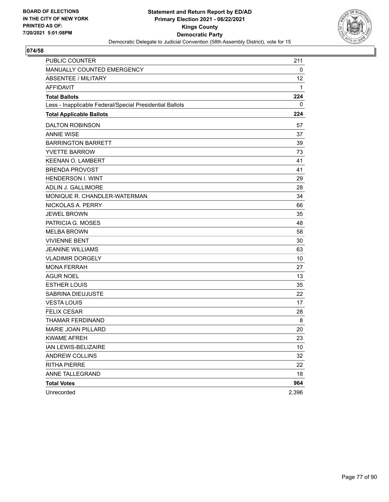

| <b>PUBLIC COUNTER</b>                                    | 211             |
|----------------------------------------------------------|-----------------|
| MANUALLY COUNTED EMERGENCY                               | 0               |
| ABSENTEE / MILITARY                                      | 12 <sup>2</sup> |
| <b>AFFIDAVIT</b>                                         | 1               |
| <b>Total Ballots</b>                                     | 224             |
| Less - Inapplicable Federal/Special Presidential Ballots | 0               |
| <b>Total Applicable Ballots</b>                          | 224             |
| <b>DALTON ROBINSON</b>                                   | 57              |
| <b>ANNIE WISE</b>                                        | 37              |
| <b>BARRINGTON BARRETT</b>                                | 39              |
| <b>YVETTE BARROW</b>                                     | 73              |
| <b>KEENAN O. LAMBERT</b>                                 | 41              |
| <b>BRENDA PROVOST</b>                                    | 41              |
| <b>HENDERSON I. WINT</b>                                 | 29              |
| ADLIN J. GALLIMORE                                       | 28              |
| MONIQUE R. CHANDLER-WATERMAN                             | 34              |
| NICKOLAS A. PERRY                                        | 66              |
| <b>JEWEL BROWN</b>                                       | 35              |
| PATRICIA G. MOSES                                        | 48              |
| <b>MELBA BROWN</b>                                       | 58              |
| <b>VIVIENNE BENT</b>                                     | 30              |
| <b>JEANINE WILLIAMS</b>                                  | 63              |
| <b>VLADIMIR DORGELY</b>                                  | 10              |
| <b>MONA FERRAH</b>                                       | 27              |
| <b>AGUR NOEL</b>                                         | 13              |
| <b>ESTHER LOUIS</b>                                      | 35              |
| SABRINA DIEUJUSTE                                        | 22              |
| <b>VESTA LOUIS</b>                                       | 17              |
| <b>FELIX CESAR</b>                                       | 28              |
| <b>THAMAR FERDINAND</b>                                  | 8               |
| MARIE JOAN PILLARD                                       | 20              |
| <b>KWAME AFREH</b>                                       | 23              |
| IAN LEWIS-BELIZAIRE                                      | 10              |
| ANDREW COLLINS                                           | 32              |
| <b>RITHA PIERRE</b>                                      | 22              |
| ANNE TALLEGRAND                                          | 18              |
| <b>Total Votes</b>                                       | 964             |
| Unrecorded                                               | 2,396           |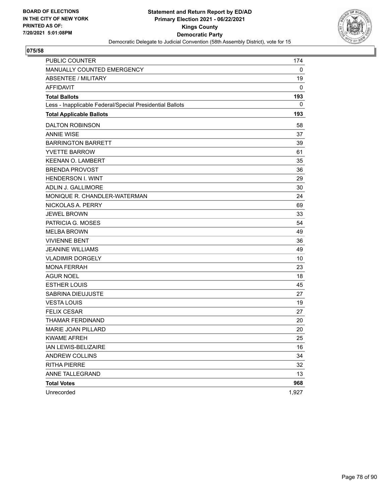

| PUBLIC COUNTER                                           | 174   |
|----------------------------------------------------------|-------|
| MANUALLY COUNTED EMERGENCY                               | 0     |
| <b>ABSENTEE / MILITARY</b>                               | 19    |
| <b>AFFIDAVIT</b>                                         | 0     |
| <b>Total Ballots</b>                                     | 193   |
| Less - Inapplicable Federal/Special Presidential Ballots | 0     |
| <b>Total Applicable Ballots</b>                          | 193   |
| <b>DALTON ROBINSON</b>                                   | 58    |
| <b>ANNIE WISE</b>                                        | 37    |
| <b>BARRINGTON BARRETT</b>                                | 39    |
| <b>YVETTE BARROW</b>                                     | 61    |
| <b>KEENAN O. LAMBERT</b>                                 | 35    |
| <b>BRENDA PROVOST</b>                                    | 36    |
| <b>HENDERSON I. WINT</b>                                 | 29    |
| ADLIN J. GALLIMORE                                       | 30    |
| MONIQUE R. CHANDLER-WATERMAN                             | 24    |
| NICKOLAS A. PERRY                                        | 69    |
| <b>JEWEL BROWN</b>                                       | 33    |
| PATRICIA G. MOSES                                        | 54    |
| <b>MELBA BROWN</b>                                       | 49    |
| <b>VIVIENNE BENT</b>                                     | 36    |
| <b>JEANINE WILLIAMS</b>                                  | 49    |
| <b>VLADIMIR DORGELY</b>                                  | 10    |
| <b>MONA FERRAH</b>                                       | 23    |
| <b>AGUR NOEL</b>                                         | 18    |
| <b>ESTHER LOUIS</b>                                      | 45    |
| SABRINA DIEUJUSTE                                        | 27    |
| <b>VESTA LOUIS</b>                                       | 19    |
| <b>FELIX CESAR</b>                                       | 27    |
| THAMAR FERDINAND                                         | 20    |
| MARIE JOAN PILLARD                                       | 20    |
| <b>KWAME AFREH</b>                                       | 25    |
| IAN LEWIS-BELIZAIRE                                      | 16    |
| ANDREW COLLINS                                           | 34    |
| <b>RITHA PIERRE</b>                                      | 32    |
| ANNE TALLEGRAND                                          | 13    |
| <b>Total Votes</b>                                       | 968   |
| Unrecorded                                               | 1,927 |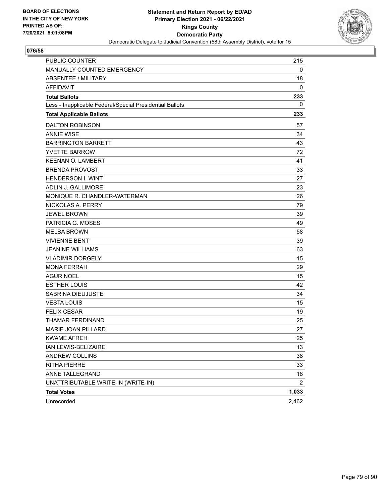

| <b>PUBLIC COUNTER</b>                                    | 215            |
|----------------------------------------------------------|----------------|
| MANUALLY COUNTED EMERGENCY                               | 0              |
| <b>ABSENTEE / MILITARY</b>                               | 18             |
| <b>AFFIDAVIT</b>                                         | 0              |
| <b>Total Ballots</b>                                     | 233            |
| Less - Inapplicable Federal/Special Presidential Ballots | 0              |
| <b>Total Applicable Ballots</b>                          | 233            |
| <b>DALTON ROBINSON</b>                                   | 57             |
| <b>ANNIE WISE</b>                                        | 34             |
| <b>BARRINGTON BARRETT</b>                                | 43             |
| <b>YVETTE BARROW</b>                                     | 72             |
| <b>KEENAN O. LAMBERT</b>                                 | 41             |
| <b>BRENDA PROVOST</b>                                    | 33             |
| <b>HENDERSON I. WINT</b>                                 | 27             |
| ADLIN J. GALLIMORE                                       | 23             |
| MONIQUE R. CHANDLER-WATERMAN                             | 26             |
| NICKOLAS A. PERRY                                        | 79             |
| <b>JEWEL BROWN</b>                                       | 39             |
| PATRICIA G. MOSES                                        | 49             |
| <b>MELBA BROWN</b>                                       | 58             |
| <b>VIVIENNE BENT</b>                                     | 39             |
| <b>JEANINE WILLIAMS</b>                                  | 63             |
| <b>VLADIMIR DORGELY</b>                                  | 15             |
| <b>MONA FERRAH</b>                                       | 29             |
| AGUR NOEL                                                | 15             |
| <b>ESTHER LOUIS</b>                                      | 42             |
| SABRINA DIEUJUSTE                                        | 34             |
| <b>VESTA LOUIS</b>                                       | 15             |
| <b>FELIX CESAR</b>                                       | 19             |
| THAMAR FERDINAND                                         | 25             |
| <b>MARIE JOAN PILLARD</b>                                | 27             |
| <b>KWAME AFREH</b>                                       | 25             |
| IAN LEWIS-BELIZAIRE                                      | 13             |
| ANDREW COLLINS                                           | 38             |
| <b>RITHA PIERRE</b>                                      | 33             |
| ANNE TALLEGRAND                                          | 18             |
| UNATTRIBUTABLE WRITE-IN (WRITE-IN)                       | $\overline{2}$ |
| <b>Total Votes</b>                                       | 1,033          |
| Unrecorded                                               | 2,462          |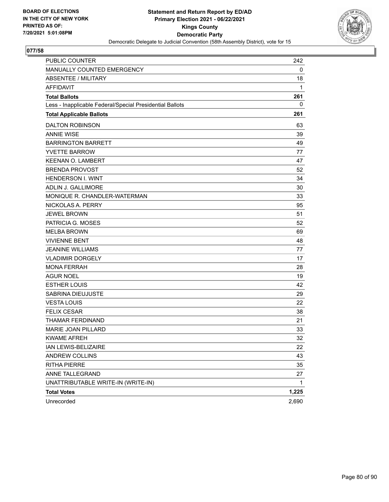

| <b>PUBLIC COUNTER</b>                                    | 242   |
|----------------------------------------------------------|-------|
| MANUALLY COUNTED EMERGENCY                               | 0     |
| <b>ABSENTEE / MILITARY</b>                               | 18    |
| <b>AFFIDAVIT</b>                                         | 1     |
| <b>Total Ballots</b>                                     | 261   |
| Less - Inapplicable Federal/Special Presidential Ballots | 0     |
| <b>Total Applicable Ballots</b>                          | 261   |
| <b>DALTON ROBINSON</b>                                   | 63    |
| <b>ANNIE WISE</b>                                        | 39    |
| <b>BARRINGTON BARRETT</b>                                | 49    |
| <b>YVETTE BARROW</b>                                     | 77    |
| <b>KEENAN O. LAMBERT</b>                                 | 47    |
| <b>BRENDA PROVOST</b>                                    | 52    |
| <b>HENDERSON I. WINT</b>                                 | 34    |
| ADLIN J. GALLIMORE                                       | 30    |
| MONIQUE R. CHANDLER-WATERMAN                             | 33    |
| NICKOLAS A. PERRY                                        | 95    |
| <b>JEWEL BROWN</b>                                       | 51    |
| PATRICIA G. MOSES                                        | 52    |
| <b>MELBA BROWN</b>                                       | 69    |
| <b>VIVIENNE BENT</b>                                     | 48    |
| <b>JEANINE WILLIAMS</b>                                  | 77    |
| <b>VLADIMIR DORGELY</b>                                  | 17    |
| <b>MONA FERRAH</b>                                       | 28    |
| AGUR NOEL                                                | 19    |
| <b>ESTHER LOUIS</b>                                      | 42    |
| SABRINA DIEUJUSTE                                        | 29    |
| <b>VESTA LOUIS</b>                                       | 22    |
| <b>FELIX CESAR</b>                                       | 38    |
| THAMAR FERDINAND                                         | 21    |
| <b>MARIE JOAN PILLARD</b>                                | 33    |
| <b>KWAME AFREH</b>                                       | 32    |
| IAN LEWIS-BELIZAIRE                                      | 22    |
| ANDREW COLLINS                                           | 43    |
| <b>RITHA PIERRE</b>                                      | 35    |
| ANNE TALLEGRAND                                          | 27    |
| UNATTRIBUTABLE WRITE-IN (WRITE-IN)                       | 1     |
| <b>Total Votes</b>                                       | 1,225 |
| Unrecorded                                               | 2,690 |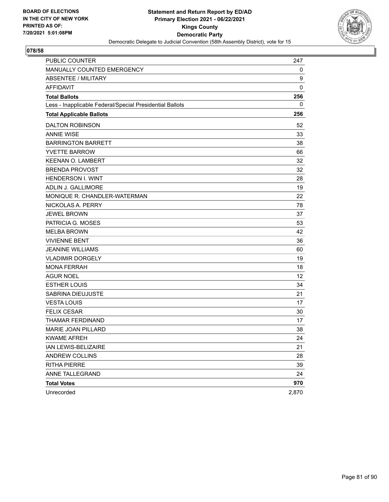

| PUBLIC COUNTER                                           | 247         |
|----------------------------------------------------------|-------------|
| MANUALLY COUNTED EMERGENCY                               | 0           |
| ABSENTEE / MILITARY                                      | 9           |
| <b>AFFIDAVIT</b>                                         | $\mathbf 0$ |
| <b>Total Ballots</b>                                     | 256         |
| Less - Inapplicable Federal/Special Presidential Ballots | 0           |
| <b>Total Applicable Ballots</b>                          | 256         |
| <b>DALTON ROBINSON</b>                                   | 52          |
| <b>ANNIE WISE</b>                                        | 33          |
| <b>BARRINGTON BARRETT</b>                                | 38          |
| <b>YVETTE BARROW</b>                                     | 66          |
| <b>KEENAN O. LAMBERT</b>                                 | 32          |
| <b>BRENDA PROVOST</b>                                    | 32          |
| <b>HENDERSON I. WINT</b>                                 | 28          |
| <b>ADLIN J. GALLIMORE</b>                                | 19          |
| MONIQUE R. CHANDLER-WATERMAN                             | 22          |
| NICKOLAS A. PERRY                                        | 78          |
| <b>JEWEL BROWN</b>                                       | 37          |
| PATRICIA G. MOSES                                        | 53          |
| <b>MELBA BROWN</b>                                       | 42          |
| <b>VIVIENNE BENT</b>                                     | 36          |
| <b>JEANINE WILLIAMS</b>                                  | 60          |
| <b>VLADIMIR DORGELY</b>                                  | 19          |
| <b>MONA FERRAH</b>                                       | 18          |
| <b>AGUR NOEL</b>                                         | 12          |
| <b>ESTHER LOUIS</b>                                      | 34          |
| <b>SABRINA DIEUJUSTE</b>                                 | 21          |
| <b>VESTA LOUIS</b>                                       | 17          |
| <b>FELIX CESAR</b>                                       | 30          |
| THAMAR FERDINAND                                         | 17          |
| MARIE JOAN PILLARD                                       | 38          |
| <b>KWAME AFREH</b>                                       | 24          |
| IAN LEWIS-BELIZAIRE                                      | 21          |
| <b>ANDREW COLLINS</b>                                    | 28          |
| <b>RITHA PIERRE</b>                                      | 39          |
| ANNE TALLEGRAND                                          | 24          |
| <b>Total Votes</b>                                       | 970         |
| Unrecorded                                               | 2,870       |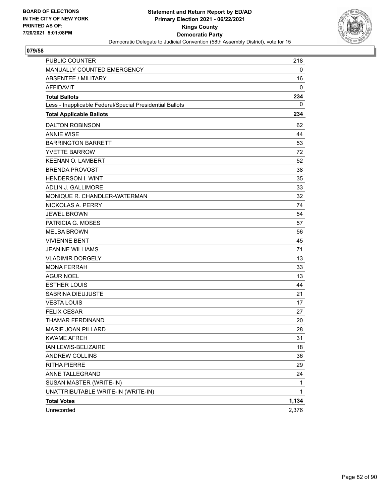

| <b>PUBLIC COUNTER</b>                                    | 218          |
|----------------------------------------------------------|--------------|
| MANUALLY COUNTED EMERGENCY                               | 0            |
| <b>ABSENTEE / MILITARY</b>                               | 16           |
| <b>AFFIDAVIT</b>                                         | 0            |
| <b>Total Ballots</b>                                     | 234          |
| Less - Inapplicable Federal/Special Presidential Ballots | 0            |
| <b>Total Applicable Ballots</b>                          | 234          |
| <b>DALTON ROBINSON</b>                                   | 62           |
| <b>ANNIE WISE</b>                                        | 44           |
| <b>BARRINGTON BARRETT</b>                                | 53           |
| <b>YVETTE BARROW</b>                                     | 72           |
| <b>KEENAN O. LAMBERT</b>                                 | 52           |
| <b>BRENDA PROVOST</b>                                    | 38           |
| <b>HENDERSON I. WINT</b>                                 | 35           |
| <b>ADLIN J. GALLIMORE</b>                                | 33           |
| MONIQUE R. CHANDLER-WATERMAN                             | 32           |
| NICKOLAS A. PERRY                                        | 74           |
| <b>JEWEL BROWN</b>                                       | 54           |
| PATRICIA G. MOSES                                        | 57           |
| <b>MELBA BROWN</b>                                       | 56           |
| <b>VIVIENNE BENT</b>                                     | 45           |
| <b>JEANINE WILLIAMS</b>                                  | 71           |
| <b>VLADIMIR DORGELY</b>                                  | 13           |
| <b>MONA FERRAH</b>                                       | 33           |
| <b>AGUR NOEL</b>                                         | 13           |
| <b>ESTHER LOUIS</b>                                      | 44           |
| SABRINA DIEUJUSTE                                        | 21           |
| <b>VESTA LOUIS</b>                                       | 17           |
| <b>FELIX CESAR</b>                                       | 27           |
| THAMAR FERDINAND                                         | 20           |
| MARIE JOAN PILLARD                                       | 28           |
| <b>KWAME AFREH</b>                                       | 31           |
| IAN LEWIS-BELIZAIRE                                      | 18           |
| ANDREW COLLINS                                           | 36           |
| <b>RITHA PIERRE</b>                                      | 29           |
| ANNE TALLEGRAND                                          | 24           |
| SUSAN MASTER (WRITE-IN)                                  | $\mathbf{1}$ |
| UNATTRIBUTABLE WRITE-IN (WRITE-IN)                       | 1            |
| <b>Total Votes</b>                                       | 1,134        |
| Unrecorded                                               | 2,376        |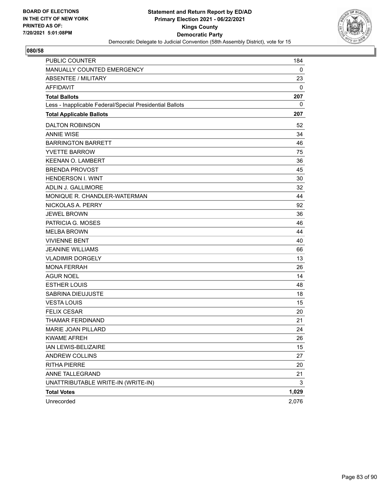

| <b>PUBLIC COUNTER</b>                                    | 184   |
|----------------------------------------------------------|-------|
| MANUALLY COUNTED EMERGENCY                               | 0     |
| <b>ABSENTEE / MILITARY</b>                               | 23    |
| <b>AFFIDAVIT</b>                                         | 0     |
| <b>Total Ballots</b>                                     | 207   |
| Less - Inapplicable Federal/Special Presidential Ballots | 0     |
| <b>Total Applicable Ballots</b>                          | 207   |
| <b>DALTON ROBINSON</b>                                   | 52    |
| <b>ANNIE WISE</b>                                        | 34    |
| <b>BARRINGTON BARRETT</b>                                | 46    |
| <b>YVETTE BARROW</b>                                     | 75    |
| <b>KEENAN O. LAMBERT</b>                                 | 36    |
| <b>BRENDA PROVOST</b>                                    | 45    |
| <b>HENDERSON I. WINT</b>                                 | 30    |
| <b>ADLIN J. GALLIMORE</b>                                | 32    |
| MONIQUE R. CHANDLER-WATERMAN                             | 44    |
| NICKOLAS A. PERRY                                        | 92    |
| <b>JEWEL BROWN</b>                                       | 36    |
| PATRICIA G. MOSES                                        | 46    |
| <b>MELBA BROWN</b>                                       | 44    |
| <b>VIVIENNE BENT</b>                                     | 40    |
| <b>JEANINE WILLIAMS</b>                                  | 66    |
| <b>VLADIMIR DORGELY</b>                                  | 13    |
| <b>MONA FERRAH</b>                                       | 26    |
| <b>AGUR NOEL</b>                                         | 14    |
| <b>ESTHER LOUIS</b>                                      | 48    |
| SABRINA DIEUJUSTE                                        | 18    |
| <b>VESTA LOUIS</b>                                       | 15    |
| <b>FELIX CESAR</b>                                       | 20    |
| THAMAR FERDINAND                                         | 21    |
| MARIE JOAN PILLARD                                       | 24    |
| <b>KWAME AFREH</b>                                       | 26    |
| IAN LEWIS-BELIZAIRE                                      | 15    |
| ANDREW COLLINS                                           | 27    |
| <b>RITHA PIERRE</b>                                      | 20    |
| ANNE TALLEGRAND                                          | 21    |
| UNATTRIBUTABLE WRITE-IN (WRITE-IN)                       | 3     |
| <b>Total Votes</b>                                       | 1,029 |
| Unrecorded                                               | 2,076 |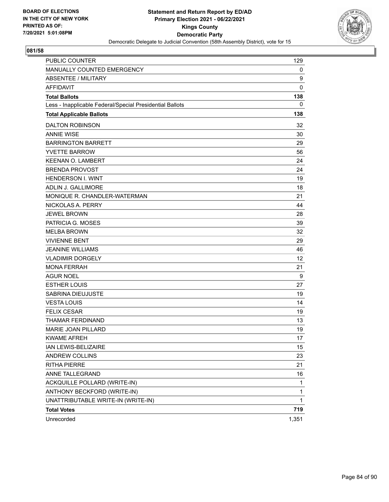

| PUBLIC COUNTER                                           | 129          |
|----------------------------------------------------------|--------------|
| MANUALLY COUNTED EMERGENCY                               | 0            |
| <b>ABSENTEE / MILITARY</b>                               | 9            |
| <b>AFFIDAVIT</b>                                         | $\mathbf 0$  |
| <b>Total Ballots</b>                                     | 138          |
| Less - Inapplicable Federal/Special Presidential Ballots | 0            |
| <b>Total Applicable Ballots</b>                          | 138          |
| <b>DALTON ROBINSON</b>                                   | 32           |
| <b>ANNIE WISE</b>                                        | 30           |
| <b>BARRINGTON BARRETT</b>                                | 29           |
| <b>YVETTE BARROW</b>                                     | 56           |
| <b>KEENAN O. LAMBERT</b>                                 | 24           |
| <b>BRENDA PROVOST</b>                                    | 24           |
| <b>HENDERSON I. WINT</b>                                 | 19           |
| ADLIN J. GALLIMORE                                       | 18           |
| MONIQUE R. CHANDLER-WATERMAN                             | 21           |
| NICKOLAS A. PERRY                                        | 44           |
| <b>JEWEL BROWN</b>                                       | 28           |
| PATRICIA G. MOSES                                        | 39           |
| <b>MELBA BROWN</b>                                       | 32           |
| <b>VIVIENNE BENT</b>                                     | 29           |
| <b>JEANINE WILLIAMS</b>                                  | 46           |
| <b>VLADIMIR DORGELY</b>                                  | 12           |
| <b>MONA FERRAH</b>                                       | 21           |
| <b>AGUR NOEL</b>                                         | 9            |
| <b>ESTHER LOUIS</b>                                      | 27           |
| SABRINA DIEUJUSTE                                        | 19           |
| <b>VESTA LOUIS</b>                                       | 14           |
| <b>FELIX CESAR</b>                                       | 19           |
| <b>THAMAR FERDINAND</b>                                  | 13           |
| MARIE JOAN PILLARD                                       | 19           |
| <b>KWAME AFREH</b>                                       | 17           |
| IAN LEWIS-BELIZAIRE                                      | 15           |
| ANDREW COLLINS                                           | 23           |
| <b>RITHA PIERRE</b>                                      | 21           |
| ANNE TALLEGRAND                                          | 16           |
| ACKQUILLE POLLARD (WRITE-IN)                             | $\mathbf{1}$ |
| ANTHONY BECKFORD (WRITE-IN)                              | 1            |
| UNATTRIBUTABLE WRITE-IN (WRITE-IN)                       | 1            |
| <b>Total Votes</b>                                       | 719          |
| Unrecorded                                               | 1,351        |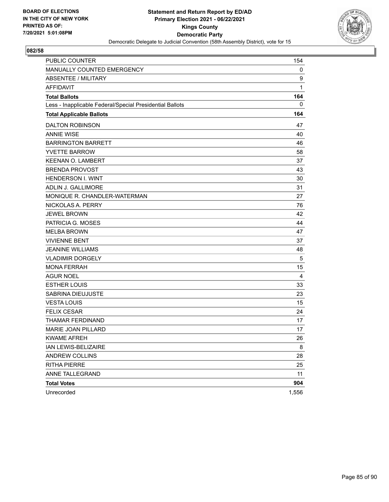

| PUBLIC COUNTER                                           | 154   |
|----------------------------------------------------------|-------|
| MANUALLY COUNTED EMERGENCY                               | 0     |
| <b>ABSENTEE / MILITARY</b>                               | 9     |
| <b>AFFIDAVIT</b>                                         | 1     |
| <b>Total Ballots</b>                                     | 164   |
| Less - Inapplicable Federal/Special Presidential Ballots | 0     |
| <b>Total Applicable Ballots</b>                          | 164   |
| <b>DALTON ROBINSON</b>                                   | 47    |
| <b>ANNIE WISE</b>                                        | 40    |
| <b>BARRINGTON BARRETT</b>                                | 46    |
| <b>YVETTE BARROW</b>                                     | 58    |
| <b>KEENAN O. LAMBERT</b>                                 | 37    |
| <b>BRENDA PROVOST</b>                                    | 43    |
| <b>HENDERSON I. WINT</b>                                 | 30    |
| <b>ADLIN J. GALLIMORE</b>                                | 31    |
| MONIQUE R. CHANDLER-WATERMAN                             | 27    |
| NICKOLAS A. PERRY                                        | 76    |
| <b>JEWEL BROWN</b>                                       | 42    |
| PATRICIA G. MOSES                                        | 44    |
| <b>MELBA BROWN</b>                                       | 47    |
| <b>VIVIENNE BENT</b>                                     | 37    |
| <b>JEANINE WILLIAMS</b>                                  | 48    |
| <b>VLADIMIR DORGELY</b>                                  | 5     |
| <b>MONA FERRAH</b>                                       | 15    |
| <b>AGUR NOEL</b>                                         | 4     |
| <b>ESTHER LOUIS</b>                                      | 33    |
| <b>SABRINA DIEUJUSTE</b>                                 | 23    |
| <b>VESTA LOUIS</b>                                       | 15    |
| <b>FELIX CESAR</b>                                       | 24    |
| THAMAR FERDINAND                                         | 17    |
| MARIE JOAN PILLARD                                       | 17    |
| <b>KWAME AFREH</b>                                       | 26    |
| IAN LEWIS-BELIZAIRE                                      | 8     |
| <b>ANDREW COLLINS</b>                                    | 28    |
| <b>RITHA PIERRE</b>                                      | 25    |
| ANNE TALLEGRAND                                          | 11    |
| <b>Total Votes</b>                                       | 904   |
| Unrecorded                                               | 1,556 |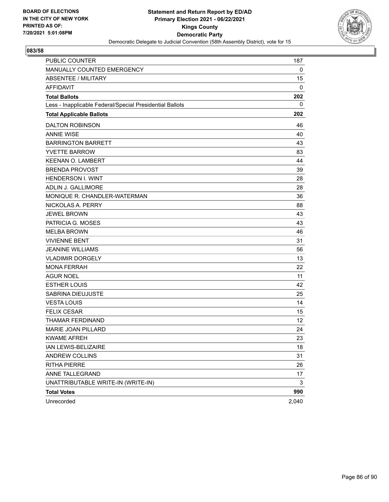

| <b>PUBLIC COUNTER</b>                                    | 187   |
|----------------------------------------------------------|-------|
| MANUALLY COUNTED EMERGENCY                               | 0     |
| <b>ABSENTEE / MILITARY</b>                               | 15    |
| <b>AFFIDAVIT</b>                                         | 0     |
| <b>Total Ballots</b>                                     | 202   |
| Less - Inapplicable Federal/Special Presidential Ballots | 0     |
| <b>Total Applicable Ballots</b>                          | 202   |
| <b>DALTON ROBINSON</b>                                   | 46    |
| <b>ANNIE WISE</b>                                        | 40    |
| <b>BARRINGTON BARRETT</b>                                | 43    |
| <b>YVETTE BARROW</b>                                     | 83    |
| <b>KEENAN O. LAMBERT</b>                                 | 44    |
| <b>BRENDA PROVOST</b>                                    | 39    |
| <b>HENDERSON I. WINT</b>                                 | 28    |
| <b>ADLIN J. GALLIMORE</b>                                | 28    |
| MONIQUE R. CHANDLER-WATERMAN                             | 36    |
| NICKOLAS A. PERRY                                        | 88    |
| <b>JEWEL BROWN</b>                                       | 43    |
| PATRICIA G. MOSES                                        | 43    |
| <b>MELBA BROWN</b>                                       | 46    |
| <b>VIVIENNE BENT</b>                                     | 31    |
| <b>JEANINE WILLIAMS</b>                                  | 56    |
| <b>VLADIMIR DORGELY</b>                                  | 13    |
| <b>MONA FERRAH</b>                                       | 22    |
| <b>AGUR NOEL</b>                                         | 11    |
| <b>ESTHER LOUIS</b>                                      | 42    |
| SABRINA DIEUJUSTE                                        | 25    |
| <b>VESTA LOUIS</b>                                       | 14    |
| <b>FELIX CESAR</b>                                       | 15    |
| THAMAR FERDINAND                                         | 12    |
| MARIE JOAN PILLARD                                       | 24    |
| <b>KWAME AFREH</b>                                       | 23    |
| IAN LEWIS-BELIZAIRE                                      | 18    |
| ANDREW COLLINS                                           | 31    |
| <b>RITHA PIERRE</b>                                      | 26    |
| ANNE TALLEGRAND                                          | 17    |
| UNATTRIBUTABLE WRITE-IN (WRITE-IN)                       | 3     |
| <b>Total Votes</b>                                       | 990   |
| Unrecorded                                               | 2,040 |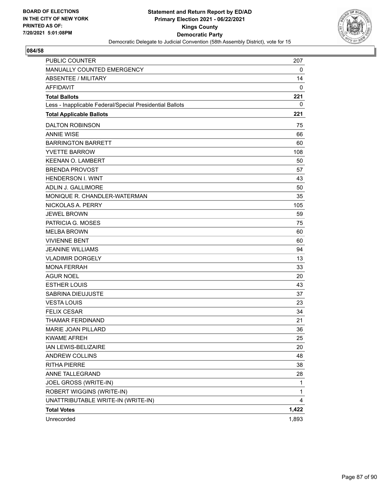

| PUBLIC COUNTER                                           | 207   |
|----------------------------------------------------------|-------|
| MANUALLY COUNTED EMERGENCY                               | 0     |
| <b>ABSENTEE / MILITARY</b>                               | 14    |
| <b>AFFIDAVIT</b>                                         | 0     |
| <b>Total Ballots</b>                                     | 221   |
| Less - Inapplicable Federal/Special Presidential Ballots | 0     |
| <b>Total Applicable Ballots</b>                          | 221   |
| <b>DALTON ROBINSON</b>                                   | 75    |
| <b>ANNIE WISE</b>                                        | 66    |
| <b>BARRINGTON BARRETT</b>                                | 60    |
| <b>YVETTE BARROW</b>                                     | 108   |
| <b>KEENAN O. LAMBERT</b>                                 | 50    |
| <b>BRENDA PROVOST</b>                                    | 57    |
| <b>HENDERSON I. WINT</b>                                 | 43    |
| ADLIN J. GALLIMORE                                       | 50    |
| MONIQUE R. CHANDLER-WATERMAN                             | 35    |
| NICKOLAS A. PERRY                                        | 105   |
| <b>JEWEL BROWN</b>                                       | 59    |
| PATRICIA G. MOSES                                        | 75    |
| <b>MELBA BROWN</b>                                       | 60    |
| <b>VIVIENNE BENT</b>                                     | 60    |
| <b>JEANINE WILLIAMS</b>                                  | 94    |
| <b>VLADIMIR DORGELY</b>                                  | 13    |
| <b>MONA FERRAH</b>                                       | 33    |
| <b>AGUR NOEL</b>                                         | 20    |
| <b>ESTHER LOUIS</b>                                      | 43    |
| SABRINA DIEUJUSTE                                        | 37    |
| <b>VESTA LOUIS</b>                                       | 23    |
| <b>FELIX CESAR</b>                                       | 34    |
| <b>THAMAR FERDINAND</b>                                  | 21    |
| MARIE JOAN PILLARD                                       | 36    |
| <b>KWAME AFREH</b>                                       | 25    |
| IAN LEWIS-BELIZAIRE                                      | 20    |
| ANDREW COLLINS                                           | 48    |
| <b>RITHA PIERRE</b>                                      | 38    |
| ANNE TALLEGRAND                                          | 28    |
| JOEL GROSS (WRITE-IN)                                    | 1     |
| ROBERT WIGGINS (WRITE-IN)                                | 1     |
| UNATTRIBUTABLE WRITE-IN (WRITE-IN)                       | 4     |
| <b>Total Votes</b>                                       | 1,422 |
| Unrecorded                                               | 1,893 |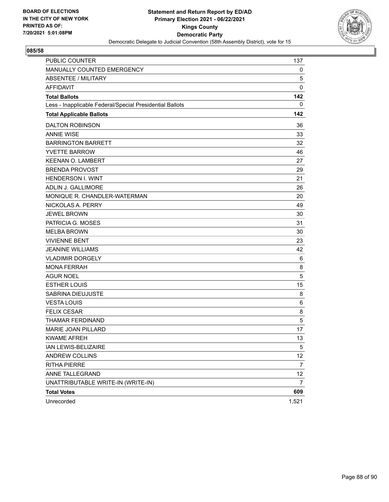

| <b>PUBLIC COUNTER</b>                                    | 137             |
|----------------------------------------------------------|-----------------|
| MANUALLY COUNTED EMERGENCY                               | 0               |
| <b>ABSENTEE / MILITARY</b>                               | 5               |
| <b>AFFIDAVIT</b>                                         | $\mathbf 0$     |
| <b>Total Ballots</b>                                     | 142             |
| Less - Inapplicable Federal/Special Presidential Ballots | 0               |
| <b>Total Applicable Ballots</b>                          | 142             |
| <b>DALTON ROBINSON</b>                                   | 36              |
| <b>ANNIE WISE</b>                                        | 33              |
| <b>BARRINGTON BARRETT</b>                                | 32              |
| <b>YVETTE BARROW</b>                                     | 46              |
| <b>KEENAN O. LAMBERT</b>                                 | 27              |
| <b>BRENDA PROVOST</b>                                    | 29              |
| <b>HENDERSON I. WINT</b>                                 | 21              |
| ADLIN J. GALLIMORE                                       | 26              |
| MONIQUE R. CHANDLER-WATERMAN                             | 20              |
| NICKOLAS A. PERRY                                        | 49              |
| <b>JEWEL BROWN</b>                                       | 30              |
| PATRICIA G. MOSES                                        | 31              |
| <b>MELBA BROWN</b>                                       | 30              |
| <b>VIVIENNE BENT</b>                                     | 23              |
| <b>JEANINE WILLIAMS</b>                                  | 42              |
| <b>VLADIMIR DORGELY</b>                                  | 6               |
| <b>MONA FERRAH</b>                                       | 8               |
| AGUR NOEL                                                | 5               |
| <b>ESTHER LOUIS</b>                                      | 15              |
| SABRINA DIEUJUSTE                                        | 8               |
| <b>VESTA LOUIS</b>                                       | 6               |
| <b>FELIX CESAR</b>                                       | 8               |
| THAMAR FERDINAND                                         | $\sqrt{5}$      |
| <b>MARIE JOAN PILLARD</b>                                | 17              |
| <b>KWAME AFREH</b>                                       | 13              |
| IAN LEWIS-BELIZAIRE                                      | $5\phantom{.0}$ |
| ANDREW COLLINS                                           | 12              |
| <b>RITHA PIERRE</b>                                      | $\overline{7}$  |
| ANNE TALLEGRAND                                          | 12              |
| UNATTRIBUTABLE WRITE-IN (WRITE-IN)                       | 7               |
| <b>Total Votes</b>                                       | 609             |
| Unrecorded                                               | 1,521           |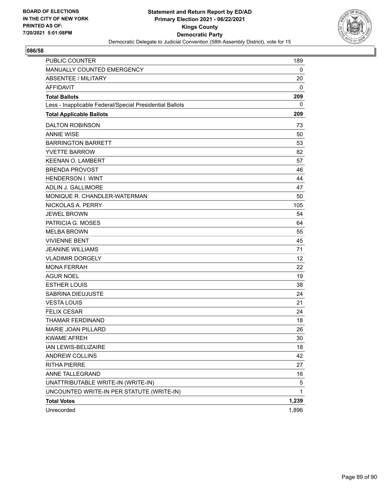

| PUBLIC COUNTER                                           | 189   |
|----------------------------------------------------------|-------|
| MANUALLY COUNTED EMERGENCY                               | 0     |
| <b>ABSENTEE / MILITARY</b>                               | 20    |
| <b>AFFIDAVIT</b>                                         | 0     |
| <b>Total Ballots</b>                                     | 209   |
| Less - Inapplicable Federal/Special Presidential Ballots | 0     |
| <b>Total Applicable Ballots</b>                          | 209   |
| <b>DALTON ROBINSON</b>                                   | 73    |
| <b>ANNIE WISE</b>                                        | 50    |
| <b>BARRINGTON BARRETT</b>                                | 53    |
| <b>YVETTE BARROW</b>                                     | 82    |
| <b>KEENAN O. LAMBERT</b>                                 | 57    |
| <b>BRENDA PROVOST</b>                                    | 46    |
| <b>HENDERSON I. WINT</b>                                 | 44    |
| ADLIN J. GALLIMORE                                       | 47    |
| MONIQUE R. CHANDLER-WATERMAN                             | 50    |
| NICKOLAS A. PERRY                                        | 105   |
| <b>JEWEL BROWN</b>                                       | 54    |
| PATRICIA G. MOSES                                        | 64    |
| <b>MELBA BROWN</b>                                       | 55    |
| <b>VIVIENNE BENT</b>                                     | 45    |
| <b>JEANINE WILLIAMS</b>                                  | 71    |
| <b>VLADIMIR DORGELY</b>                                  | 12    |
| <b>MONA FERRAH</b>                                       | 22    |
| <b>AGUR NOEL</b>                                         | 19    |
| <b>ESTHER LOUIS</b>                                      | 38    |
| <b>SABRINA DIEUJUSTE</b>                                 | 24    |
| <b>VESTA LOUIS</b>                                       | 21    |
| <b>FELIX CESAR</b>                                       | 24    |
| <b>THAMAR FERDINAND</b>                                  | 18    |
| MARIE JOAN PILLARD                                       | 26    |
| <b>KWAME AFREH</b>                                       | 30    |
| IAN LEWIS-BELIZAIRE                                      | 18    |
| ANDREW COLLINS                                           | 42    |
| <b>RITHA PIERRE</b>                                      | 27    |
| ANNE TALLEGRAND                                          | 16    |
| UNATTRIBUTABLE WRITE-IN (WRITE-IN)                       | 5     |
| UNCOUNTED WRITE-IN PER STATUTE (WRITE-IN)                | 1     |
| <b>Total Votes</b>                                       | 1,239 |
| Unrecorded                                               | 1,896 |